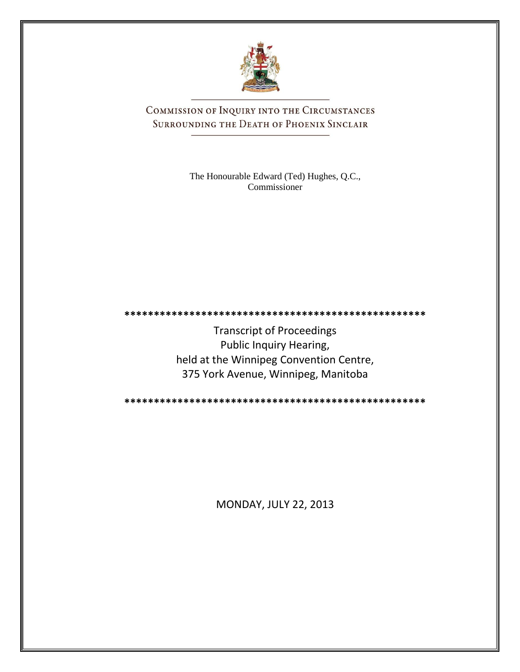

COMMISSION OF INQUIRY INTO THE CIRCUMSTANCES SURROUNDING THE DEATH OF PHOENIX SINCLAIR

> The Honourable Edward (Ted) Hughes, Q.C., Commissioner

Transcript of Proceedings Public Inquiry Hearing, held at the Winnipeg Convention Centre, 375 York Avenue, Winnipeg, Manitoba

**\*\*\*\*\*\*\*\*\*\*\*\*\*\*\*\*\*\*\*\*\*\*\*\*\*\*\*\*\*\*\*\*\*\*\*\*\*\*\*\*\*\*\*\*\*\*\*\*\*\*\***

**\*\*\*\*\*\*\*\*\*\*\*\*\*\*\*\*\*\*\*\*\*\*\*\*\*\*\*\*\*\*\*\*\*\*\*\*\*\*\*\*\*\*\*\*\*\*\*\*\*\*\***

MONDAY, JULY 22, 2013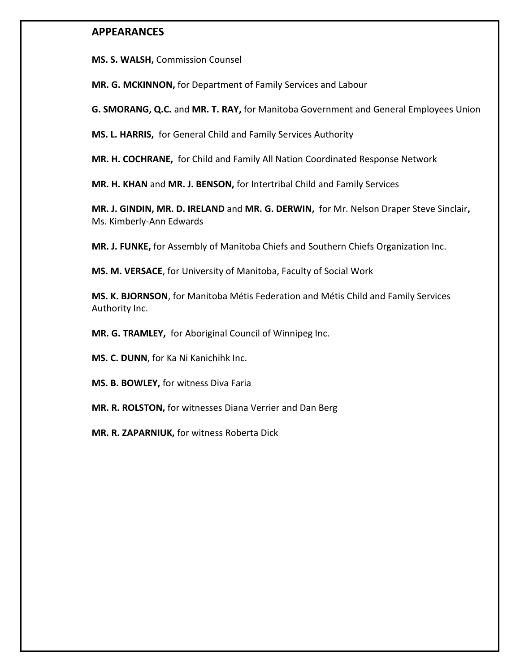## **APPEARANCES**

**MS. S. WALSH,** Commission Counsel

**MR. G. MCKINNON,** for Department of Family Services and Labour

**G. SMORANG, Q.C.** and **MR. T. RAY,** for Manitoba Government and General Employees Union

**MS. L. HARRIS,** for General Child and Family Services Authority

**MR. H. COCHRANE,** for Child and Family All Nation Coordinated Response Network

**MR. H. KHAN** and **MR. J. BENSON,** for Intertribal Child and Family Services

**MR. J. GINDIN, MR. D. IRELAND** and **MR. G. DERWIN,** for Mr. Nelson Draper Steve Sinclair**,** Ms. Kimberly-Ann Edwards

**MR. J. FUNKE,** for Assembly of Manitoba Chiefs and Southern Chiefs Organization Inc.

**MS. M. VERSACE**, for University of Manitoba, Faculty of Social Work

**MS. K. BJORNSON**, for Manitoba Métis Federation and Métis Child and Family Services Authority Inc.

**MR. G. TRAMLEY,** for Aboriginal Council of Winnipeg Inc.

**MS. C. DUNN**, for Ka Ni Kanichihk Inc.

**MS. B. BOWLEY,** for witness Diva Faria

**MR. R. ROLSTON,** for witnesses Diana Verrier and Dan Berg

**MR. R. ZAPARNIUK,** for witness Roberta Dick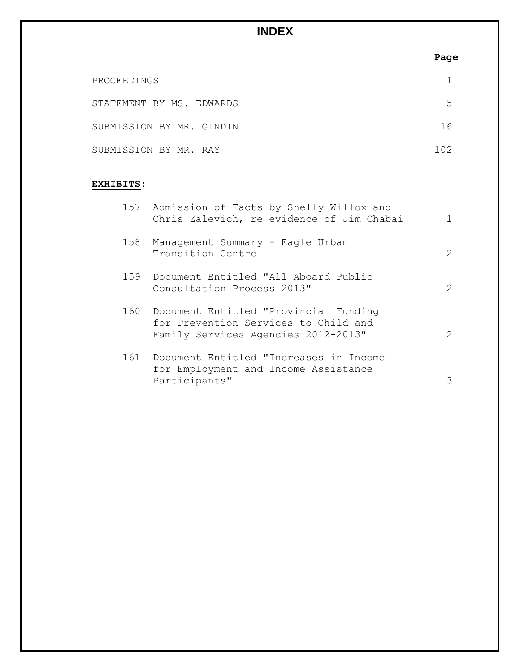## **INDEX**

|                                             | Page |
|---------------------------------------------|------|
| PROCEEDINGS                                 |      |
| STATEMENT BY MS. EDWARDS                    | 5    |
| SUBMISSION BY MR. GINDIN                    | 16   |
| SUBMISSION BY MR. RAY                       | 102  |
| EXHIBITS:                                   |      |
| 157 Admission of Facts by Shelly Willox and |      |

|     | Chris Zalevich, re evidence of Jim Chabai                                                                                | 1              |
|-----|--------------------------------------------------------------------------------------------------------------------------|----------------|
| 158 | Management Summary - Eagle Urban<br>Transition Centre                                                                    | $\mathcal{L}$  |
|     | 159 Document Entitled "All Aboard Public<br>Consultation Process 2013"                                                   | $\overline{2}$ |
|     | 160 Document Entitled "Provincial Funding<br>for Prevention Services to Child and<br>Family Services Agencies 2012-2013" | $\mathcal{L}$  |
|     | 161 Document Entitled "Increases in Income<br>for Employment and Income Assistance<br>Participants"                      | 3              |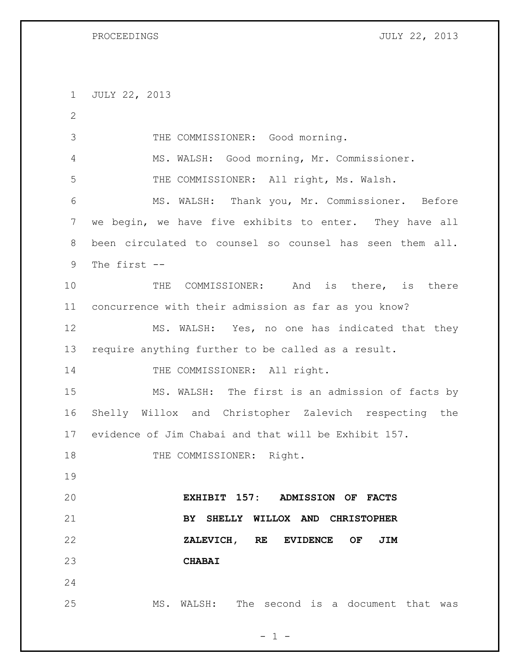| PROCEEDINGS |  |
|-------------|--|
|-------------|--|

JULY 22, 2013

 JULY 22, 2013 THE COMMISSIONER: Good morning. MS. WALSH: Good morning, Mr. Commissioner. THE COMMISSIONER: All right, Ms. Walsh. MS. WALSH: Thank you, Mr. Commissioner. Before we begin, we have five exhibits to enter. They have all been circulated to counsel so counsel has seen them all. The first -- 10 THE COMMISSIONER: And is there, is there concurrence with their admission as far as you know? MS. WALSH: Yes, no one has indicated that they require anything further to be called as a result. 14 THE COMMISSIONER: All right. MS. WALSH: The first is an admission of facts by Shelly Willox and Christopher Zalevich respecting the evidence of Jim Chabai and that will be Exhibit 157. 18 THE COMMISSIONER: Right. **EXHIBIT 157: ADMISSION OF FACTS BY SHELLY WILLOX AND CHRISTOPHER ZALEVICH, RE EVIDENCE OF JIM CHABAI** MS. WALSH: The second is a document that was

 $- 1 -$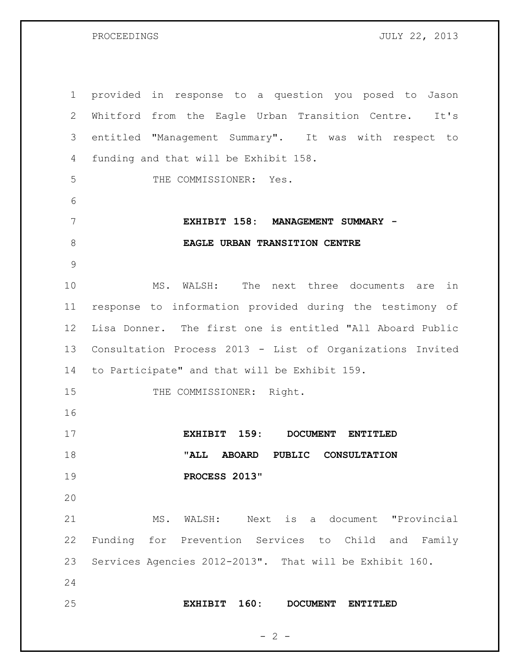PROCEEDINGS JULY 22, 2013

 provided in response to a question you posed to Jason Whitford from the Eagle Urban Transition Centre. It's entitled "Management Summary". It was with respect to funding and that will be Exhibit 158. THE COMMISSIONER: Yes. **EXHIBIT 158: MANAGEMENT SUMMARY - EAGLE URBAN TRANSITION CENTRE** MS. WALSH: The next three documents are in response to information provided during the testimony of Lisa Donner. The first one is entitled "All Aboard Public Consultation Process 2013 - List of Organizations Invited to Participate" and that will be Exhibit 159. 15 THE COMMISSIONER: Right. **EXHIBIT 159: DOCUMENT ENTITLED "ALL ABOARD PUBLIC CONSULTATION PROCESS 2013"** MS. WALSH: Next is a document "Provincial Funding for Prevention Services to Child and Family Services Agencies 2012-2013". That will be Exhibit 160. **EXHIBIT 160: DOCUMENT ENTITLED** 

 $- 2 -$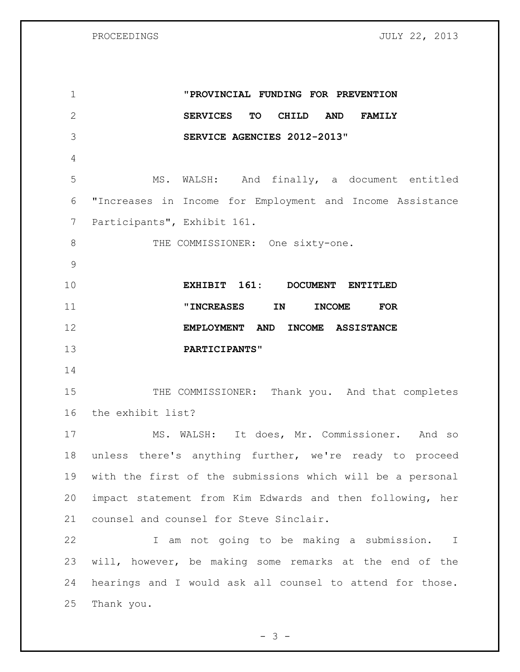PROCEEDINGS JULY 22, 2013

| $\mathbf 1$   | "PROVINCIAL FUNDING FOR PREVENTION                                   |
|---------------|----------------------------------------------------------------------|
| $\mathbf{2}$  | <b>SERVICES</b><br>TO<br><b>AND</b><br><b>CHILD</b><br><b>FAMILY</b> |
| 3             | SERVICE AGENCIES 2012-2013"                                          |
| 4             |                                                                      |
| 5             | MS. WALSH: And finally, a document entitled                          |
| 6             | "Increases in Income for Employment and Income Assistance            |
| 7             | Participants", Exhibit 161.                                          |
| 8             | THE COMMISSIONER: One sixty-one.                                     |
| $\mathcal{G}$ |                                                                      |
| 10            | EXHIBIT 161: DOCUMENT ENTITLED                                       |
| 11            | <b>"INCREASES</b><br>IN<br><b>INCOME</b><br><b>FOR</b>               |
| 12            | EMPLOYMENT AND<br>INCOME ASSISTANCE                                  |
| 13            | PARTICIPANTS"                                                        |
| 14            |                                                                      |
| 15            | THE COMMISSIONER: Thank you. And that completes                      |
| 16            | the exhibit list?                                                    |
| 17            | MS. WALSH: It does, Mr. Commissioner. And so                         |
| 18            | unless there's anything further, we're ready to proceed              |
| 19            | with the first of the submissions which will be a personal           |
| 20            | impact statement from Kim Edwards and then following, her            |
| 21            | counsel and counsel for Steve Sinclair.                              |
| 22            | I am not going to be making a submission. I                          |
| 23            | will, however, be making some remarks at the end of the              |
| 24            | hearings and I would ask all counsel to attend for those.            |
| 25            | Thank you.                                                           |
|               |                                                                      |

- 3 -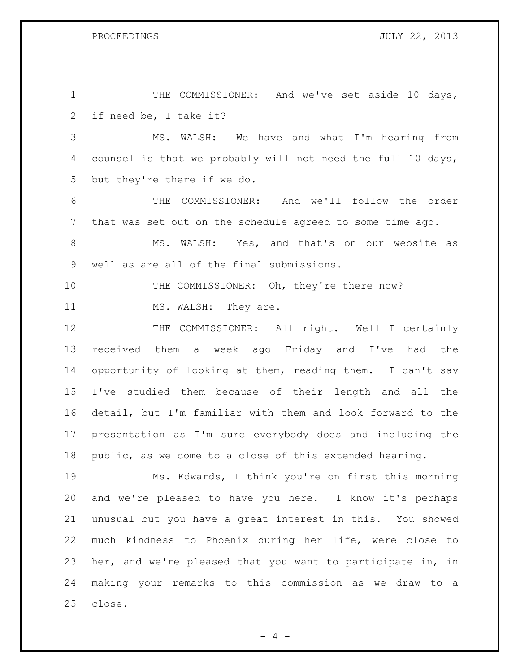PROCEEDINGS JULY 22, 2013

| $\mathbf 1$ | THE COMMISSIONER: And we've set aside 10 days,              |
|-------------|-------------------------------------------------------------|
| 2           | if need be, I take it?                                      |
| 3           | MS. WALSH: We have and what I'm hearing from                |
| 4           | counsel is that we probably will not need the full 10 days, |
| 5           | but they're there if we do.                                 |
| 6           | COMMISSIONER: And we'll follow the order<br>THE             |
| 7           | that was set out on the schedule agreed to some time ago.   |
| $8\,$       | MS. WALSH: Yes, and that's on our website as                |
| 9           | well as are all of the final submissions.                   |
| 10          | THE COMMISSIONER: Oh, they're there now?                    |
| 11          | MS. WALSH: They are.                                        |
| 12          | THE COMMISSIONER: All right. Well I certainly               |
| 13          | received them a week ago Friday and I've had the            |
| 14          | opportunity of looking at them, reading them. I can't say   |
| 15          | I've studied them because of their length and all the       |
| 16          | detail, but I'm familiar with them and look forward to the  |
| 17          | presentation as I'm sure everybody does and including the   |
| 18          | public, as we come to a close of this extended hearing.     |
| 19          | Ms. Edwards, I think you're on first this morning           |
| 20          | and we're pleased to have you here. I know it's perhaps     |
| 21          | unusual but you have a great interest in this. You showed   |
| 22          | much kindness to Phoenix during her life, were close to     |
| 23          | her, and we're pleased that you want to participate in, in  |
| 24          | making your remarks to this commission as we draw to a      |
| 25          | close.                                                      |

- 4 -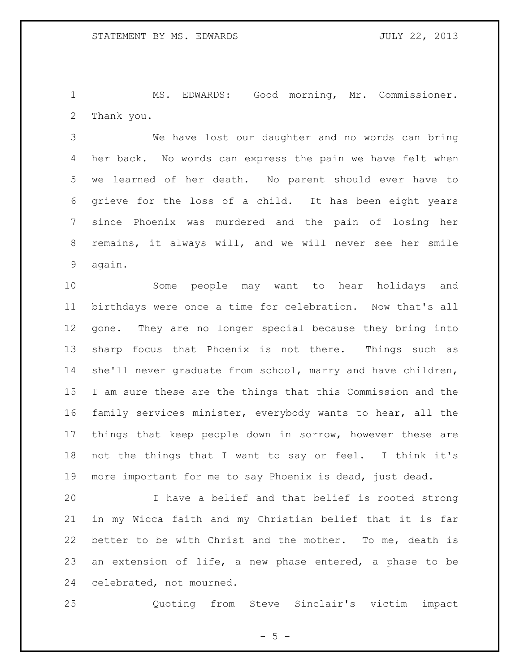MS. EDWARDS: Good morning, Mr. Commissioner. Thank you.

 We have lost our daughter and no words can bring her back. No words can express the pain we have felt when we learned of her death. No parent should ever have to grieve for the loss of a child. It has been eight years since Phoenix was murdered and the pain of losing her remains, it always will, and we will never see her smile again.

 Some people may want to hear holidays and birthdays were once a time for celebration. Now that's all gone. They are no longer special because they bring into sharp focus that Phoenix is not there. Things such as she'll never graduate from school, marry and have children, I am sure these are the things that this Commission and the family services minister, everybody wants to hear, all the things that keep people down in sorrow, however these are not the things that I want to say or feel. I think it's more important for me to say Phoenix is dead, just dead.

 I have a belief and that belief is rooted strong in my Wicca faith and my Christian belief that it is far better to be with Christ and the mother. To me, death is an extension of life, a new phase entered, a phase to be celebrated, not mourned.

Quoting from Steve Sinclair's victim impact

 $- 5 -$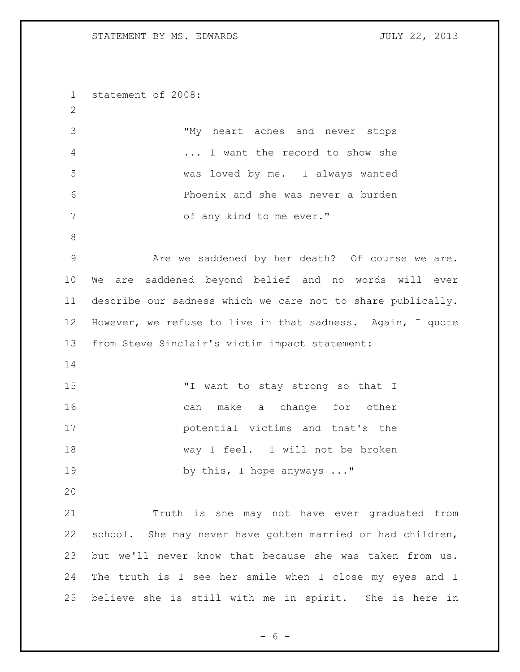statement of 2008: "My heart aches and never stops ... I want the record to show she was loved by me. I always wanted Phoenix and she was never a burden 7 of any kind to me ever." Are we saddened by her death? Of course we are. We are saddened beyond belief and no words will ever describe our sadness which we care not to share publically. However, we refuse to live in that sadness. Again, I quote from Steve Sinclair's victim impact statement: "I want to stay strong so that I 16 can make a change for other potential victims and that's the way I feel. I will not be broken 19 by this, I hope anyways ..." Truth is she may not have ever graduated from school. She may never have gotten married or had children, but we'll never know that because she was taken from us. The truth is I see her smile when I close my eyes and I believe she is still with me in spirit. She is here in

$$
-6-
$$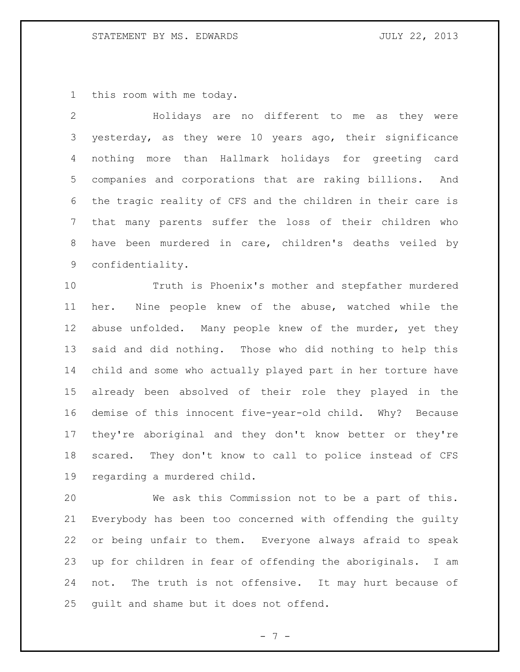this room with me today.

 Holidays are no different to me as they were yesterday, as they were 10 years ago, their significance nothing more than Hallmark holidays for greeting card companies and corporations that are raking billions. And the tragic reality of CFS and the children in their care is that many parents suffer the loss of their children who have been murdered in care, children's deaths veiled by confidentiality.

 Truth is Phoenix's mother and stepfather murdered her. Nine people knew of the abuse, watched while the abuse unfolded. Many people knew of the murder, yet they said and did nothing. Those who did nothing to help this child and some who actually played part in her torture have already been absolved of their role they played in the demise of this innocent five-year-old child. Why? Because they're aboriginal and they don't know better or they're scared. They don't know to call to police instead of CFS regarding a murdered child.

 We ask this Commission not to be a part of this. Everybody has been too concerned with offending the guilty or being unfair to them. Everyone always afraid to speak up for children in fear of offending the aboriginals. I am not. The truth is not offensive. It may hurt because of guilt and shame but it does not offend.

- 7 -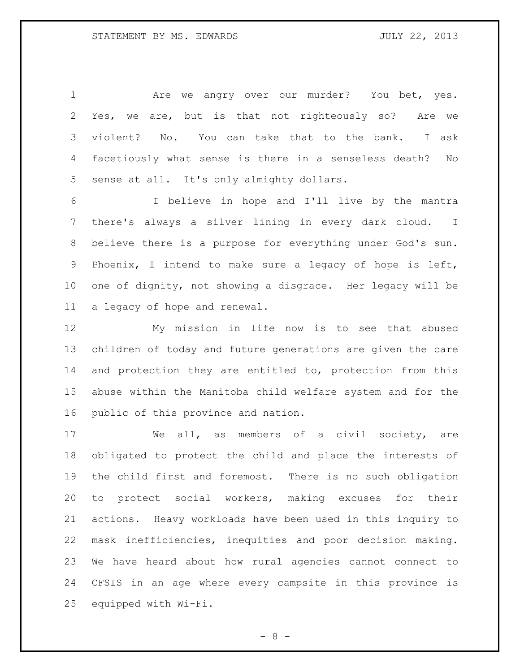1 Are we angry over our murder? You bet, yes. Yes, we are, but is that not righteously so? Are we violent? No. You can take that to the bank. I ask facetiously what sense is there in a senseless death? No sense at all. It's only almighty dollars.

 I believe in hope and I'll live by the mantra there's always a silver lining in every dark cloud. I believe there is a purpose for everything under God's sun. Phoenix, I intend to make sure a legacy of hope is left, one of dignity, not showing a disgrace. Her legacy will be a legacy of hope and renewal.

 My mission in life now is to see that abused children of today and future generations are given the care 14 and protection they are entitled to, protection from this abuse within the Manitoba child welfare system and for the public of this province and nation.

17 We all, as members of a civil society, are obligated to protect the child and place the interests of the child first and foremost. There is no such obligation to protect social workers, making excuses for their actions. Heavy workloads have been used in this inquiry to mask inefficiencies, inequities and poor decision making. We have heard about how rural agencies cannot connect to CFSIS in an age where every campsite in this province is equipped with Wi-Fi.

 $- 8 -$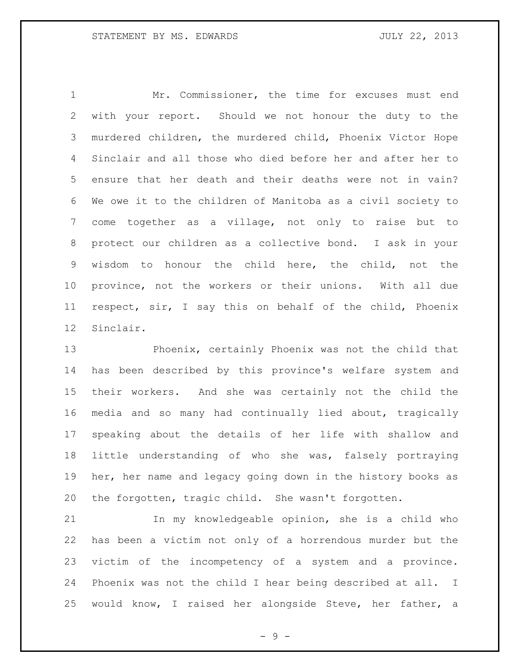Mr. Commissioner, the time for excuses must end with your report. Should we not honour the duty to the murdered children, the murdered child, Phoenix Victor Hope Sinclair and all those who died before her and after her to ensure that her death and their deaths were not in vain? We owe it to the children of Manitoba as a civil society to come together as a village, not only to raise but to protect our children as a collective bond. I ask in your wisdom to honour the child here, the child, not the province, not the workers or their unions. With all due respect, sir, I say this on behalf of the child, Phoenix Sinclair.

 Phoenix, certainly Phoenix was not the child that has been described by this province's welfare system and their workers. And she was certainly not the child the media and so many had continually lied about, tragically speaking about the details of her life with shallow and little understanding of who she was, falsely portraying her, her name and legacy going down in the history books as the forgotten, tragic child. She wasn't forgotten.

 In my knowledgeable opinion, she is a child who has been a victim not only of a horrendous murder but the victim of the incompetency of a system and a province. Phoenix was not the child I hear being described at all. I would know, I raised her alongside Steve, her father, a

 $-9 -$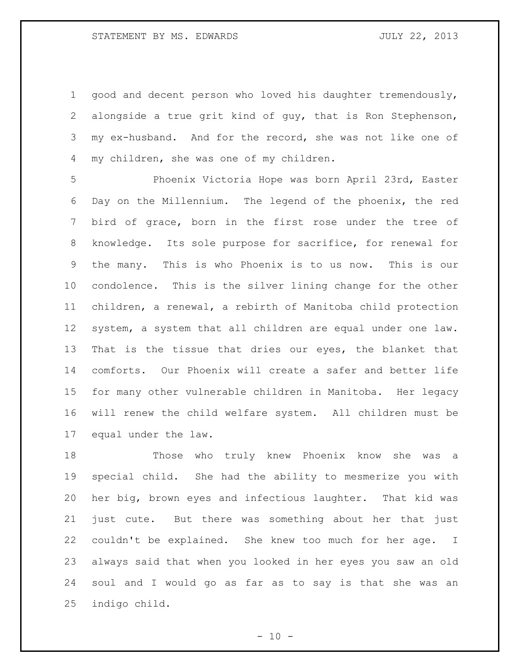good and decent person who loved his daughter tremendously, alongside a true grit kind of guy, that is Ron Stephenson, my ex-husband. And for the record, she was not like one of my children, she was one of my children.

 Phoenix Victoria Hope was born April 23rd, Easter Day on the Millennium. The legend of the phoenix, the red bird of grace, born in the first rose under the tree of knowledge. Its sole purpose for sacrifice, for renewal for the many. This is who Phoenix is to us now. This is our condolence. This is the silver lining change for the other children, a renewal, a rebirth of Manitoba child protection system, a system that all children are equal under one law. That is the tissue that dries our eyes, the blanket that comforts. Our Phoenix will create a safer and better life for many other vulnerable children in Manitoba. Her legacy will renew the child welfare system. All children must be equal under the law.

 Those who truly knew Phoenix know she was a special child. She had the ability to mesmerize you with her big, brown eyes and infectious laughter. That kid was just cute. But there was something about her that just couldn't be explained. She knew too much for her age. I always said that when you looked in her eyes you saw an old soul and I would go as far as to say is that she was an indigo child.

 $- 10 -$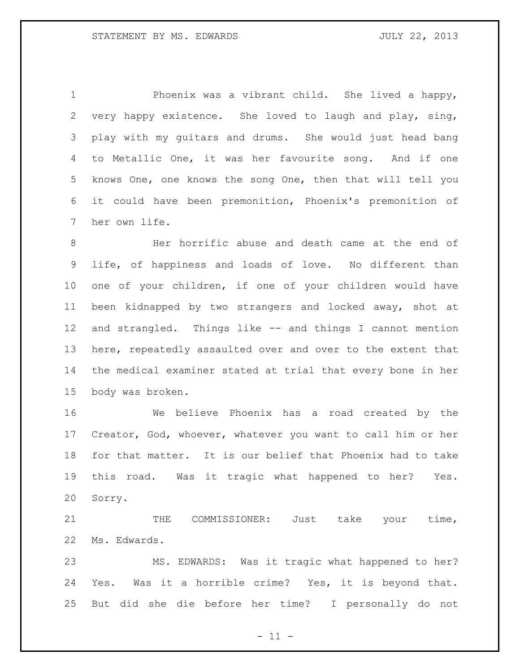Phoenix was a vibrant child. She lived a happy, very happy existence. She loved to laugh and play, sing, play with my guitars and drums. She would just head bang to Metallic One, it was her favourite song. And if one knows One, one knows the song One, then that will tell you it could have been premonition, Phoenix's premonition of her own life.

 Her horrific abuse and death came at the end of life, of happiness and loads of love. No different than one of your children, if one of your children would have been kidnapped by two strangers and locked away, shot at and strangled. Things like -- and things I cannot mention here, repeatedly assaulted over and over to the extent that the medical examiner stated at trial that every bone in her body was broken.

 We believe Phoenix has a road created by the Creator, God, whoever, whatever you want to call him or her for that matter. It is our belief that Phoenix had to take this road. Was it tragic what happened to her? Yes. Sorry.

21 THE COMMISSIONER: Just take your time, Ms. Edwards.

 MS. EDWARDS: Was it tragic what happened to her? Yes. Was it a horrible crime? Yes, it is beyond that. But did she die before her time? I personally do not

 $- 11 -$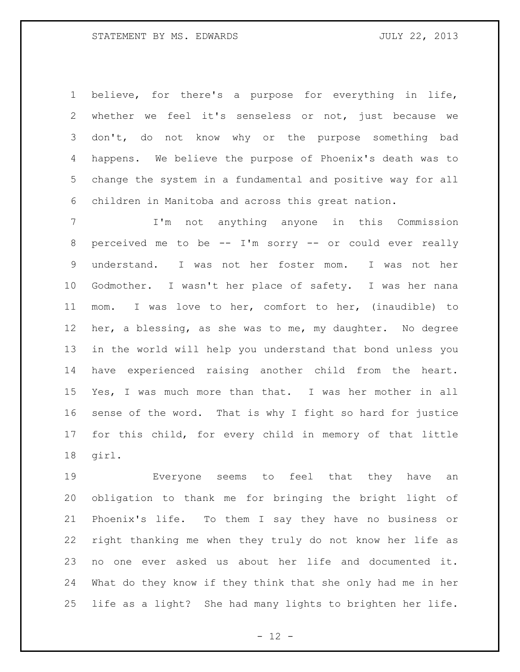believe, for there's a purpose for everything in life, whether we feel it's senseless or not, just because we don't, do not know why or the purpose something bad happens. We believe the purpose of Phoenix's death was to change the system in a fundamental and positive way for all children in Manitoba and across this great nation.

 I'm not anything anyone in this Commission perceived me to be -- I'm sorry -- or could ever really understand. I was not her foster mom. I was not her Godmother. I wasn't her place of safety. I was her nana mom. I was love to her, comfort to her, (inaudible) to her, a blessing, as she was to me, my daughter. No degree in the world will help you understand that bond unless you have experienced raising another child from the heart. Yes, I was much more than that. I was her mother in all sense of the word. That is why I fight so hard for justice for this child, for every child in memory of that little girl.

 Everyone seems to feel that they have an obligation to thank me for bringing the bright light of Phoenix's life. To them I say they have no business or right thanking me when they truly do not know her life as no one ever asked us about her life and documented it. What do they know if they think that she only had me in her life as a light? She had many lights to brighten her life.

 $- 12 -$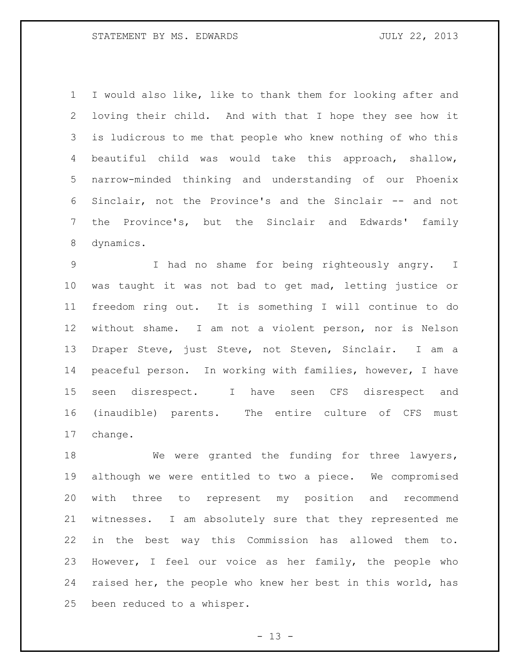I would also like, like to thank them for looking after and loving their child. And with that I hope they see how it is ludicrous to me that people who knew nothing of who this beautiful child was would take this approach, shallow, narrow-minded thinking and understanding of our Phoenix Sinclair, not the Province's and the Sinclair -- and not the Province's, but the Sinclair and Edwards' family dynamics.

 I had no shame for being righteously angry. I was taught it was not bad to get mad, letting justice or freedom ring out. It is something I will continue to do without shame. I am not a violent person, nor is Nelson Draper Steve, just Steve, not Steven, Sinclair. I am a peaceful person. In working with families, however, I have seen disrespect. I have seen CFS disrespect and (inaudible) parents. The entire culture of CFS must change.

18 We were granted the funding for three lawyers, although we were entitled to two a piece. We compromised with three to represent my position and recommend witnesses. I am absolutely sure that they represented me in the best way this Commission has allowed them to. However, I feel our voice as her family, the people who raised her, the people who knew her best in this world, has been reduced to a whisper.

 $- 13 -$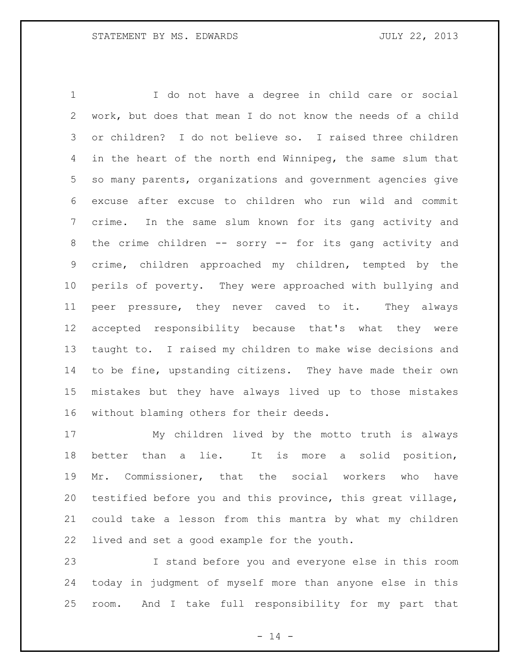I do not have a degree in child care or social work, but does that mean I do not know the needs of a child or children? I do not believe so. I raised three children in the heart of the north end Winnipeg, the same slum that so many parents, organizations and government agencies give excuse after excuse to children who run wild and commit crime. In the same slum known for its gang activity and the crime children -- sorry -- for its gang activity and crime, children approached my children, tempted by the perils of poverty. They were approached with bullying and peer pressure, they never caved to it. They always accepted responsibility because that's what they were taught to. I raised my children to make wise decisions and to be fine, upstanding citizens. They have made their own mistakes but they have always lived up to those mistakes without blaming others for their deeds.

 My children lived by the motto truth is always better than a lie. It is more a solid position, Mr. Commissioner, that the social workers who have testified before you and this province, this great village, could take a lesson from this mantra by what my children lived and set a good example for the youth.

 I stand before you and everyone else in this room today in judgment of myself more than anyone else in this room. And I take full responsibility for my part that

 $- 14 -$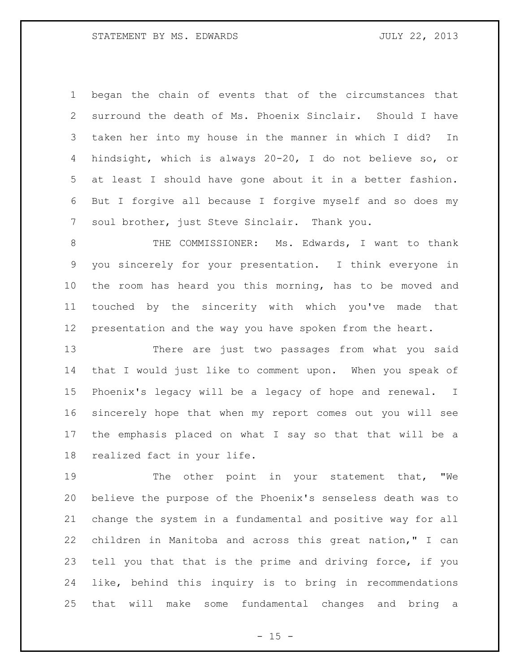began the chain of events that of the circumstances that surround the death of Ms. Phoenix Sinclair. Should I have taken her into my house in the manner in which I did? In hindsight, which is always 20-20, I do not believe so, or at least I should have gone about it in a better fashion. But I forgive all because I forgive myself and so does my soul brother, just Steve Sinclair. Thank you.

8 THE COMMISSIONER: Ms. Edwards, I want to thank you sincerely for your presentation. I think everyone in the room has heard you this morning, has to be moved and touched by the sincerity with which you've made that presentation and the way you have spoken from the heart.

 There are just two passages from what you said that I would just like to comment upon. When you speak of Phoenix's legacy will be a legacy of hope and renewal. I sincerely hope that when my report comes out you will see the emphasis placed on what I say so that that will be a realized fact in your life.

19 The other point in your statement that, "We believe the purpose of the Phoenix's senseless death was to change the system in a fundamental and positive way for all children in Manitoba and across this great nation," I can tell you that that is the prime and driving force, if you like, behind this inquiry is to bring in recommendations that will make some fundamental changes and bring a

 $- 15 -$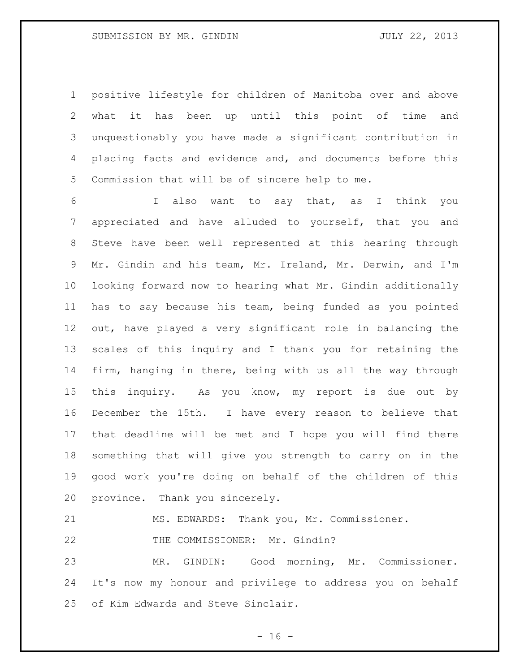positive lifestyle for children of Manitoba over and above what it has been up until this point of time and unquestionably you have made a significant contribution in placing facts and evidence and, and documents before this Commission that will be of sincere help to me.

 I also want to say that, as I think you appreciated and have alluded to yourself, that you and Steve have been well represented at this hearing through Mr. Gindin and his team, Mr. Ireland, Mr. Derwin, and I'm looking forward now to hearing what Mr. Gindin additionally has to say because his team, being funded as you pointed out, have played a very significant role in balancing the scales of this inquiry and I thank you for retaining the firm, hanging in there, being with us all the way through this inquiry. As you know, my report is due out by December the 15th. I have every reason to believe that that deadline will be met and I hope you will find there something that will give you strength to carry on in the good work you're doing on behalf of the children of this province. Thank you sincerely.

MS. EDWARDS: Thank you, Mr. Commissioner.

22 THE COMMISSIONER: Mr. Gindin?

 MR. GINDIN: Good morning, Mr. Commissioner. It's now my honour and privilege to address you on behalf of Kim Edwards and Steve Sinclair.

 $- 16 -$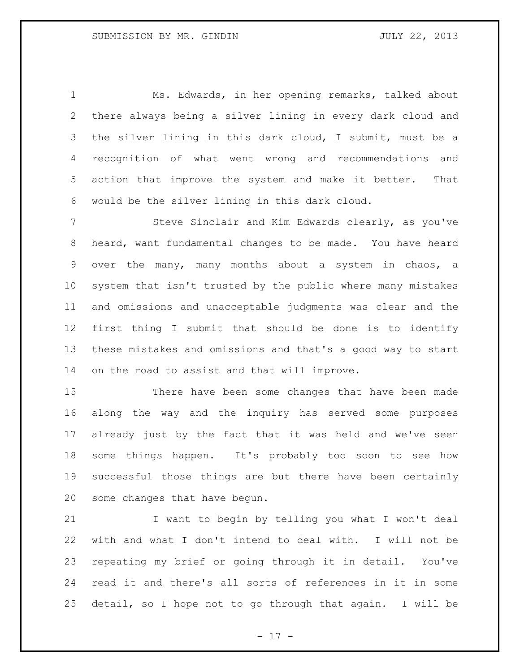Ms. Edwards, in her opening remarks, talked about there always being a silver lining in every dark cloud and the silver lining in this dark cloud, I submit, must be a recognition of what went wrong and recommendations and action that improve the system and make it better. That would be the silver lining in this dark cloud.

7 Steve Sinclair and Kim Edwards clearly, as you've heard, want fundamental changes to be made. You have heard over the many, many months about a system in chaos, a system that isn't trusted by the public where many mistakes and omissions and unacceptable judgments was clear and the first thing I submit that should be done is to identify these mistakes and omissions and that's a good way to start on the road to assist and that will improve.

 There have been some changes that have been made along the way and the inquiry has served some purposes already just by the fact that it was held and we've seen some things happen. It's probably too soon to see how successful those things are but there have been certainly some changes that have begun.

 I want to begin by telling you what I won't deal with and what I don't intend to deal with. I will not be repeating my brief or going through it in detail. You've read it and there's all sorts of references in it in some detail, so I hope not to go through that again. I will be

- 17 -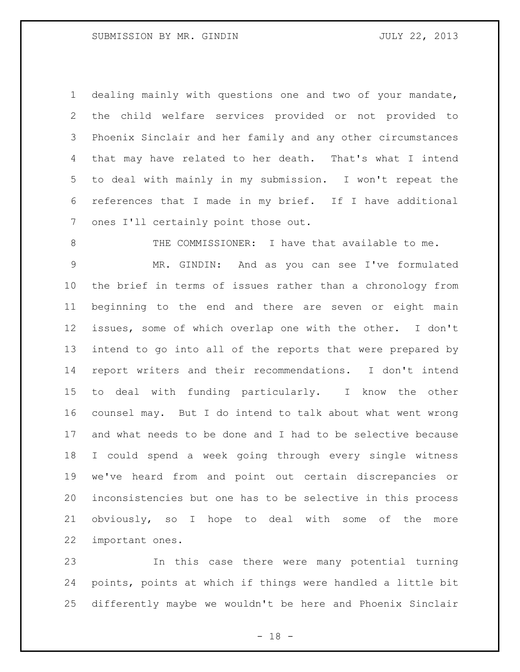dealing mainly with questions one and two of your mandate, the child welfare services provided or not provided to Phoenix Sinclair and her family and any other circumstances that may have related to her death. That's what I intend to deal with mainly in my submission. I won't repeat the references that I made in my brief. If I have additional ones I'll certainly point those out.

8 THE COMMISSIONER: I have that available to me.

 MR. GINDIN: And as you can see I've formulated the brief in terms of issues rather than a chronology from beginning to the end and there are seven or eight main issues, some of which overlap one with the other. I don't intend to go into all of the reports that were prepared by report writers and their recommendations. I don't intend to deal with funding particularly. I know the other counsel may. But I do intend to talk about what went wrong and what needs to be done and I had to be selective because I could spend a week going through every single witness we've heard from and point out certain discrepancies or inconsistencies but one has to be selective in this process obviously, so I hope to deal with some of the more important ones.

 In this case there were many potential turning points, points at which if things were handled a little bit differently maybe we wouldn't be here and Phoenix Sinclair

 $- 18 -$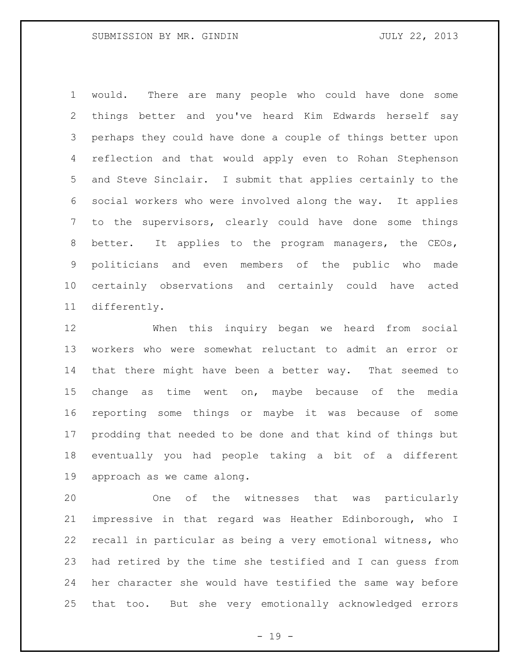would. There are many people who could have done some things better and you've heard Kim Edwards herself say perhaps they could have done a couple of things better upon reflection and that would apply even to Rohan Stephenson and Steve Sinclair. I submit that applies certainly to the social workers who were involved along the way. It applies to the supervisors, clearly could have done some things 8 better. It applies to the program managers, the CEOs, politicians and even members of the public who made certainly observations and certainly could have acted differently.

 When this inquiry began we heard from social workers who were somewhat reluctant to admit an error or that there might have been a better way. That seemed to change as time went on, maybe because of the media reporting some things or maybe it was because of some prodding that needed to be done and that kind of things but eventually you had people taking a bit of a different approach as we came along.

 One of the witnesses that was particularly impressive in that regard was Heather Edinborough, who I recall in particular as being a very emotional witness, who had retired by the time she testified and I can guess from her character she would have testified the same way before that too. But she very emotionally acknowledged errors

 $- 19 -$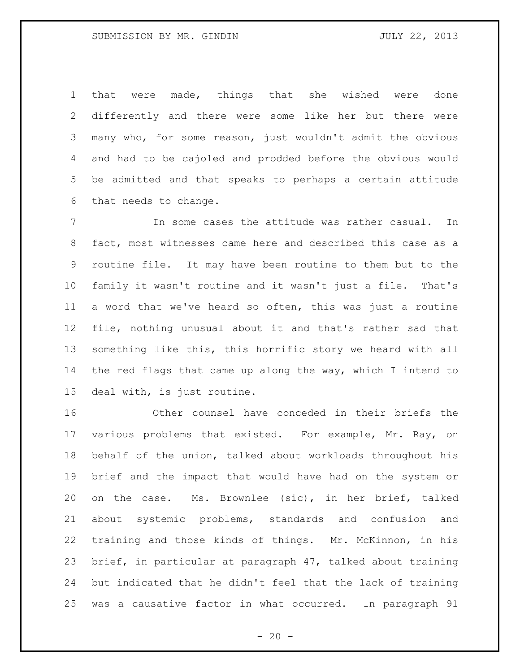that were made, things that she wished were done differently and there were some like her but there were many who, for some reason, just wouldn't admit the obvious and had to be cajoled and prodded before the obvious would be admitted and that speaks to perhaps a certain attitude that needs to change.

 In some cases the attitude was rather casual. In fact, most witnesses came here and described this case as a routine file. It may have been routine to them but to the family it wasn't routine and it wasn't just a file. That's a word that we've heard so often, this was just a routine file, nothing unusual about it and that's rather sad that something like this, this horrific story we heard with all the red flags that came up along the way, which I intend to deal with, is just routine.

 Other counsel have conceded in their briefs the 17 various problems that existed. For example, Mr. Ray, on behalf of the union, talked about workloads throughout his brief and the impact that would have had on the system or on the case. Ms. Brownlee (sic), in her brief, talked about systemic problems, standards and confusion and training and those kinds of things. Mr. McKinnon, in his brief, in particular at paragraph 47, talked about training but indicated that he didn't feel that the lack of training was a causative factor in what occurred. In paragraph 91

 $- 20 -$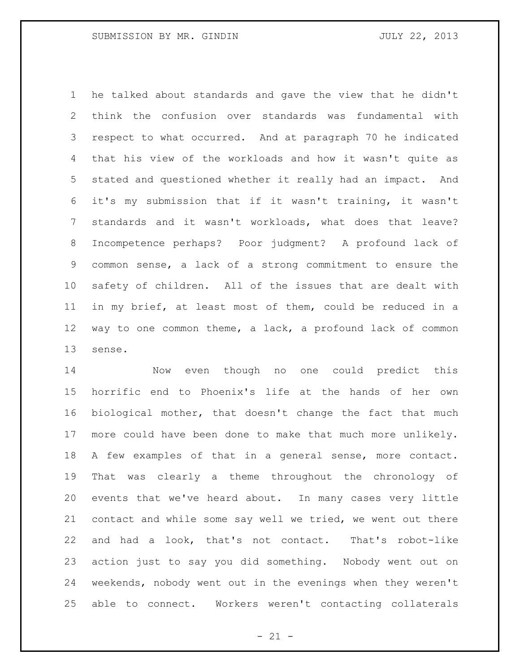he talked about standards and gave the view that he didn't think the confusion over standards was fundamental with respect to what occurred. And at paragraph 70 he indicated that his view of the workloads and how it wasn't quite as stated and questioned whether it really had an impact. And it's my submission that if it wasn't training, it wasn't standards and it wasn't workloads, what does that leave? Incompetence perhaps? Poor judgment? A profound lack of common sense, a lack of a strong commitment to ensure the safety of children. All of the issues that are dealt with in my brief, at least most of them, could be reduced in a way to one common theme, a lack, a profound lack of common sense.

 Now even though no one could predict this horrific end to Phoenix's life at the hands of her own biological mother, that doesn't change the fact that much more could have been done to make that much more unlikely. A few examples of that in a general sense, more contact. That was clearly a theme throughout the chronology of events that we've heard about. In many cases very little contact and while some say well we tried, we went out there and had a look, that's not contact. That's robot-like action just to say you did something. Nobody went out on weekends, nobody went out in the evenings when they weren't able to connect. Workers weren't contacting collaterals

 $- 21 -$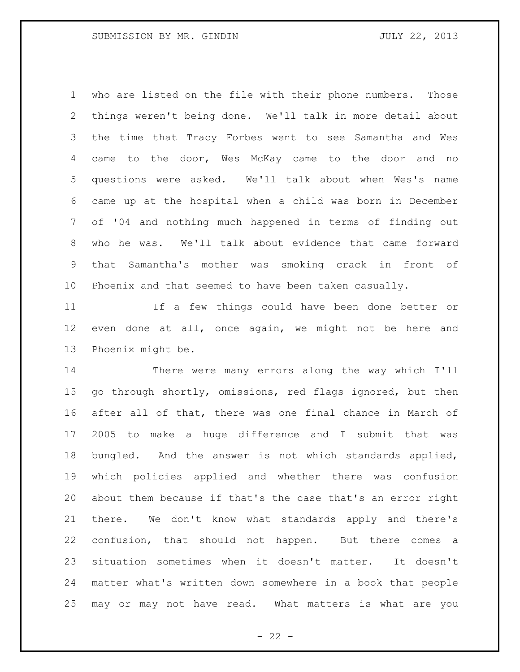who are listed on the file with their phone numbers. Those things weren't being done. We'll talk in more detail about the time that Tracy Forbes went to see Samantha and Wes came to the door, Wes McKay came to the door and no questions were asked. We'll talk about when Wes's name came up at the hospital when a child was born in December of '04 and nothing much happened in terms of finding out who he was. We'll talk about evidence that came forward that Samantha's mother was smoking crack in front of Phoenix and that seemed to have been taken casually.

 If a few things could have been done better or even done at all, once again, we might not be here and Phoenix might be.

 There were many errors along the way which I'll go through shortly, omissions, red flags ignored, but then after all of that, there was one final chance in March of 2005 to make a huge difference and I submit that was bungled. And the answer is not which standards applied, which policies applied and whether there was confusion about them because if that's the case that's an error right there. We don't know what standards apply and there's confusion, that should not happen. But there comes a situation sometimes when it doesn't matter. It doesn't matter what's written down somewhere in a book that people may or may not have read. What matters is what are you

 $- 22 -$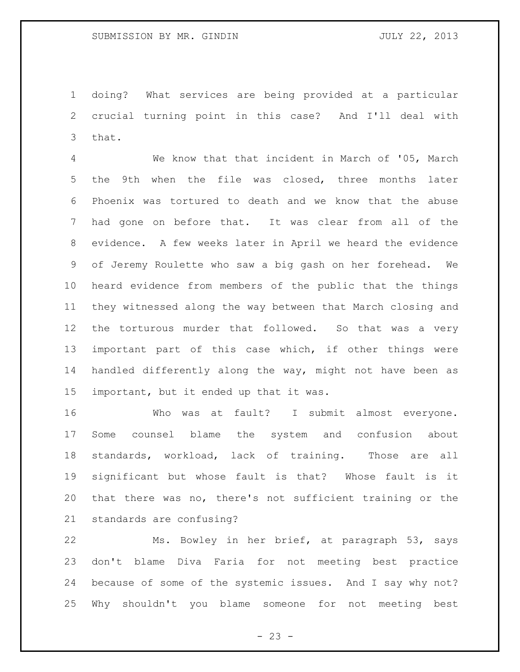doing? What services are being provided at a particular crucial turning point in this case? And I'll deal with that.

 We know that that incident in March of '05, March the 9th when the file was closed, three months later Phoenix was tortured to death and we know that the abuse had gone on before that. It was clear from all of the evidence. A few weeks later in April we heard the evidence of Jeremy Roulette who saw a big gash on her forehead. We heard evidence from members of the public that the things they witnessed along the way between that March closing and the torturous murder that followed. So that was a very important part of this case which, if other things were handled differently along the way, might not have been as important, but it ended up that it was.

 Who was at fault? I submit almost everyone. Some counsel blame the system and confusion about standards, workload, lack of training. Those are all significant but whose fault is that? Whose fault is it that there was no, there's not sufficient training or the standards are confusing?

 Ms. Bowley in her brief, at paragraph 53, says don't blame Diva Faria for not meeting best practice because of some of the systemic issues. And I say why not? Why shouldn't you blame someone for not meeting best

 $- 23 -$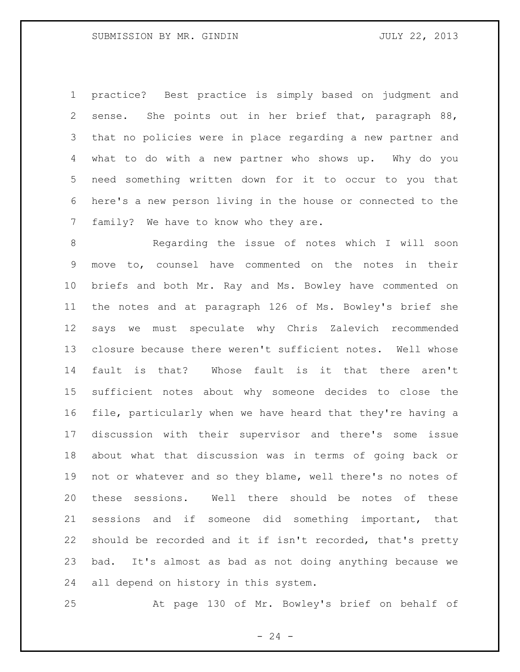practice? Best practice is simply based on judgment and sense. She points out in her brief that, paragraph 88, that no policies were in place regarding a new partner and what to do with a new partner who shows up. Why do you need something written down for it to occur to you that here's a new person living in the house or connected to the family? We have to know who they are.

 Regarding the issue of notes which I will soon move to, counsel have commented on the notes in their briefs and both Mr. Ray and Ms. Bowley have commented on the notes and at paragraph 126 of Ms. Bowley's brief she says we must speculate why Chris Zalevich recommended closure because there weren't sufficient notes. Well whose fault is that? Whose fault is it that there aren't sufficient notes about why someone decides to close the file, particularly when we have heard that they're having a discussion with their supervisor and there's some issue about what that discussion was in terms of going back or not or whatever and so they blame, well there's no notes of these sessions. Well there should be notes of these sessions and if someone did something important, that should be recorded and it if isn't recorded, that's pretty bad. It's almost as bad as not doing anything because we all depend on history in this system.

At page 130 of Mr. Bowley's brief on behalf of

 $- 24 -$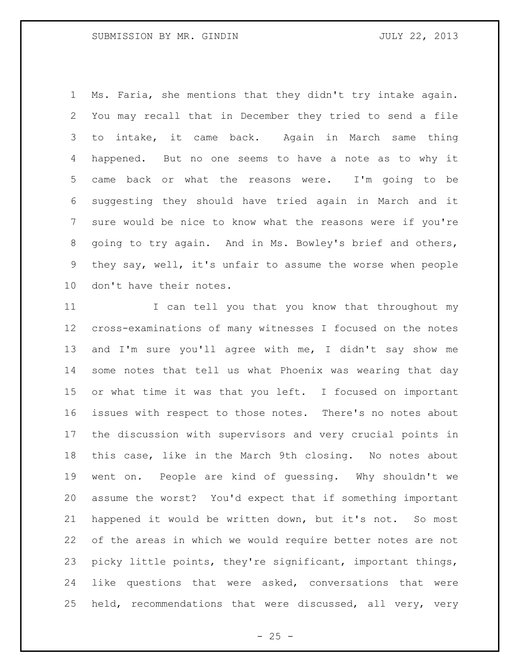Ms. Faria, she mentions that they didn't try intake again. You may recall that in December they tried to send a file to intake, it came back. Again in March same thing happened. But no one seems to have a note as to why it came back or what the reasons were. I'm going to be suggesting they should have tried again in March and it sure would be nice to know what the reasons were if you're going to try again. And in Ms. Bowley's brief and others, they say, well, it's unfair to assume the worse when people don't have their notes.

11 I can tell you that you know that throughout my cross-examinations of many witnesses I focused on the notes and I'm sure you'll agree with me, I didn't say show me some notes that tell us what Phoenix was wearing that day or what time it was that you left. I focused on important issues with respect to those notes. There's no notes about the discussion with supervisors and very crucial points in this case, like in the March 9th closing. No notes about went on. People are kind of guessing. Why shouldn't we assume the worst? You'd expect that if something important happened it would be written down, but it's not. So most of the areas in which we would require better notes are not picky little points, they're significant, important things, like questions that were asked, conversations that were held, recommendations that were discussed, all very, very

 $- 25 -$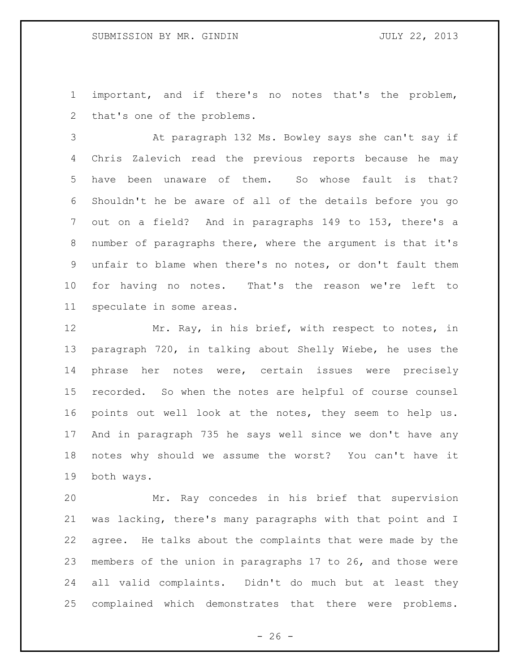important, and if there's no notes that's the problem, that's one of the problems.

 At paragraph 132 Ms. Bowley says she can't say if Chris Zalevich read the previous reports because he may have been unaware of them. So whose fault is that? Shouldn't he be aware of all of the details before you go out on a field? And in paragraphs 149 to 153, there's a number of paragraphs there, where the argument is that it's unfair to blame when there's no notes, or don't fault them for having no notes. That's the reason we're left to speculate in some areas.

12 Mr. Ray, in his brief, with respect to notes, in paragraph 720, in talking about Shelly Wiebe, he uses the phrase her notes were, certain issues were precisely recorded. So when the notes are helpful of course counsel points out well look at the notes, they seem to help us. And in paragraph 735 he says well since we don't have any notes why should we assume the worst? You can't have it both ways.

 Mr. Ray concedes in his brief that supervision was lacking, there's many paragraphs with that point and I agree. He talks about the complaints that were made by the members of the union in paragraphs 17 to 26, and those were all valid complaints. Didn't do much but at least they complained which demonstrates that there were problems.

 $- 26 -$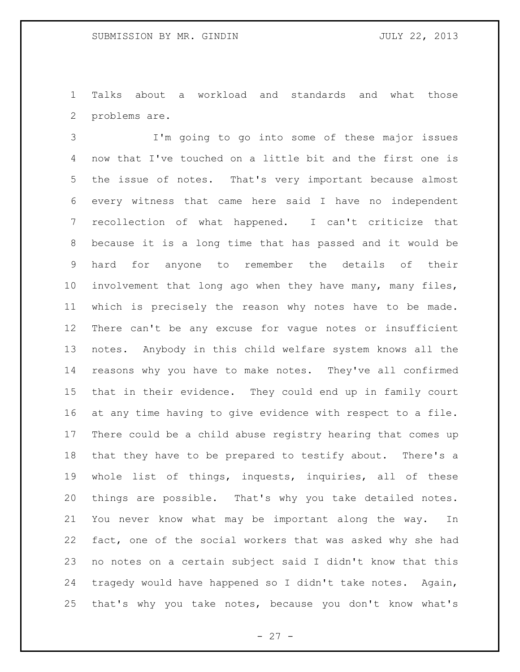Talks about a workload and standards and what those problems are.

 I'm going to go into some of these major issues now that I've touched on a little bit and the first one is the issue of notes. That's very important because almost every witness that came here said I have no independent recollection of what happened. I can't criticize that because it is a long time that has passed and it would be hard for anyone to remember the details of their involvement that long ago when they have many, many files, which is precisely the reason why notes have to be made. There can't be any excuse for vague notes or insufficient notes. Anybody in this child welfare system knows all the reasons why you have to make notes. They've all confirmed that in their evidence. They could end up in family court at any time having to give evidence with respect to a file. There could be a child abuse registry hearing that comes up that they have to be prepared to testify about. There's a whole list of things, inquests, inquiries, all of these things are possible. That's why you take detailed notes. You never know what may be important along the way. In fact, one of the social workers that was asked why she had no notes on a certain subject said I didn't know that this tragedy would have happened so I didn't take notes. Again, that's why you take notes, because you don't know what's

 $- 27 -$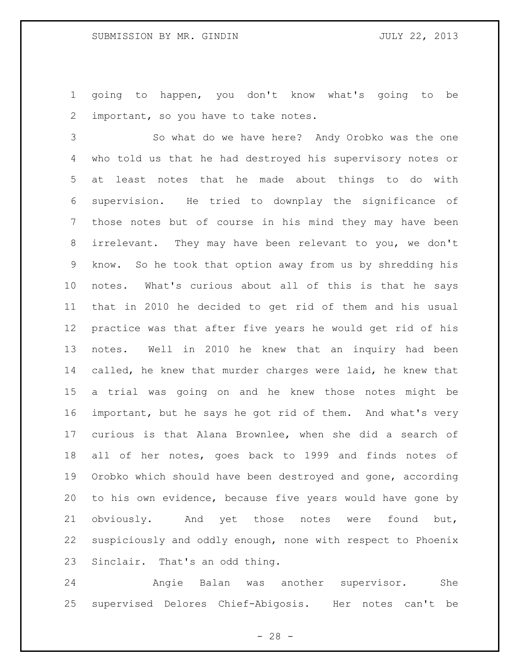going to happen, you don't know what's going to be important, so you have to take notes.

 So what do we have here? Andy Orobko was the one who told us that he had destroyed his supervisory notes or at least notes that he made about things to do with supervision. He tried to downplay the significance of those notes but of course in his mind they may have been irrelevant. They may have been relevant to you, we don't know. So he took that option away from us by shredding his notes. What's curious about all of this is that he says that in 2010 he decided to get rid of them and his usual practice was that after five years he would get rid of his notes. Well in 2010 he knew that an inquiry had been called, he knew that murder charges were laid, he knew that a trial was going on and he knew those notes might be important, but he says he got rid of them. And what's very curious is that Alana Brownlee, when she did a search of all of her notes, goes back to 1999 and finds notes of Orobko which should have been destroyed and gone, according to his own evidence, because five years would have gone by obviously. And yet those notes were found but, suspiciously and oddly enough, none with respect to Phoenix Sinclair. That's an odd thing.

 Angie Balan was another supervisor. She supervised Delores Chief-Abigosis. Her notes can't be

 $- 28 -$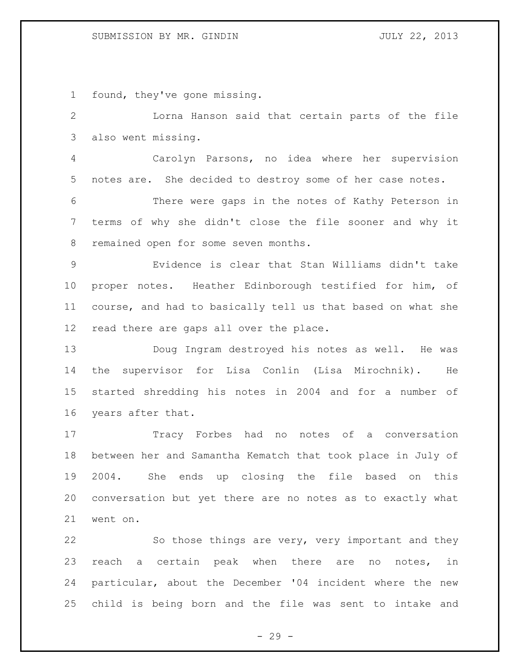## SUBMISSION BY MR. GINDIN JULY 22, 2013

found, they've gone missing.

 Lorna Hanson said that certain parts of the file also went missing.

 Carolyn Parsons, no idea where her supervision notes are. She decided to destroy some of her case notes.

 There were gaps in the notes of Kathy Peterson in terms of why she didn't close the file sooner and why it remained open for some seven months.

 Evidence is clear that Stan Williams didn't take proper notes. Heather Edinborough testified for him, of course, and had to basically tell us that based on what she read there are gaps all over the place.

 Doug Ingram destroyed his notes as well. He was the supervisor for Lisa Conlin (Lisa Mirochnik). He started shredding his notes in 2004 and for a number of years after that.

 Tracy Forbes had no notes of a conversation between her and Samantha Kematch that took place in July of 2004. She ends up closing the file based on this conversation but yet there are no notes as to exactly what went on.

 So those things are very, very important and they reach a certain peak when there are no notes, in particular, about the December '04 incident where the new child is being born and the file was sent to intake and

 $- 29 -$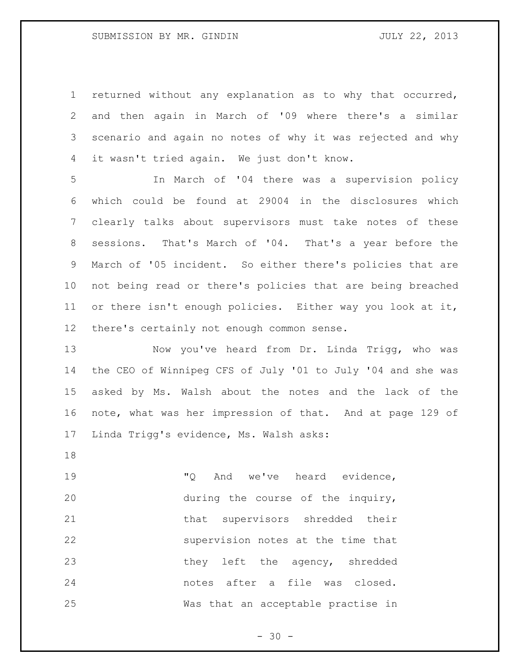returned without any explanation as to why that occurred, and then again in March of '09 where there's a similar scenario and again no notes of why it was rejected and why it wasn't tried again. We just don't know.

 In March of '04 there was a supervision policy which could be found at 29004 in the disclosures which clearly talks about supervisors must take notes of these sessions. That's March of '04. That's a year before the March of '05 incident. So either there's policies that are not being read or there's policies that are being breached or there isn't enough policies. Either way you look at it, there's certainly not enough common sense.

 Now you've heard from Dr. Linda Trigg, who was the CEO of Winnipeg CFS of July '01 to July '04 and she was asked by Ms. Walsh about the notes and the lack of the note, what was her impression of that. And at page 129 of Linda Trigg's evidence, Ms. Walsh asks:

19 TQ And we've heard evidence, during the course of the inquiry, 21 that supervisors shredded their supervision notes at the time that 23 they left the agency, shredded notes after a file was closed. Was that an acceptable practise in

 $- 30 -$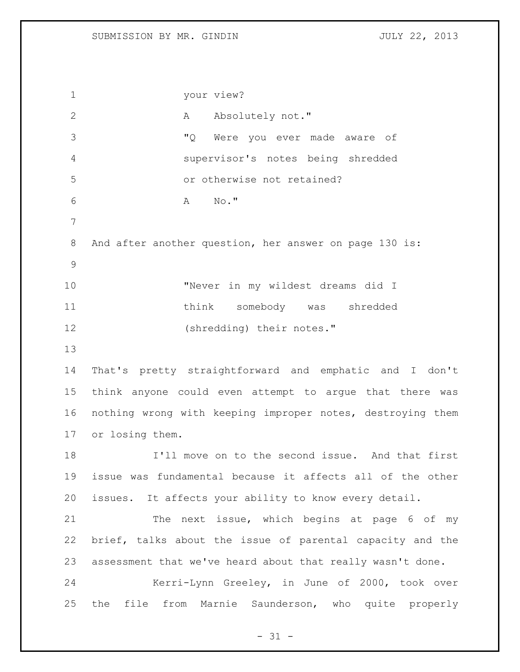your view? 2 A Absolutely not." "Q Were you ever made aware of supervisor's notes being shredded or otherwise not retained? A No." 8 And after another question, her answer on page 130 is: "Never in my wildest dreams did I think somebody was shredded (shredding) their notes." That's pretty straightforward and emphatic and I don't think anyone could even attempt to argue that there was nothing wrong with keeping improper notes, destroying them or losing them. I'll move on to the second issue. And that first issue was fundamental because it affects all of the other issues. It affects your ability to know every detail. 21 The next issue, which begins at page 6 of my brief, talks about the issue of parental capacity and the assessment that we've heard about that really wasn't done. Kerri-Lynn Greeley, in June of 2000, took over the file from Marnie Saunderson, who quite properly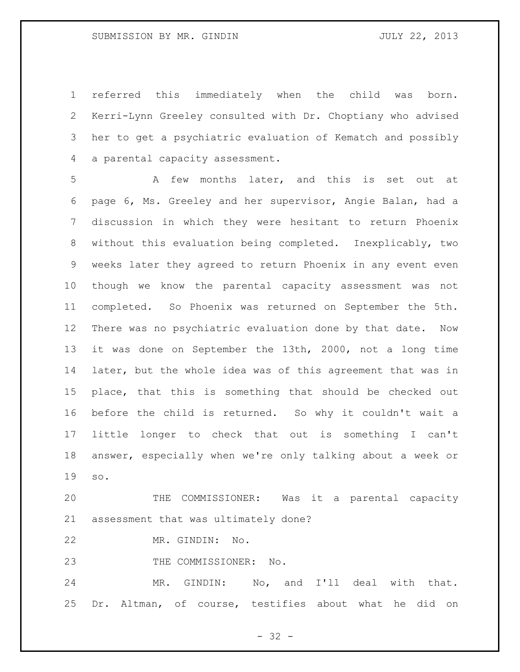referred this immediately when the child was born. Kerri-Lynn Greeley consulted with Dr. Choptiany who advised her to get a psychiatric evaluation of Kematch and possibly a parental capacity assessment.

 A few months later, and this is set out at page 6, Ms. Greeley and her supervisor, Angie Balan, had a discussion in which they were hesitant to return Phoenix without this evaluation being completed. Inexplicably, two weeks later they agreed to return Phoenix in any event even though we know the parental capacity assessment was not completed. So Phoenix was returned on September the 5th. There was no psychiatric evaluation done by that date. Now it was done on September the 13th, 2000, not a long time later, but the whole idea was of this agreement that was in place, that this is something that should be checked out before the child is returned. So why it couldn't wait a little longer to check that out is something I can't answer, especially when we're only talking about a week or so.

 THE COMMISSIONER: Was it a parental capacity assessment that was ultimately done?

MR. GINDIN: No.

THE COMMISSIONER: No.

 MR. GINDIN: No, and I'll deal with that. Dr. Altman, of course, testifies about what he did on

 $- 32 -$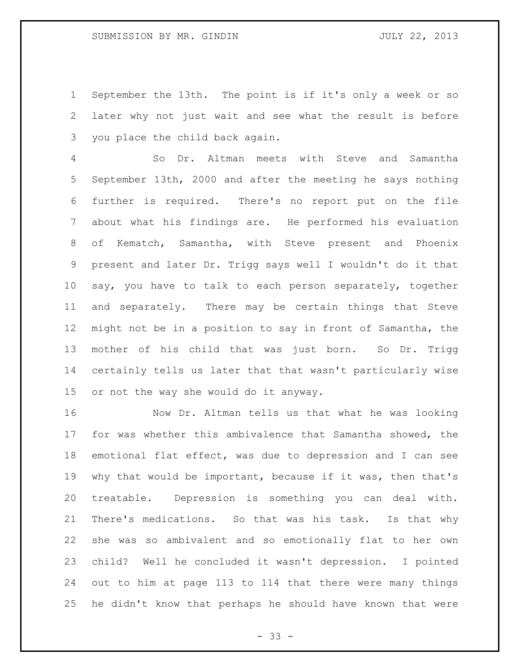September the 13th. The point is if it's only a week or so later why not just wait and see what the result is before you place the child back again.

 So Dr. Altman meets with Steve and Samantha September 13th, 2000 and after the meeting he says nothing further is required. There's no report put on the file about what his findings are. He performed his evaluation of Kematch, Samantha, with Steve present and Phoenix present and later Dr. Trigg says well I wouldn't do it that say, you have to talk to each person separately, together and separately. There may be certain things that Steve might not be in a position to say in front of Samantha, the mother of his child that was just born. So Dr. Trigg certainly tells us later that that wasn't particularly wise or not the way she would do it anyway.

 Now Dr. Altman tells us that what he was looking for was whether this ambivalence that Samantha showed, the emotional flat effect, was due to depression and I can see why that would be important, because if it was, then that's treatable. Depression is something you can deal with. There's medications. So that was his task. Is that why she was so ambivalent and so emotionally flat to her own child? Well he concluded it wasn't depression. I pointed out to him at page 113 to 114 that there were many things he didn't know that perhaps he should have known that were

- 33 -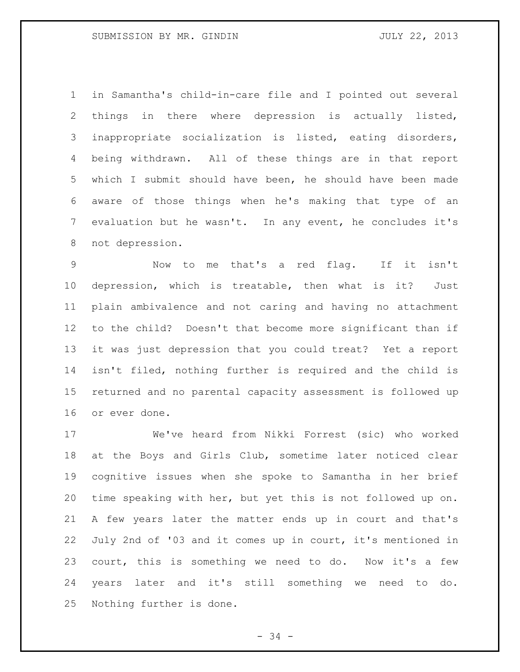in Samantha's child-in-care file and I pointed out several things in there where depression is actually listed, inappropriate socialization is listed, eating disorders, being withdrawn. All of these things are in that report which I submit should have been, he should have been made aware of those things when he's making that type of an evaluation but he wasn't. In any event, he concludes it's not depression.

 Now to me that's a red flag. If it isn't depression, which is treatable, then what is it? Just plain ambivalence and not caring and having no attachment to the child? Doesn't that become more significant than if it was just depression that you could treat? Yet a report isn't filed, nothing further is required and the child is returned and no parental capacity assessment is followed up or ever done.

 We've heard from Nikki Forrest (sic) who worked at the Boys and Girls Club, sometime later noticed clear cognitive issues when she spoke to Samantha in her brief time speaking with her, but yet this is not followed up on. A few years later the matter ends up in court and that's July 2nd of '03 and it comes up in court, it's mentioned in court, this is something we need to do. Now it's a few years later and it's still something we need to do. Nothing further is done.

- 34 -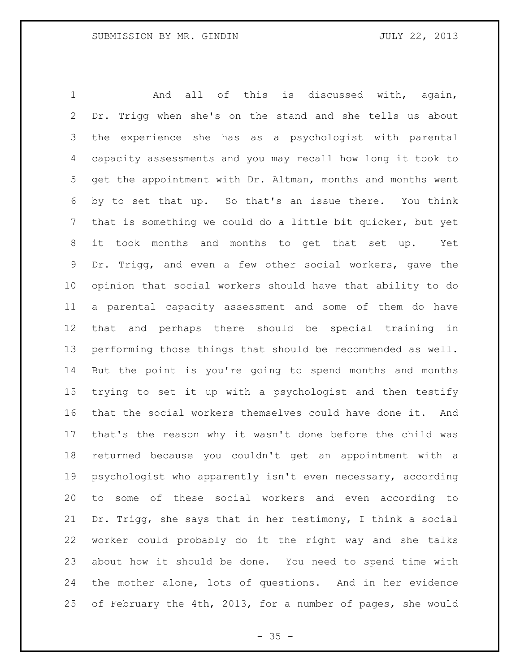And all of this is discussed with, again, Dr. Trigg when she's on the stand and she tells us about the experience she has as a psychologist with parental capacity assessments and you may recall how long it took to get the appointment with Dr. Altman, months and months went by to set that up. So that's an issue there. You think that is something we could do a little bit quicker, but yet it took months and months to get that set up. Yet Dr. Trigg, and even a few other social workers, gave the opinion that social workers should have that ability to do a parental capacity assessment and some of them do have that and perhaps there should be special training in performing those things that should be recommended as well. But the point is you're going to spend months and months trying to set it up with a psychologist and then testify that the social workers themselves could have done it. And that's the reason why it wasn't done before the child was returned because you couldn't get an appointment with a psychologist who apparently isn't even necessary, according to some of these social workers and even according to Dr. Trigg, she says that in her testimony, I think a social worker could probably do it the right way and she talks about how it should be done. You need to spend time with the mother alone, lots of questions. And in her evidence of February the 4th, 2013, for a number of pages, she would

 $- 35 -$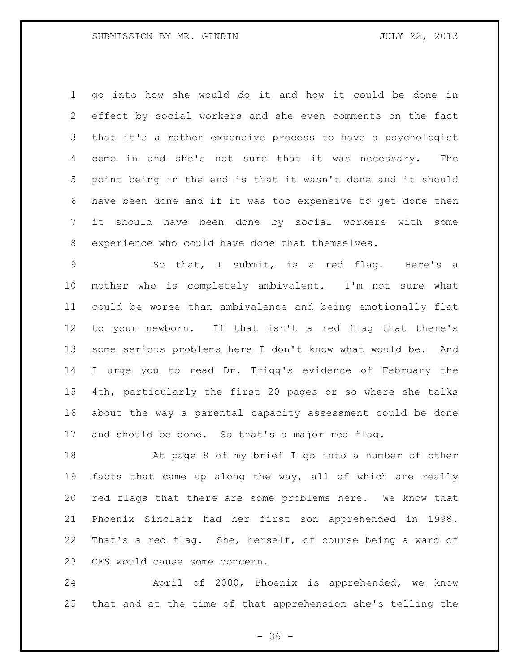go into how she would do it and how it could be done in effect by social workers and she even comments on the fact that it's a rather expensive process to have a psychologist come in and she's not sure that it was necessary. The point being in the end is that it wasn't done and it should have been done and if it was too expensive to get done then it should have been done by social workers with some experience who could have done that themselves.

 So that, I submit, is a red flag. Here's a mother who is completely ambivalent. I'm not sure what could be worse than ambivalence and being emotionally flat to your newborn. If that isn't a red flag that there's some serious problems here I don't know what would be. And I urge you to read Dr. Trigg's evidence of February the 4th, particularly the first 20 pages or so where she talks about the way a parental capacity assessment could be done and should be done. So that's a major red flag.

 At page 8 of my brief I go into a number of other facts that came up along the way, all of which are really red flags that there are some problems here. We know that Phoenix Sinclair had her first son apprehended in 1998. That's a red flag. She, herself, of course being a ward of CFS would cause some concern.

 April of 2000, Phoenix is apprehended, we know that and at the time of that apprehension she's telling the

 $- 36 -$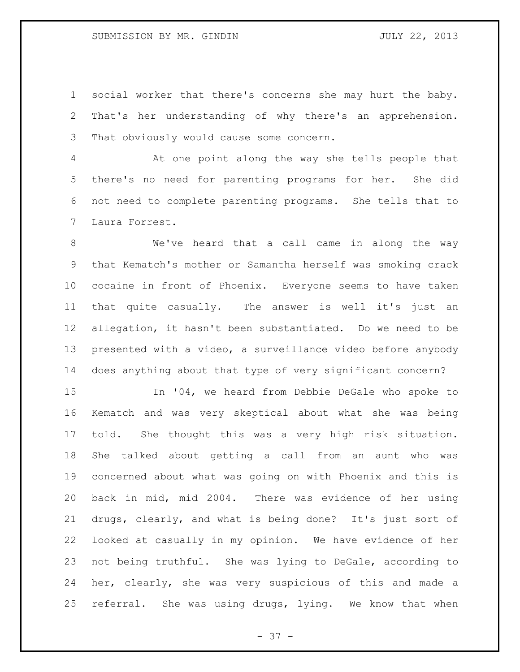## SUBMISSION BY MR. GINDIN JULY 22, 2013

 social worker that there's concerns she may hurt the baby. That's her understanding of why there's an apprehension. That obviously would cause some concern.

 At one point along the way she tells people that there's no need for parenting programs for her. She did not need to complete parenting programs. She tells that to Laura Forrest.

 We've heard that a call came in along the way that Kematch's mother or Samantha herself was smoking crack cocaine in front of Phoenix. Everyone seems to have taken that quite casually. The answer is well it's just an allegation, it hasn't been substantiated. Do we need to be presented with a video, a surveillance video before anybody does anything about that type of very significant concern?

 In '04, we heard from Debbie DeGale who spoke to Kematch and was very skeptical about what she was being told. She thought this was a very high risk situation. She talked about getting a call from an aunt who was concerned about what was going on with Phoenix and this is back in mid, mid 2004. There was evidence of her using drugs, clearly, and what is being done? It's just sort of looked at casually in my opinion. We have evidence of her not being truthful. She was lying to DeGale, according to her, clearly, she was very suspicious of this and made a referral. She was using drugs, lying. We know that when

 $- 37 -$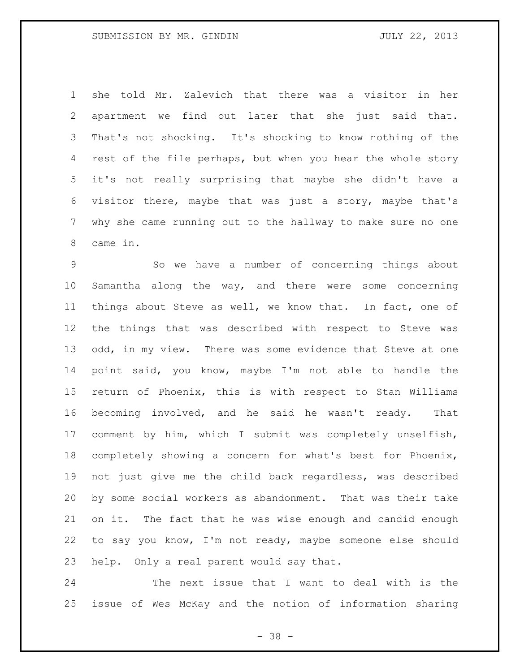she told Mr. Zalevich that there was a visitor in her apartment we find out later that she just said that. That's not shocking. It's shocking to know nothing of the 4 rest of the file perhaps, but when you hear the whole story it's not really surprising that maybe she didn't have a visitor there, maybe that was just a story, maybe that's why she came running out to the hallway to make sure no one came in.

 So we have a number of concerning things about Samantha along the way, and there were some concerning things about Steve as well, we know that. In fact, one of the things that was described with respect to Steve was 13 odd, in my view. There was some evidence that Steve at one point said, you know, maybe I'm not able to handle the return of Phoenix, this is with respect to Stan Williams becoming involved, and he said he wasn't ready. That comment by him, which I submit was completely unselfish, completely showing a concern for what's best for Phoenix, not just give me the child back regardless, was described by some social workers as abandonment. That was their take on it. The fact that he was wise enough and candid enough to say you know, I'm not ready, maybe someone else should help. Only a real parent would say that.

 The next issue that I want to deal with is the issue of Wes McKay and the notion of information sharing

- 38 -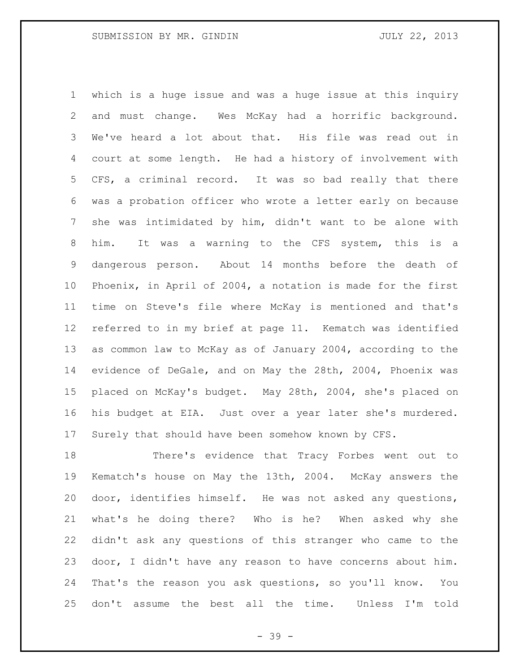which is a huge issue and was a huge issue at this inquiry and must change. Wes McKay had a horrific background. We've heard a lot about that. His file was read out in court at some length. He had a history of involvement with CFS, a criminal record. It was so bad really that there was a probation officer who wrote a letter early on because she was intimidated by him, didn't want to be alone with him. It was a warning to the CFS system, this is a dangerous person. About 14 months before the death of Phoenix, in April of 2004, a notation is made for the first time on Steve's file where McKay is mentioned and that's referred to in my brief at page 11. Kematch was identified as common law to McKay as of January 2004, according to the evidence of DeGale, and on May the 28th, 2004, Phoenix was placed on McKay's budget. May 28th, 2004, she's placed on his budget at EIA. Just over a year later she's murdered. Surely that should have been somehow known by CFS.

 There's evidence that Tracy Forbes went out to Kematch's house on May the 13th, 2004. McKay answers the door, identifies himself. He was not asked any questions, what's he doing there? Who is he? When asked why she didn't ask any questions of this stranger who came to the door, I didn't have any reason to have concerns about him. That's the reason you ask questions, so you'll know. You don't assume the best all the time. Unless I'm told

- 39 -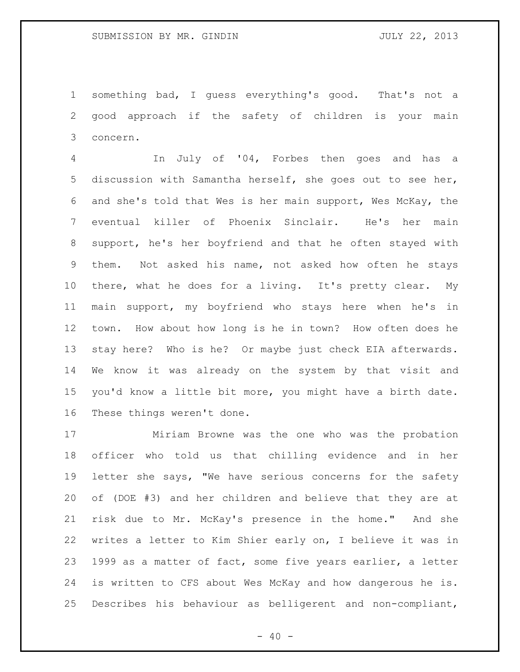something bad, I guess everything's good. That's not a good approach if the safety of children is your main concern.

 In July of '04, Forbes then goes and has a discussion with Samantha herself, she goes out to see her, and she's told that Wes is her main support, Wes McKay, the eventual killer of Phoenix Sinclair. He's her main support, he's her boyfriend and that he often stayed with them. Not asked his name, not asked how often he stays there, what he does for a living. It's pretty clear. My main support, my boyfriend who stays here when he's in town. How about how long is he in town? How often does he stay here? Who is he? Or maybe just check EIA afterwards. We know it was already on the system by that visit and you'd know a little bit more, you might have a birth date. These things weren't done.

 Miriam Browne was the one who was the probation officer who told us that chilling evidence and in her letter she says, "We have serious concerns for the safety of (DOE #3) and her children and believe that they are at risk due to Mr. McKay's presence in the home." And she writes a letter to Kim Shier early on, I believe it was in 1999 as a matter of fact, some five years earlier, a letter is written to CFS about Wes McKay and how dangerous he is. Describes his behaviour as belligerent and non-compliant,

 $- 40 -$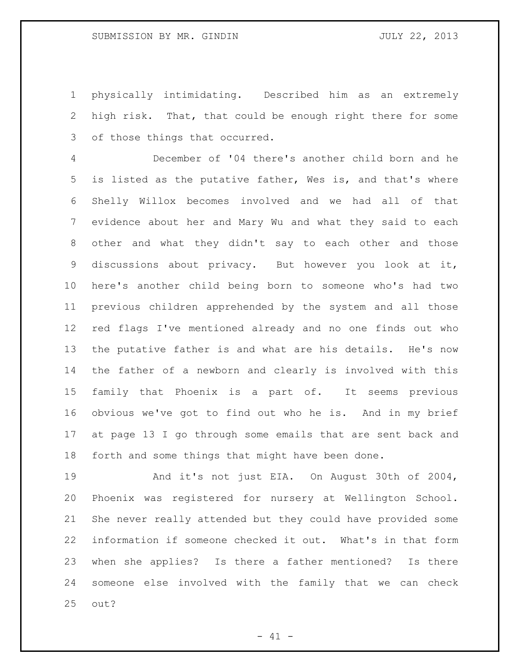physically intimidating. Described him as an extremely high risk. That, that could be enough right there for some of those things that occurred.

 December of '04 there's another child born and he is listed as the putative father, Wes is, and that's where Shelly Willox becomes involved and we had all of that evidence about her and Mary Wu and what they said to each other and what they didn't say to each other and those discussions about privacy. But however you look at it, here's another child being born to someone who's had two previous children apprehended by the system and all those red flags I've mentioned already and no one finds out who the putative father is and what are his details. He's now the father of a newborn and clearly is involved with this family that Phoenix is a part of. It seems previous obvious we've got to find out who he is. And in my brief at page 13 I go through some emails that are sent back and forth and some things that might have been done.

 And it's not just EIA. On August 30th of 2004, Phoenix was registered for nursery at Wellington School. She never really attended but they could have provided some information if someone checked it out. What's in that form when she applies? Is there a father mentioned? Is there someone else involved with the family that we can check out?

 $- 41 -$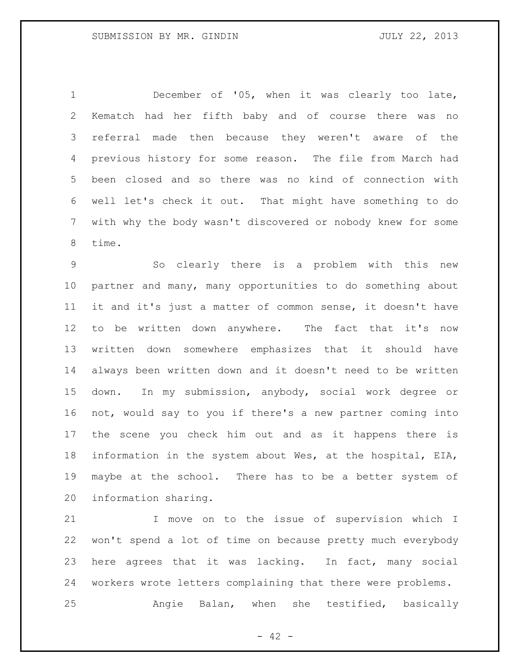December of '05, when it was clearly too late, Kematch had her fifth baby and of course there was no referral made then because they weren't aware of the previous history for some reason. The file from March had been closed and so there was no kind of connection with well let's check it out. That might have something to do with why the body wasn't discovered or nobody knew for some time.

 So clearly there is a problem with this new partner and many, many opportunities to do something about it and it's just a matter of common sense, it doesn't have to be written down anywhere. The fact that it's now written down somewhere emphasizes that it should have always been written down and it doesn't need to be written down. In my submission, anybody, social work degree or not, would say to you if there's a new partner coming into the scene you check him out and as it happens there is information in the system about Wes, at the hospital, EIA, maybe at the school. There has to be a better system of information sharing.

 I move on to the issue of supervision which I won't spend a lot of time on because pretty much everybody here agrees that it was lacking. In fact, many social workers wrote letters complaining that there were problems. Angie Balan, when she testified, basically

 $- 42 -$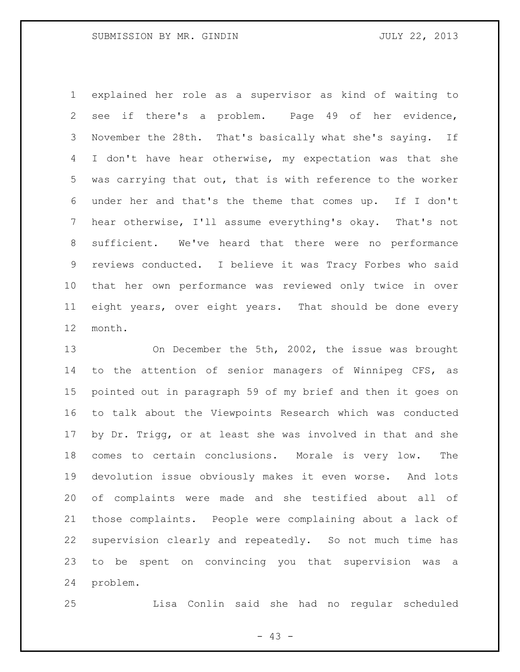explained her role as a supervisor as kind of waiting to see if there's a problem. Page 49 of her evidence, November the 28th. That's basically what she's saying. If I don't have hear otherwise, my expectation was that she was carrying that out, that is with reference to the worker under her and that's the theme that comes up. If I don't hear otherwise, I'll assume everything's okay. That's not sufficient. We've heard that there were no performance reviews conducted. I believe it was Tracy Forbes who said that her own performance was reviewed only twice in over eight years, over eight years. That should be done every month.

 On December the 5th, 2002, the issue was brought to the attention of senior managers of Winnipeg CFS, as pointed out in paragraph 59 of my brief and then it goes on to talk about the Viewpoints Research which was conducted by Dr. Trigg, or at least she was involved in that and she comes to certain conclusions. Morale is very low. The devolution issue obviously makes it even worse. And lots of complaints were made and she testified about all of those complaints. People were complaining about a lack of supervision clearly and repeatedly. So not much time has to be spent on convincing you that supervision was a problem.

Lisa Conlin said she had no regular scheduled

- 43 -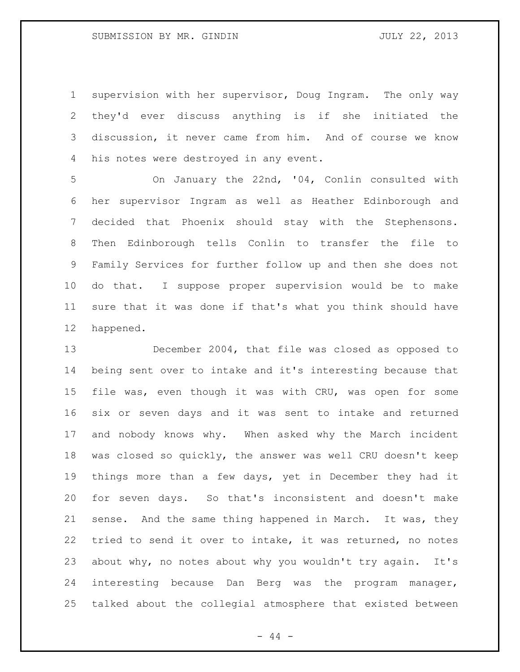supervision with her supervisor, Doug Ingram. The only way they'd ever discuss anything is if she initiated the discussion, it never came from him. And of course we know his notes were destroyed in any event.

 On January the 22nd, '04, Conlin consulted with her supervisor Ingram as well as Heather Edinborough and decided that Phoenix should stay with the Stephensons. Then Edinborough tells Conlin to transfer the file to Family Services for further follow up and then she does not do that. I suppose proper supervision would be to make sure that it was done if that's what you think should have happened.

 December 2004, that file was closed as opposed to being sent over to intake and it's interesting because that file was, even though it was with CRU, was open for some six or seven days and it was sent to intake and returned and nobody knows why. When asked why the March incident was closed so quickly, the answer was well CRU doesn't keep things more than a few days, yet in December they had it for seven days. So that's inconsistent and doesn't make sense. And the same thing happened in March. It was, they tried to send it over to intake, it was returned, no notes about why, no notes about why you wouldn't try again. It's interesting because Dan Berg was the program manager, talked about the collegial atmosphere that existed between

- 44 -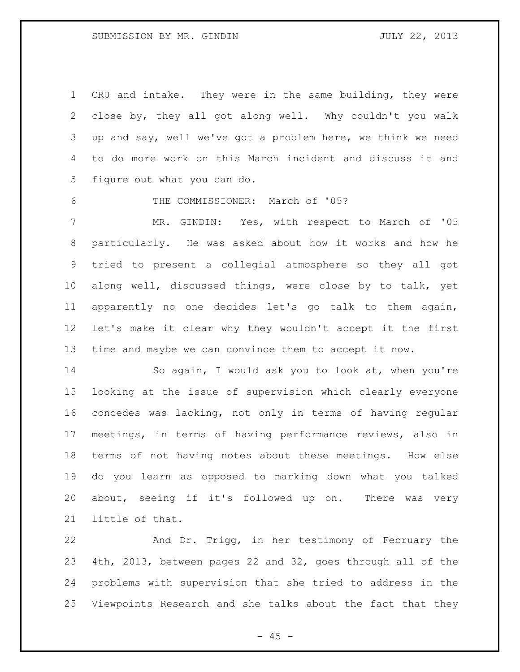CRU and intake. They were in the same building, they were close by, they all got along well. Why couldn't you walk up and say, well we've got a problem here, we think we need to do more work on this March incident and discuss it and figure out what you can do.

THE COMMISSIONER: March of '05?

 MR. GINDIN: Yes, with respect to March of '05 particularly. He was asked about how it works and how he tried to present a collegial atmosphere so they all got along well, discussed things, were close by to talk, yet apparently no one decides let's go talk to them again, let's make it clear why they wouldn't accept it the first time and maybe we can convince them to accept it now.

 So again, I would ask you to look at, when you're looking at the issue of supervision which clearly everyone concedes was lacking, not only in terms of having regular meetings, in terms of having performance reviews, also in terms of not having notes about these meetings. How else do you learn as opposed to marking down what you talked about, seeing if it's followed up on. There was very little of that.

 And Dr. Trigg, in her testimony of February the 4th, 2013, between pages 22 and 32, goes through all of the problems with supervision that she tried to address in the Viewpoints Research and she talks about the fact that they

 $- 45 -$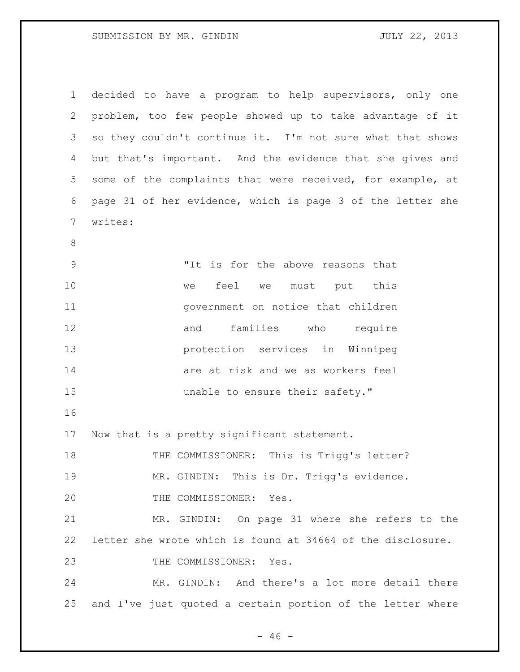| $\mathbf{1}$ | decided to have a program to help supervisors, only one     |
|--------------|-------------------------------------------------------------|
| 2            | problem, too few people showed up to take advantage of it   |
| 3            | so they couldn't continue it. I'm not sure what that shows  |
| 4            | but that's important. And the evidence that she gives and   |
| 5            | some of the complaints that were received, for example, at  |
| 6            | page 31 of her evidence, which is page 3 of the letter she  |
| 7            | writes:                                                     |
| $8\,$        |                                                             |
| $\mathsf 9$  | "It is for the above reasons that                           |
| 10           | feel we must put<br>this<br>we                              |
| 11           | government on notice that children                          |
| 12           | families who require<br>and                                 |
| 13           | protection services in Winnipeg                             |
| 14           | are at risk and we as workers feel                          |
| 15           | unable to ensure their safety."                             |
| 16           |                                                             |
| 17           | Now that is a pretty significant statement.                 |
| 18           | THE COMMISSIONER: This is Trigg's letter?                   |
| 19           | MR. GINDIN: This is Dr. Trigg's evidence.                   |
| 20           | THE COMMISSIONER: Yes.                                      |
| 21           | MR. GINDIN: On page 31 where she refers to the              |
| 22           | letter she wrote which is found at 34664 of the disclosure. |
| 23           | THE COMMISSIONER: Yes.                                      |
| 24           | MR. GINDIN: And there's a lot more detail there             |
| 25           | and I've just quoted a certain portion of the letter where  |

 $- 46 -$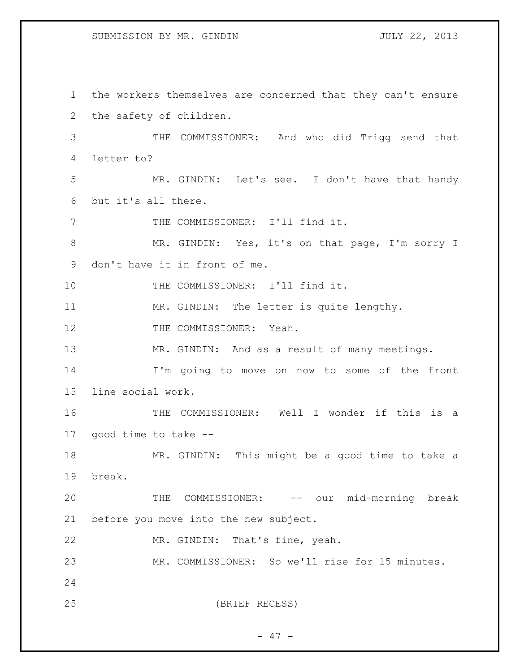## SUBMISSION BY MR. GINDIN JULY 22, 2013

 the workers themselves are concerned that they can't ensure the safety of children. THE COMMISSIONER: And who did Trigg send that letter to? MR. GINDIN: Let's see. I don't have that handy but it's all there. THE COMMISSIONER: I'll find it. 8 MR. GINDIN: Yes, it's on that page, I'm sorry I don't have it in front of me. 10 THE COMMISSIONER: I'll find it. 11 MR. GINDIN: The letter is quite lengthy. 12 THE COMMISSIONER: Yeah. MR. GINDIN: And as a result of many meetings. I'm going to move on now to some of the front line social work. THE COMMISSIONER: Well I wonder if this is a good time to take -- MR. GINDIN: This might be a good time to take a break. 20 THE COMMISSIONER: -- our mid-morning break before you move into the new subject. MR. GINDIN: That's fine, yeah. MR. COMMISSIONER: So we'll rise for 15 minutes. (BRIEF RECESS)

- 47 -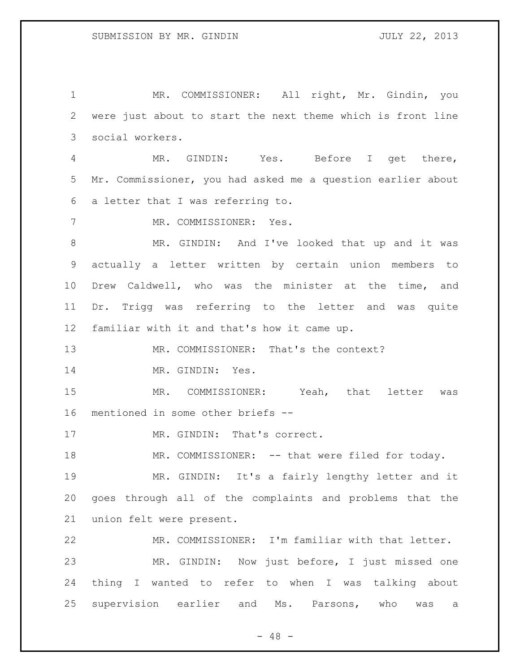MR. COMMISSIONER: All right, Mr. Gindin, you were just about to start the next theme which is front line social workers.

 MR. GINDIN: Yes. Before I get there, Mr. Commissioner, you had asked me a question earlier about a letter that I was referring to.

MR. COMMISSIONER: Yes.

 MR. GINDIN: And I've looked that up and it was actually a letter written by certain union members to Drew Caldwell, who was the minister at the time, and Dr. Trigg was referring to the letter and was quite familiar with it and that's how it came up.

MR. COMMISSIONER: That's the context?

MR. GINDIN: Yes.

 MR. COMMISSIONER: Yeah, that letter was mentioned in some other briefs --

17 MR. GINDIN: That's correct.

MR. COMMISSIONER: -- that were filed for today.

 MR. GINDIN: It's a fairly lengthy letter and it goes through all of the complaints and problems that the union felt were present.

 MR. COMMISSIONER: I'm familiar with that letter. MR. GINDIN: Now just before, I just missed one thing I wanted to refer to when I was talking about supervision earlier and Ms. Parsons, who was a

 $- 48 -$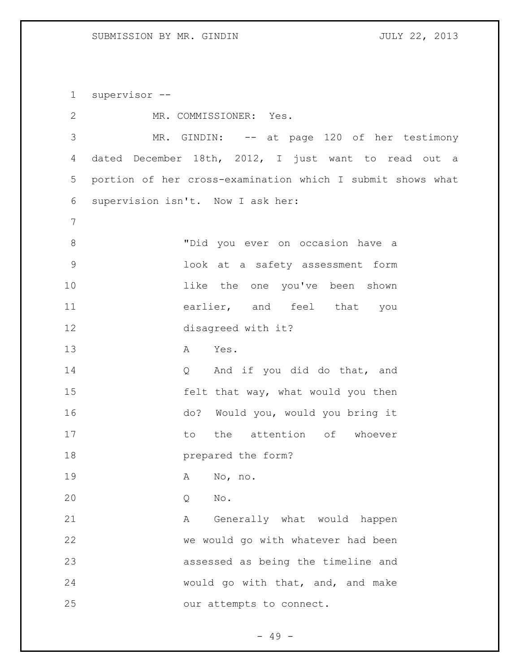supervisor --

| $\mathbf{2}$   | MR. COMMISSIONER: Yes.                                     |
|----------------|------------------------------------------------------------|
| $\mathcal{S}$  | MR. GINDIN: -- at page 120 of her testimony                |
| 4              | dated December 18th, 2012, I just want to read out a       |
| 5              | portion of her cross-examination which I submit shows what |
| 6              | supervision isn't. Now I ask her:                          |
| $7\phantom{.}$ |                                                            |
| $8\,$          | "Did you ever on occasion have a                           |
| $\mathsf 9$    | look at a safety assessment form                           |
| 10             | like the one you've been shown                             |
| 11             | earlier, and feel that you                                 |
| 12             | disagreed with it?                                         |
| 13             | Yes.<br>$\mathbf{A}$                                       |
| 14             | And if you did do that, and<br>$Q \qquad \qquad$           |
| 15             | felt that way, what would you then                         |
| 16             | do? Would you, would you bring it                          |
| 17             | the attention of whoever<br>to                             |
| 18             | prepared the form?                                         |
| 19             | No, no.<br>Α                                               |
| 20             | No.<br>Q                                                   |
| 21             | Generally what would happen<br>Α                           |
| 22             | we would go with whatever had been                         |
| 23             | assessed as being the timeline and                         |
| 24             | would go with that, and, and make                          |
| 25             | our attempts to connect.                                   |

- 49 -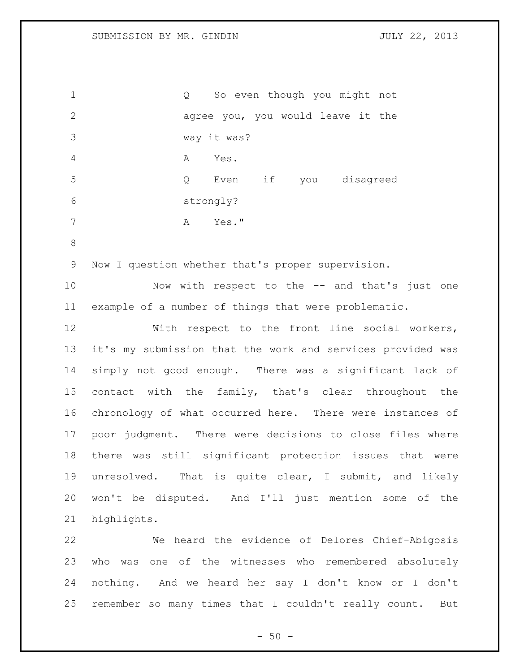Q So even though you might not agree you, you would leave it the way it was? A Yes. Q Even if you disagreed strongly? A Yes." Now I question whether that's proper supervision. Now with respect to the -- and that's just one example of a number of things that were problematic. With respect to the front line social workers, it's my submission that the work and services provided was simply not good enough. There was a significant lack of contact with the family, that's clear throughout the chronology of what occurred here. There were instances of poor judgment. There were decisions to close files where there was still significant protection issues that were unresolved. That is quite clear, I submit, and likely won't be disputed. And I'll just mention some of the highlights. We heard the evidence of Delores Chief-Abigosis who was one of the witnesses who remembered absolutely nothing. And we heard her say I don't know or I don't remember so many times that I couldn't really count. But

 $-50 -$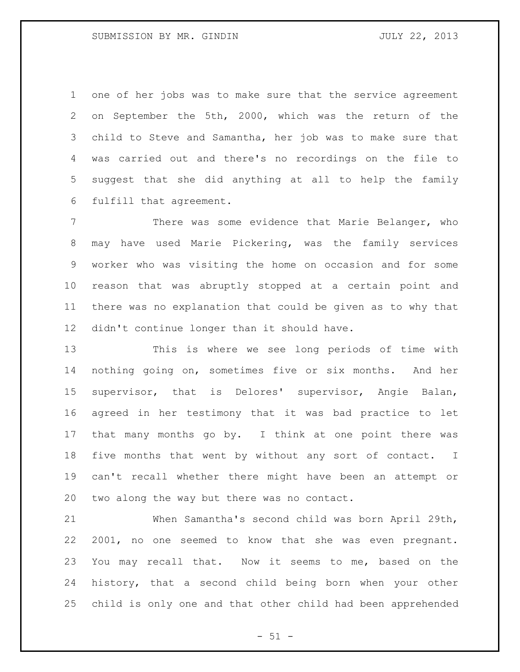one of her jobs was to make sure that the service agreement on September the 5th, 2000, which was the return of the child to Steve and Samantha, her job was to make sure that was carried out and there's no recordings on the file to suggest that she did anything at all to help the family fulfill that agreement.

 There was some evidence that Marie Belanger, who may have used Marie Pickering, was the family services worker who was visiting the home on occasion and for some reason that was abruptly stopped at a certain point and there was no explanation that could be given as to why that didn't continue longer than it should have.

 This is where we see long periods of time with nothing going on, sometimes five or six months. And her supervisor, that is Delores' supervisor, Angie Balan, agreed in her testimony that it was bad practice to let that many months go by. I think at one point there was five months that went by without any sort of contact. I can't recall whether there might have been an attempt or two along the way but there was no contact.

 When Samantha's second child was born April 29th, 2001, no one seemed to know that she was even pregnant. You may recall that. Now it seems to me, based on the history, that a second child being born when your other child is only one and that other child had been apprehended

 $- 51 -$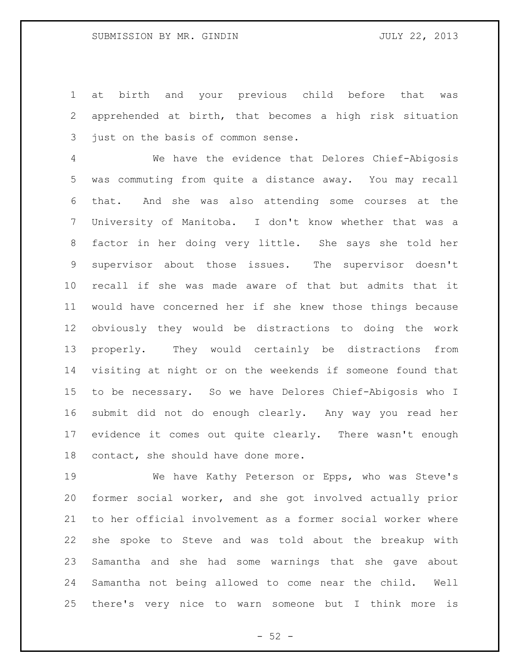at birth and your previous child before that was apprehended at birth, that becomes a high risk situation just on the basis of common sense.

 We have the evidence that Delores Chief-Abigosis was commuting from quite a distance away. You may recall that. And she was also attending some courses at the University of Manitoba. I don't know whether that was a factor in her doing very little. She says she told her supervisor about those issues. The supervisor doesn't recall if she was made aware of that but admits that it would have concerned her if she knew those things because obviously they would be distractions to doing the work properly. They would certainly be distractions from visiting at night or on the weekends if someone found that to be necessary. So we have Delores Chief-Abigosis who I submit did not do enough clearly. Any way you read her evidence it comes out quite clearly. There wasn't enough contact, she should have done more.

 We have Kathy Peterson or Epps, who was Steve's former social worker, and she got involved actually prior to her official involvement as a former social worker where she spoke to Steve and was told about the breakup with Samantha and she had some warnings that she gave about Samantha not being allowed to come near the child. Well there's very nice to warn someone but I think more is

 $-52 -$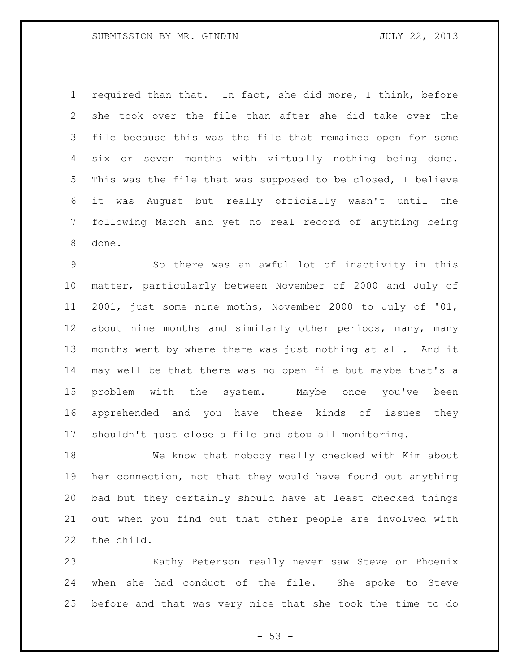required than that. In fact, she did more, I think, before she took over the file than after she did take over the file because this was the file that remained open for some six or seven months with virtually nothing being done. This was the file that was supposed to be closed, I believe it was August but really officially wasn't until the following March and yet no real record of anything being done.

 So there was an awful lot of inactivity in this matter, particularly between November of 2000 and July of 2001, just some nine moths, November 2000 to July of '01, about nine months and similarly other periods, many, many months went by where there was just nothing at all. And it may well be that there was no open file but maybe that's a problem with the system. Maybe once you've been apprehended and you have these kinds of issues they shouldn't just close a file and stop all monitoring.

 We know that nobody really checked with Kim about her connection, not that they would have found out anything bad but they certainly should have at least checked things out when you find out that other people are involved with the child.

 Kathy Peterson really never saw Steve or Phoenix when she had conduct of the file. She spoke to Steve before and that was very nice that she took the time to do

 $- 53 -$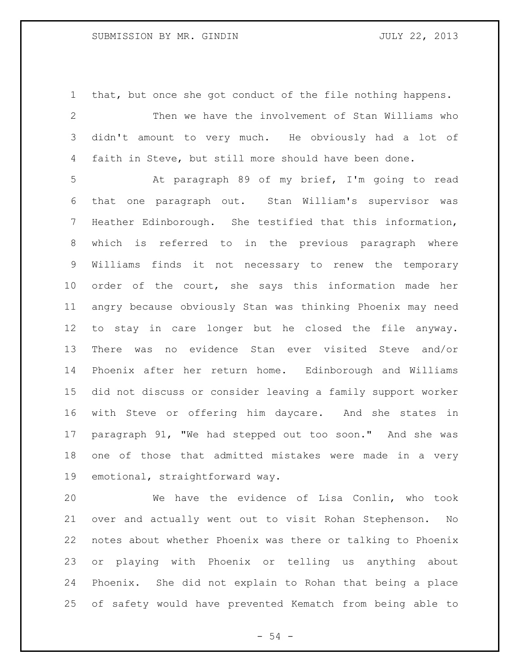## SUBMISSION BY MR. GINDIN JULY 22, 2013

 that, but once she got conduct of the file nothing happens. Then we have the involvement of Stan Williams who didn't amount to very much. He obviously had a lot of faith in Steve, but still more should have been done.

 At paragraph 89 of my brief, I'm going to read that one paragraph out. Stan William's supervisor was Heather Edinborough. She testified that this information, which is referred to in the previous paragraph where Williams finds it not necessary to renew the temporary order of the court, she says this information made her angry because obviously Stan was thinking Phoenix may need to stay in care longer but he closed the file anyway. There was no evidence Stan ever visited Steve and/or Phoenix after her return home. Edinborough and Williams did not discuss or consider leaving a family support worker with Steve or offering him daycare. And she states in paragraph 91, "We had stepped out too soon." And she was one of those that admitted mistakes were made in a very emotional, straightforward way.

 We have the evidence of Lisa Conlin, who took over and actually went out to visit Rohan Stephenson. No notes about whether Phoenix was there or talking to Phoenix or playing with Phoenix or telling us anything about Phoenix. She did not explain to Rohan that being a place of safety would have prevented Kematch from being able to

 $-54 -$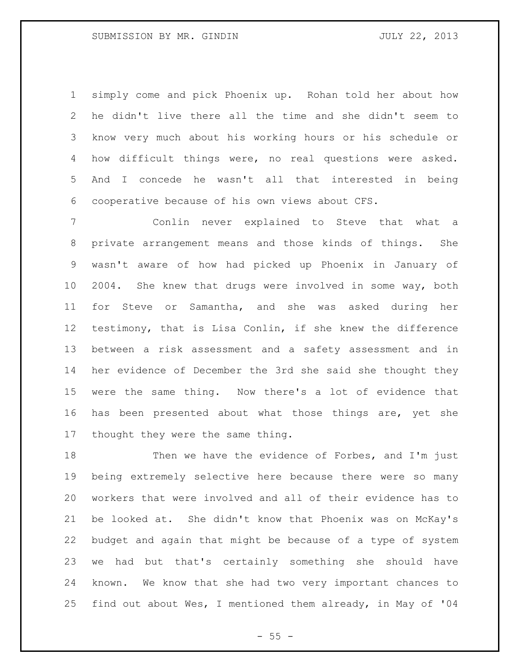simply come and pick Phoenix up. Rohan told her about how he didn't live there all the time and she didn't seem to know very much about his working hours or his schedule or how difficult things were, no real questions were asked. And I concede he wasn't all that interested in being cooperative because of his own views about CFS.

 Conlin never explained to Steve that what a private arrangement means and those kinds of things. She wasn't aware of how had picked up Phoenix in January of 2004. She knew that drugs were involved in some way, both for Steve or Samantha, and she was asked during her testimony, that is Lisa Conlin, if she knew the difference between a risk assessment and a safety assessment and in her evidence of December the 3rd she said she thought they were the same thing. Now there's a lot of evidence that has been presented about what those things are, yet she thought they were the same thing.

18 Then we have the evidence of Forbes, and I'm just being extremely selective here because there were so many workers that were involved and all of their evidence has to be looked at. She didn't know that Phoenix was on McKay's budget and again that might be because of a type of system we had but that's certainly something she should have known. We know that she had two very important chances to find out about Wes, I mentioned them already, in May of '04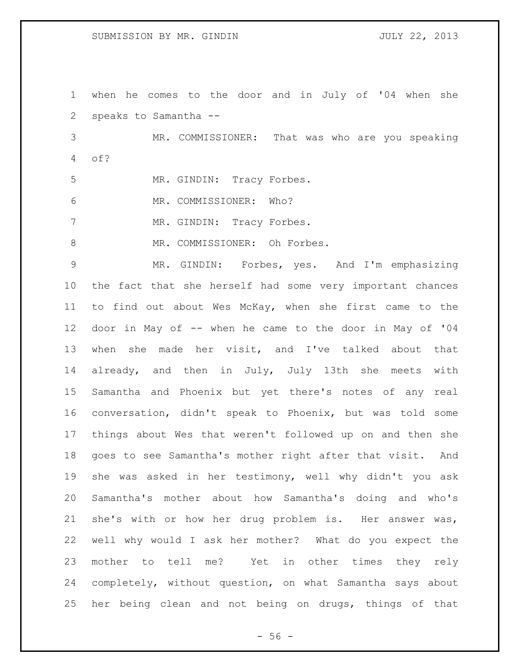when he comes to the door and in July of '04 when she speaks to Samantha --

 MR. COMMISSIONER: That was who are you speaking of?

5 MR. GINDIN: Tracy Forbes.

6 MR. COMMISSIONER: Who?

7 MR. GINDIN: Tracy Forbes.

8 MR. COMMISSIONER: Oh Forbes.

 MR. GINDIN: Forbes, yes. And I'm emphasizing the fact that she herself had some very important chances to find out about Wes McKay, when she first came to the door in May of -- when he came to the door in May of '04 when she made her visit, and I've talked about that already, and then in July, July 13th she meets with Samantha and Phoenix but yet there's notes of any real conversation, didn't speak to Phoenix, but was told some things about Wes that weren't followed up on and then she goes to see Samantha's mother right after that visit. And she was asked in her testimony, well why didn't you ask Samantha's mother about how Samantha's doing and who's she's with or how her drug problem is. Her answer was, well why would I ask her mother? What do you expect the mother to tell me? Yet in other times they rely completely, without question, on what Samantha says about her being clean and not being on drugs, things of that

 $-56 -$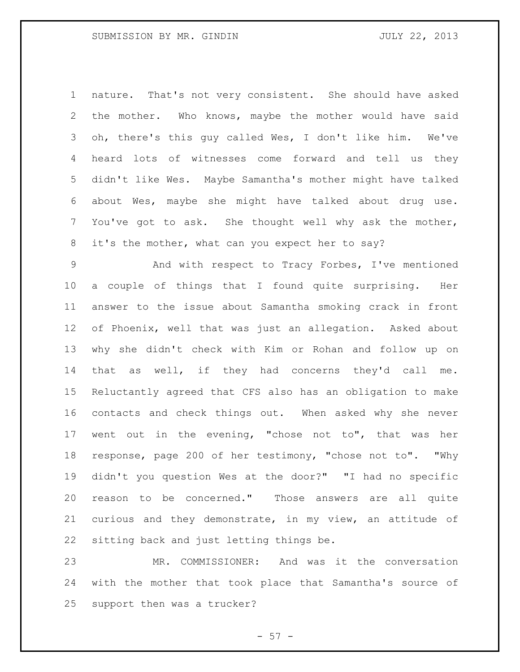nature. That's not very consistent. She should have asked the mother. Who knows, maybe the mother would have said oh, there's this guy called Wes, I don't like him. We've heard lots of witnesses come forward and tell us they didn't like Wes. Maybe Samantha's mother might have talked about Wes, maybe she might have talked about drug use. You've got to ask. She thought well why ask the mother, it's the mother, what can you expect her to say?

 And with respect to Tracy Forbes, I've mentioned a couple of things that I found quite surprising. Her answer to the issue about Samantha smoking crack in front of Phoenix, well that was just an allegation. Asked about why she didn't check with Kim or Rohan and follow up on that as well, if they had concerns they'd call me. Reluctantly agreed that CFS also has an obligation to make contacts and check things out. When asked why she never went out in the evening, "chose not to", that was her response, page 200 of her testimony, "chose not to". "Why didn't you question Wes at the door?" "I had no specific reason to be concerned." Those answers are all quite curious and they demonstrate, in my view, an attitude of sitting back and just letting things be.

 MR. COMMISSIONER: And was it the conversation with the mother that took place that Samantha's source of support then was a trucker?

 $-57 -$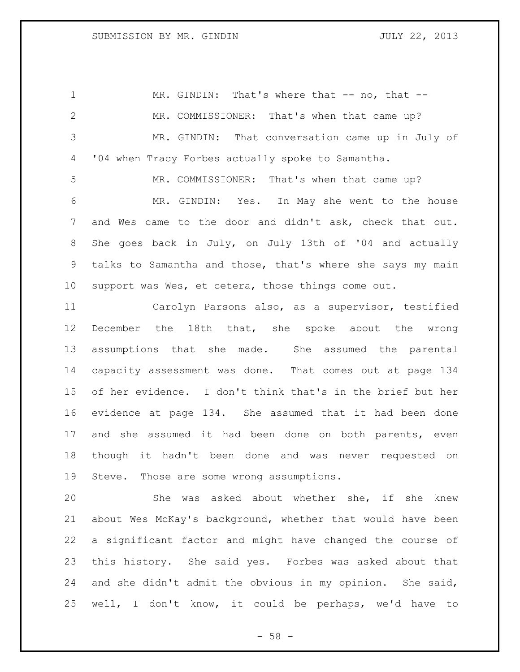1 MR. GINDIN: That's where that -- no, that -- MR. COMMISSIONER: That's when that came up? MR. GINDIN: That conversation came up in July of '04 when Tracy Forbes actually spoke to Samantha. MR. COMMISSIONER: That's when that came up? MR. GINDIN: Yes. In May she went to the house and Wes came to the door and didn't ask, check that out. She goes back in July, on July 13th of '04 and actually talks to Samantha and those, that's where she says my main

 Carolyn Parsons also, as a supervisor, testified December the 18th that, she spoke about the wrong assumptions that she made. She assumed the parental capacity assessment was done. That comes out at page 134 of her evidence. I don't think that's in the brief but her evidence at page 134. She assumed that it had been done and she assumed it had been done on both parents, even though it hadn't been done and was never requested on Steve. Those are some wrong assumptions.

support was Wes, et cetera, those things come out.

 She was asked about whether she, if she knew about Wes McKay's background, whether that would have been a significant factor and might have changed the course of this history. She said yes. Forbes was asked about that and she didn't admit the obvious in my opinion. She said, well, I don't know, it could be perhaps, we'd have to

 $- 58 -$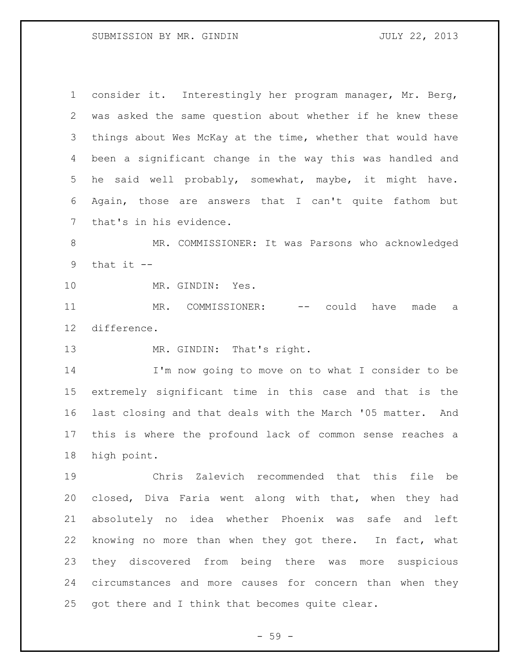## SUBMISSION BY MR. GINDIN JULY 22, 2013

 consider it. Interestingly her program manager, Mr. Berg, was asked the same question about whether if he knew these things about Wes McKay at the time, whether that would have been a significant change in the way this was handled and he said well probably, somewhat, maybe, it might have. Again, those are answers that I can't quite fathom but that's in his evidence.

 MR. COMMISSIONER: It was Parsons who acknowledged 9 that it  $-$ 

MR. GINDIN: Yes.

11 MR. COMMISSIONER: -- could have made a difference.

13 MR. GINDIN: That's right.

 I'm now going to move on to what I consider to be extremely significant time in this case and that is the last closing and that deals with the March '05 matter. And this is where the profound lack of common sense reaches a high point.

 Chris Zalevich recommended that this file be closed, Diva Faria went along with that, when they had absolutely no idea whether Phoenix was safe and left knowing no more than when they got there. In fact, what they discovered from being there was more suspicious circumstances and more causes for concern than when they got there and I think that becomes quite clear.

- 59 -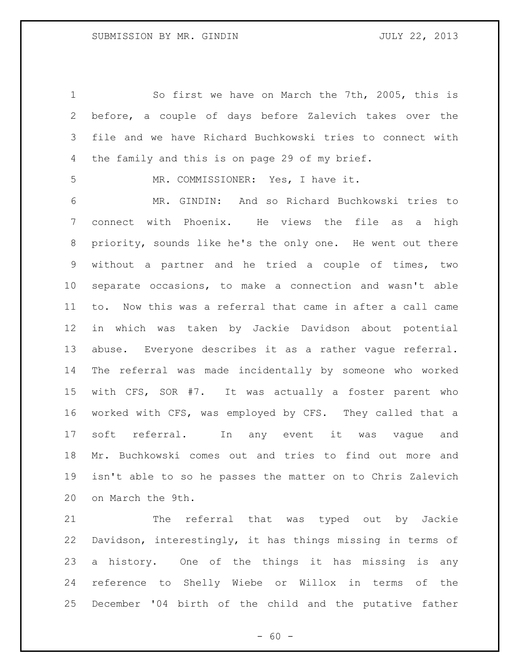So first we have on March the 7th, 2005, this is before, a couple of days before Zalevich takes over the file and we have Richard Buchkowski tries to connect with the family and this is on page 29 of my brief.

MR. COMMISSIONER: Yes, I have it.

 MR. GINDIN: And so Richard Buchkowski tries to connect with Phoenix. He views the file as a high priority, sounds like he's the only one. He went out there without a partner and he tried a couple of times, two separate occasions, to make a connection and wasn't able to. Now this was a referral that came in after a call came in which was taken by Jackie Davidson about potential abuse. Everyone describes it as a rather vague referral. The referral was made incidentally by someone who worked with CFS, SOR #7. It was actually a foster parent who worked with CFS, was employed by CFS. They called that a soft referral. In any event it was vague and Mr. Buchkowski comes out and tries to find out more and isn't able to so he passes the matter on to Chris Zalevich on March the 9th.

 The referral that was typed out by Jackie Davidson, interestingly, it has things missing in terms of a history. One of the things it has missing is any reference to Shelly Wiebe or Willox in terms of the December '04 birth of the child and the putative father

 $- 60 -$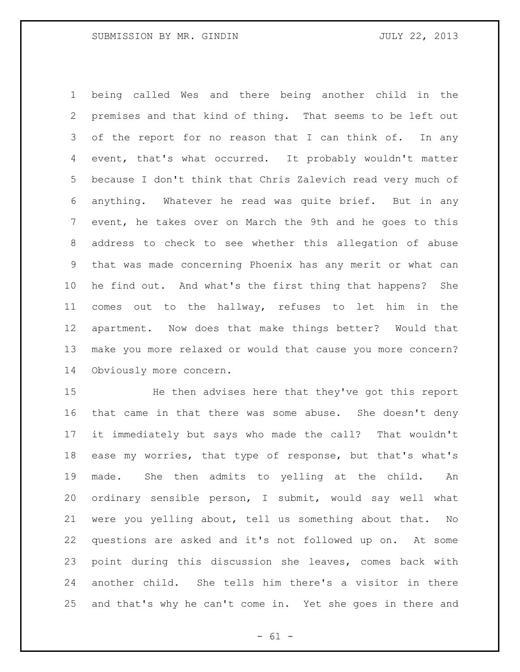being called Wes and there being another child in the premises and that kind of thing. That seems to be left out 3 of the report for no reason that I can think of. In any event, that's what occurred. It probably wouldn't matter because I don't think that Chris Zalevich read very much of anything. Whatever he read was quite brief. But in any event, he takes over on March the 9th and he goes to this address to check to see whether this allegation of abuse that was made concerning Phoenix has any merit or what can he find out. And what's the first thing that happens? She comes out to the hallway, refuses to let him in the apartment. Now does that make things better? Would that make you more relaxed or would that cause you more concern? Obviously more concern.

 He then advises here that they've got this report that came in that there was some abuse. She doesn't deny it immediately but says who made the call? That wouldn't ease my worries, that type of response, but that's what's made. She then admits to yelling at the child. An ordinary sensible person, I submit, would say well what were you yelling about, tell us something about that. No questions are asked and it's not followed up on. At some point during this discussion she leaves, comes back with another child. She tells him there's a visitor in there and that's why he can't come in. Yet she goes in there and

 $- 61 -$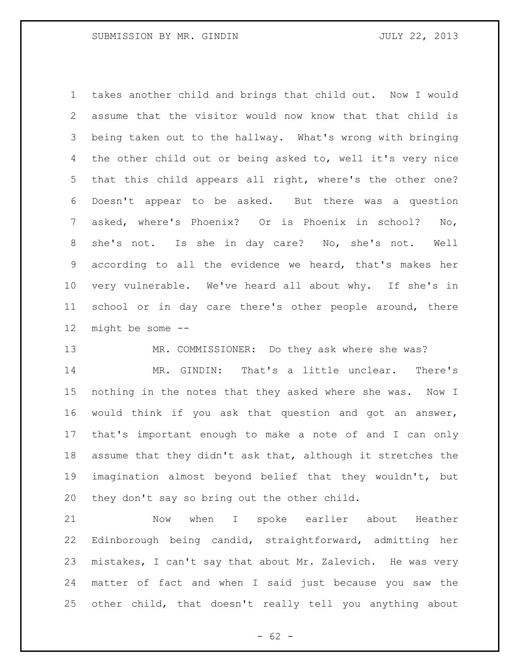takes another child and brings that child out. Now I would assume that the visitor would now know that that child is being taken out to the hallway. What's wrong with bringing 4 the other child out or being asked to, well it's very nice that this child appears all right, where's the other one? Doesn't appear to be asked. But there was a question asked, where's Phoenix? Or is Phoenix in school? No, she's not. Is she in day care? No, she's not. Well according to all the evidence we heard, that's makes her very vulnerable. We've heard all about why. If she's in school or in day care there's other people around, there might be some --

MR. COMMISSIONER: Do they ask where she was?

 MR. GINDIN: That's a little unclear. There's nothing in the notes that they asked where she was. Now I would think if you ask that question and got an answer, that's important enough to make a note of and I can only assume that they didn't ask that, although it stretches the imagination almost beyond belief that they wouldn't, but they don't say so bring out the other child.

 Now when I spoke earlier about Heather Edinborough being candid, straightforward, admitting her mistakes, I can't say that about Mr. Zalevich. He was very matter of fact and when I said just because you saw the other child, that doesn't really tell you anything about

 $- 62 -$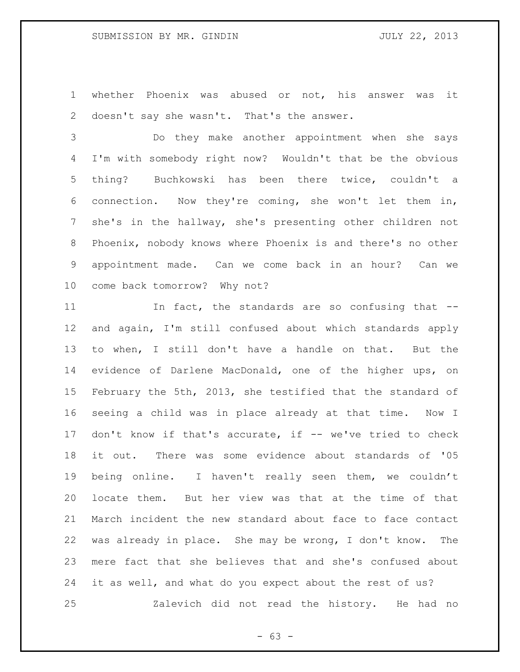whether Phoenix was abused or not, his answer was it 2 doesn't say she wasn't. That's the answer.

 Do they make another appointment when she says I'm with somebody right now? Wouldn't that be the obvious thing? Buchkowski has been there twice, couldn't a connection. Now they're coming, she won't let them in, she's in the hallway, she's presenting other children not Phoenix, nobody knows where Phoenix is and there's no other appointment made. Can we come back in an hour? Can we come back tomorrow? Why not?

11 11 In fact, the standards are so confusing that -- and again, I'm still confused about which standards apply to when, I still don't have a handle on that. But the evidence of Darlene MacDonald, one of the higher ups, on February the 5th, 2013, she testified that the standard of seeing a child was in place already at that time. Now I don't know if that's accurate, if -- we've tried to check it out. There was some evidence about standards of '05 being online. I haven't really seen them, we couldn't locate them. But her view was that at the time of that March incident the new standard about face to face contact was already in place. She may be wrong, I don't know. The mere fact that she believes that and she's confused about it as well, and what do you expect about the rest of us? Zalevich did not read the history. He had no

 $- 63 -$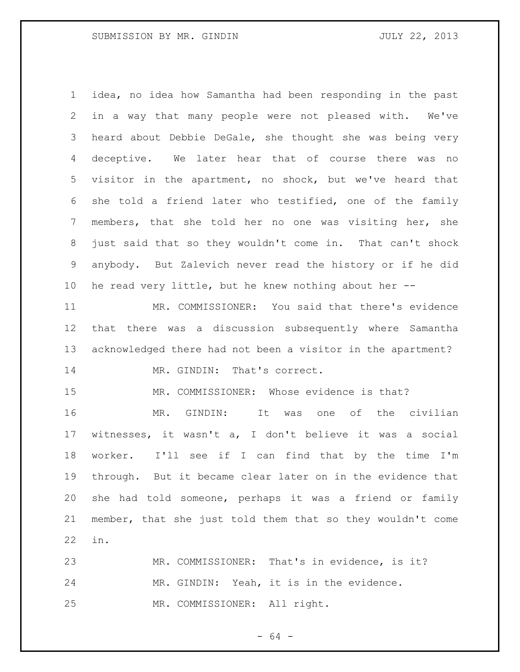idea, no idea how Samantha had been responding in the past in a way that many people were not pleased with. We've heard about Debbie DeGale, she thought she was being very deceptive. We later hear that of course there was no visitor in the apartment, no shock, but we've heard that she told a friend later who testified, one of the family members, that she told her no one was visiting her, she just said that so they wouldn't come in. That can't shock anybody. But Zalevich never read the history or if he did he read very little, but he knew nothing about her --

 MR. COMMISSIONER: You said that there's evidence that there was a discussion subsequently where Samantha acknowledged there had not been a visitor in the apartment? 14 MR. GINDIN: That's correct.

MR. COMMISSIONER: Whose evidence is that?

 MR. GINDIN: It was one of the civilian witnesses, it wasn't a, I don't believe it was a social worker. I'll see if I can find that by the time I'm through. But it became clear later on in the evidence that she had told someone, perhaps it was a friend or family member, that she just told them that so they wouldn't come in.

 MR. COMMISSIONER: That's in evidence, is it? MR. GINDIN: Yeah, it is in the evidence. MR. COMMISSIONER: All right.

- 64 -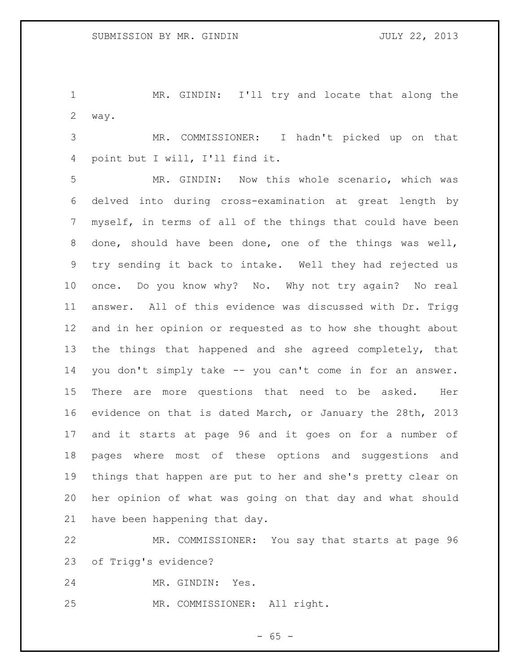MR. GINDIN: I'll try and locate that along the way.

 MR. COMMISSIONER: I hadn't picked up on that point but I will, I'll find it.

 MR. GINDIN: Now this whole scenario, which was delved into during cross-examination at great length by myself, in terms of all of the things that could have been done, should have been done, one of the things was well, try sending it back to intake. Well they had rejected us once. Do you know why? No. Why not try again? No real answer. All of this evidence was discussed with Dr. Trigg and in her opinion or requested as to how she thought about the things that happened and she agreed completely, that you don't simply take -- you can't come in for an answer. There are more questions that need to be asked. Her evidence on that is dated March, or January the 28th, 2013 and it starts at page 96 and it goes on for a number of pages where most of these options and suggestions and things that happen are put to her and she's pretty clear on her opinion of what was going on that day and what should have been happening that day.

 MR. COMMISSIONER: You say that starts at page 96 of Trigg's evidence?

MR. GINDIN: Yes.

MR. COMMISSIONER: All right.

 $- 65 -$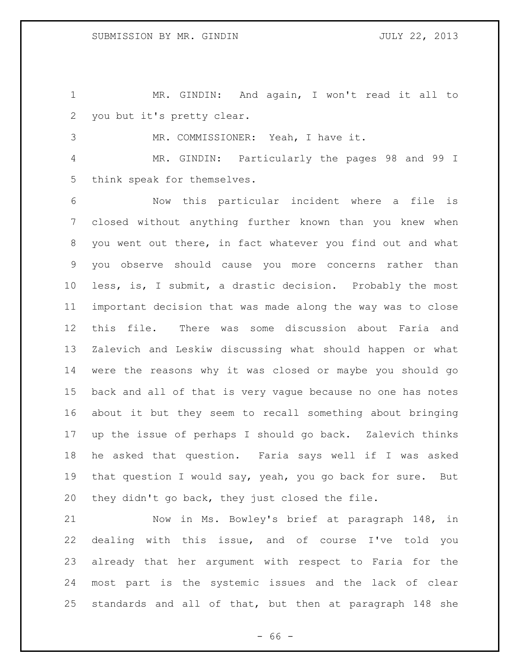MR. GINDIN: And again, I won't read it all to you but it's pretty clear.

MR. COMMISSIONER: Yeah, I have it.

 MR. GINDIN: Particularly the pages 98 and 99 I think speak for themselves.

 Now this particular incident where a file is closed without anything further known than you knew when you went out there, in fact whatever you find out and what you observe should cause you more concerns rather than less, is, I submit, a drastic decision. Probably the most important decision that was made along the way was to close this file. There was some discussion about Faria and Zalevich and Leskiw discussing what should happen or what were the reasons why it was closed or maybe you should go back and all of that is very vague because no one has notes about it but they seem to recall something about bringing up the issue of perhaps I should go back. Zalevich thinks he asked that question. Faria says well if I was asked that question I would say, yeah, you go back for sure. But they didn't go back, they just closed the file.

 Now in Ms. Bowley's brief at paragraph 148, in dealing with this issue, and of course I've told you already that her argument with respect to Faria for the most part is the systemic issues and the lack of clear standards and all of that, but then at paragraph 148 she

 $- 66 -$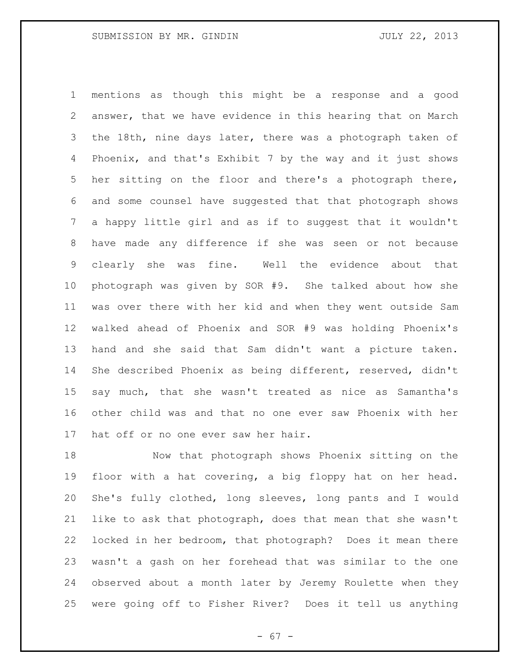mentions as though this might be a response and a good answer, that we have evidence in this hearing that on March the 18th, nine days later, there was a photograph taken of Phoenix, and that's Exhibit 7 by the way and it just shows her sitting on the floor and there's a photograph there, and some counsel have suggested that that photograph shows a happy little girl and as if to suggest that it wouldn't have made any difference if she was seen or not because clearly she was fine. Well the evidence about that photograph was given by SOR #9. She talked about how she was over there with her kid and when they went outside Sam walked ahead of Phoenix and SOR #9 was holding Phoenix's hand and she said that Sam didn't want a picture taken. She described Phoenix as being different, reserved, didn't say much, that she wasn't treated as nice as Samantha's other child was and that no one ever saw Phoenix with her hat off or no one ever saw her hair.

 Now that photograph shows Phoenix sitting on the floor with a hat covering, a big floppy hat on her head. She's fully clothed, long sleeves, long pants and I would like to ask that photograph, does that mean that she wasn't locked in her bedroom, that photograph? Does it mean there wasn't a gash on her forehead that was similar to the one observed about a month later by Jeremy Roulette when they were going off to Fisher River? Does it tell us anything

- 67 -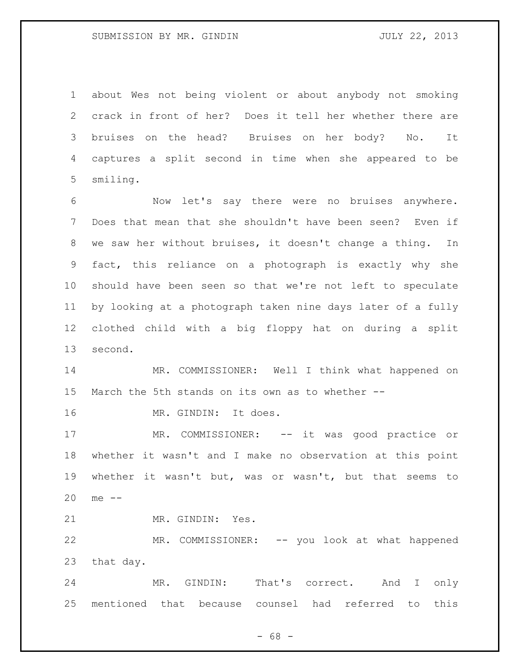about Wes not being violent or about anybody not smoking crack in front of her? Does it tell her whether there are bruises on the head? Bruises on her body? No. It captures a split second in time when she appeared to be smiling.

 Now let's say there were no bruises anywhere. Does that mean that she shouldn't have been seen? Even if we saw her without bruises, it doesn't change a thing. In fact, this reliance on a photograph is exactly why she should have been seen so that we're not left to speculate by looking at a photograph taken nine days later of a fully clothed child with a big floppy hat on during a split second.

 MR. COMMISSIONER: Well I think what happened on March the 5th stands on its own as to whether --

MR. GINDIN: It does.

 MR. COMMISSIONER: -- it was good practice or whether it wasn't and I make no observation at this point whether it wasn't but, was or wasn't, but that seems to me --

MR. GINDIN: Yes.

 MR. COMMISSIONER: -- you look at what happened that day.

 MR. GINDIN: That's correct. And I only mentioned that because counsel had referred to this

 $- 68 -$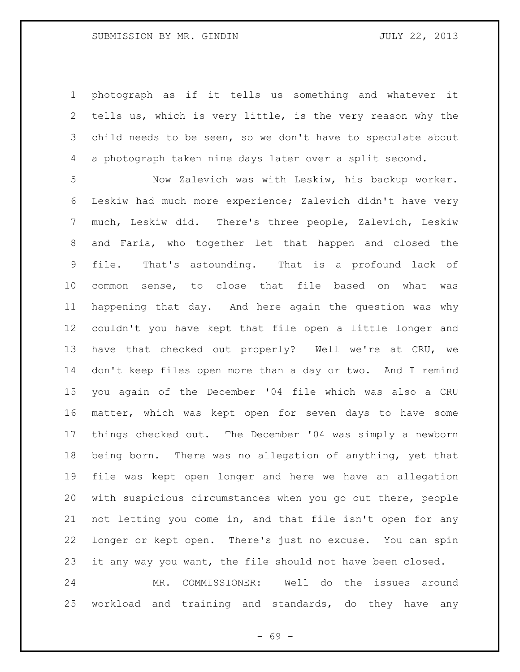photograph as if it tells us something and whatever it tells us, which is very little, is the very reason why the child needs to be seen, so we don't have to speculate about a photograph taken nine days later over a split second.

 Now Zalevich was with Leskiw, his backup worker. Leskiw had much more experience; Zalevich didn't have very much, Leskiw did. There's three people, Zalevich, Leskiw and Faria, who together let that happen and closed the file. That's astounding. That is a profound lack of common sense, to close that file based on what was happening that day. And here again the question was why couldn't you have kept that file open a little longer and have that checked out properly? Well we're at CRU, we don't keep files open more than a day or two. And I remind you again of the December '04 file which was also a CRU matter, which was kept open for seven days to have some things checked out. The December '04 was simply a newborn being born. There was no allegation of anything, yet that file was kept open longer and here we have an allegation with suspicious circumstances when you go out there, people not letting you come in, and that file isn't open for any longer or kept open. There's just no excuse. You can spin it any way you want, the file should not have been closed. MR. COMMISSIONER: Well do the issues around

workload and training and standards, do they have any

- 69 -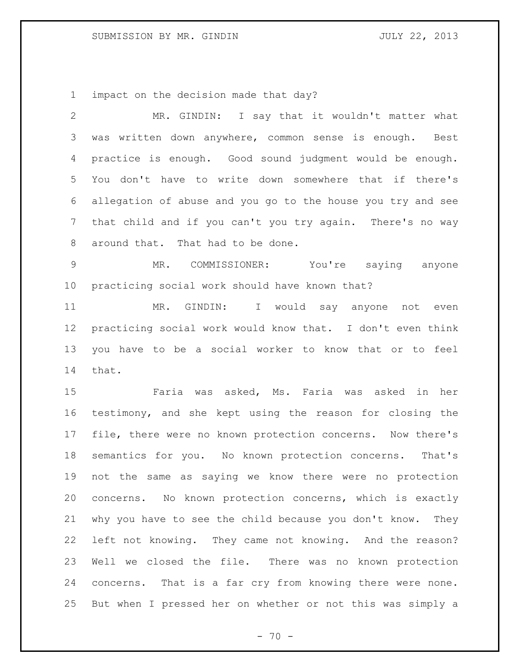impact on the decision made that day?

 MR. GINDIN: I say that it wouldn't matter what was written down anywhere, common sense is enough. Best practice is enough. Good sound judgment would be enough. You don't have to write down somewhere that if there's allegation of abuse and you go to the house you try and see that child and if you can't you try again. There's no way around that. That had to be done.

 MR. COMMISSIONER: You're saying anyone practicing social work should have known that?

 MR. GINDIN: I would say anyone not even practicing social work would know that. I don't even think you have to be a social worker to know that or to feel that.

 Faria was asked, Ms. Faria was asked in her testimony, and she kept using the reason for closing the file, there were no known protection concerns. Now there's semantics for you. No known protection concerns. That's not the same as saying we know there were no protection concerns. No known protection concerns, which is exactly why you have to see the child because you don't know. They left not knowing. They came not knowing. And the reason? Well we closed the file. There was no known protection concerns. That is a far cry from knowing there were none. But when I pressed her on whether or not this was simply a

 $- 70 -$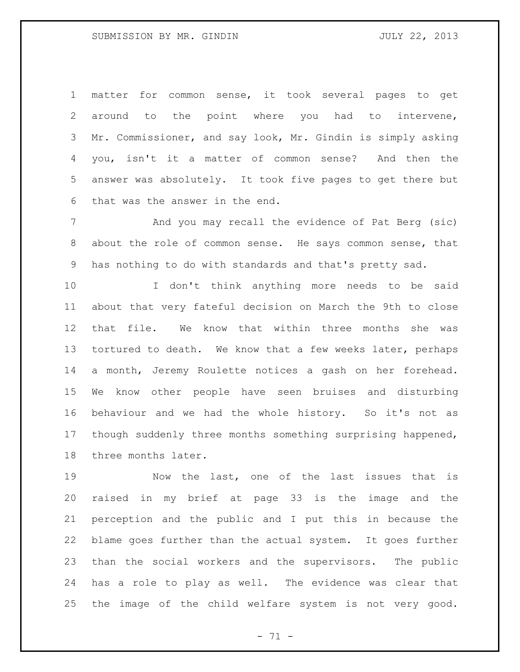matter for common sense, it took several pages to get around to the point where you had to intervene, Mr. Commissioner, and say look, Mr. Gindin is simply asking you, isn't it a matter of common sense? And then the answer was absolutely. It took five pages to get there but that was the answer in the end.

 And you may recall the evidence of Pat Berg (sic) about the role of common sense. He says common sense, that has nothing to do with standards and that's pretty sad.

 I don't think anything more needs to be said about that very fateful decision on March the 9th to close that file. We know that within three months she was 13 tortured to death. We know that a few weeks later, perhaps a month, Jeremy Roulette notices a gash on her forehead. We know other people have seen bruises and disturbing behaviour and we had the whole history. So it's not as though suddenly three months something surprising happened, three months later.

 Now the last, one of the last issues that is raised in my brief at page 33 is the image and the perception and the public and I put this in because the blame goes further than the actual system. It goes further than the social workers and the supervisors. The public has a role to play as well. The evidence was clear that the image of the child welfare system is not very good.

- 71 -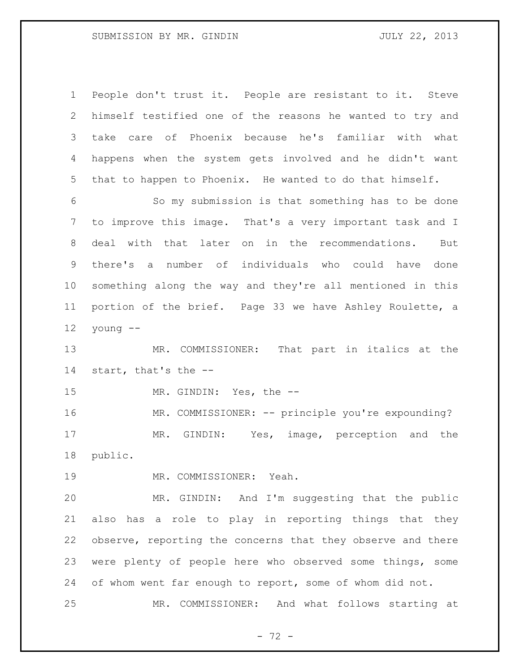People don't trust it. People are resistant to it. Steve himself testified one of the reasons he wanted to try and take care of Phoenix because he's familiar with what happens when the system gets involved and he didn't want that to happen to Phoenix. He wanted to do that himself.

 So my submission is that something has to be done to improve this image. That's a very important task and I deal with that later on in the recommendations. But there's a number of individuals who could have done something along the way and they're all mentioned in this portion of the brief. Page 33 we have Ashley Roulette, a young --

 MR. COMMISSIONER: That part in italics at the start, that's the --

MR. GINDIN: Yes, the --

16 MR. COMMISSIONER: -- principle you're expounding? MR. GINDIN: Yes, image, perception and the public.

MR. COMMISSIONER: Yeah.

 MR. GINDIN: And I'm suggesting that the public also has a role to play in reporting things that they observe, reporting the concerns that they observe and there were plenty of people here who observed some things, some of whom went far enough to report, some of whom did not.

MR. COMMISSIONER: And what follows starting at

 $- 72 -$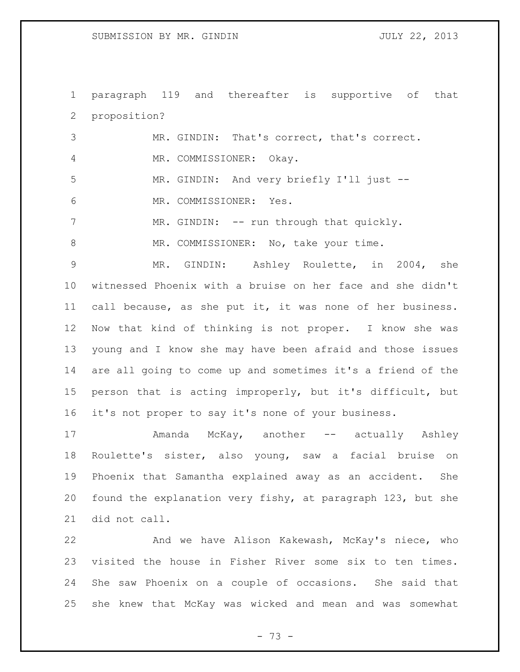paragraph 119 and thereafter is supportive of that proposition?

| 3              | MR. GINDIN: That's correct, that's correct. |
|----------------|---------------------------------------------|
| $\overline{4}$ | MR. COMMISSIONER: Okay.                     |
| -5             | MR. GINDIN: And very briefly I'll just --   |
| -6             | MR. COMMISSIONER: Yes.                      |
|                | MR. GINDIN: -- run through that quickly.    |
| -8             | MR. COMMISSIONER: No, take your time.       |

 MR. GINDIN: Ashley Roulette, in 2004, she witnessed Phoenix with a bruise on her face and she didn't call because, as she put it, it was none of her business. Now that kind of thinking is not proper. I know she was young and I know she may have been afraid and those issues are all going to come up and sometimes it's a friend of the person that is acting improperly, but it's difficult, but it's not proper to say it's none of your business.

17 Mamanda McKay, another -- actually Ashley Roulette's sister, also young, saw a facial bruise on Phoenix that Samantha explained away as an accident. She found the explanation very fishy, at paragraph 123, but she did not call.

 And we have Alison Kakewash, McKay's niece, who visited the house in Fisher River some six to ten times. She saw Phoenix on a couple of occasions. She said that she knew that McKay was wicked and mean and was somewhat

- 73 -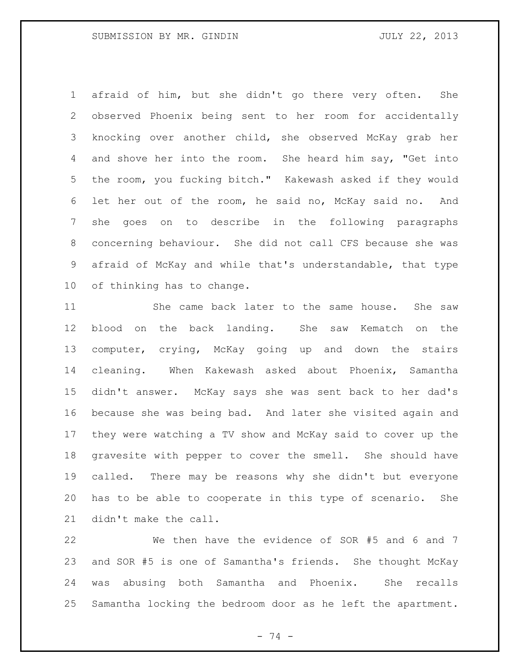afraid of him, but she didn't go there very often. She observed Phoenix being sent to her room for accidentally knocking over another child, she observed McKay grab her and shove her into the room. She heard him say, "Get into the room, you fucking bitch." Kakewash asked if they would let her out of the room, he said no, McKay said no. And she goes on to describe in the following paragraphs concerning behaviour. She did not call CFS because she was afraid of McKay and while that's understandable, that type of thinking has to change.

 She came back later to the same house. She saw blood on the back landing. She saw Kematch on the computer, crying, McKay going up and down the stairs cleaning. When Kakewash asked about Phoenix, Samantha didn't answer. McKay says she was sent back to her dad's because she was being bad. And later she visited again and they were watching a TV show and McKay said to cover up the gravesite with pepper to cover the smell. She should have called. There may be reasons why she didn't but everyone has to be able to cooperate in this type of scenario. She didn't make the call.

 We then have the evidence of SOR #5 and 6 and 7 and SOR #5 is one of Samantha's friends. She thought McKay was abusing both Samantha and Phoenix. She recalls Samantha locking the bedroom door as he left the apartment.

- 74 -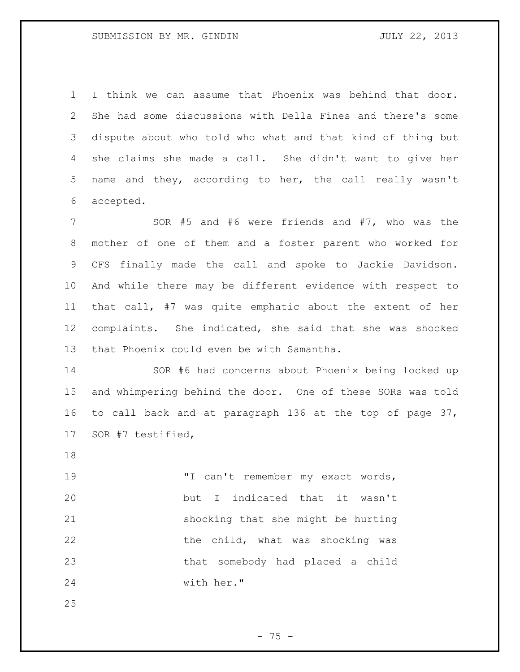I think we can assume that Phoenix was behind that door. She had some discussions with Della Fines and there's some dispute about who told who what and that kind of thing but she claims she made a call. She didn't want to give her name and they, according to her, the call really wasn't accepted.

 SOR #5 and #6 were friends and #7, who was the mother of one of them and a foster parent who worked for CFS finally made the call and spoke to Jackie Davidson. And while there may be different evidence with respect to that call, #7 was quite emphatic about the extent of her complaints. She indicated, she said that she was shocked that Phoenix could even be with Samantha.

 SOR #6 had concerns about Phoenix being locked up and whimpering behind the door. One of these SORs was told to call back and at paragraph 136 at the top of page 37, SOR #7 testified,

19 TI can't remember my exact words, but I indicated that it wasn't shocking that she might be hurting 22 the child, what was shocking was that somebody had placed a child with her."

- 75 -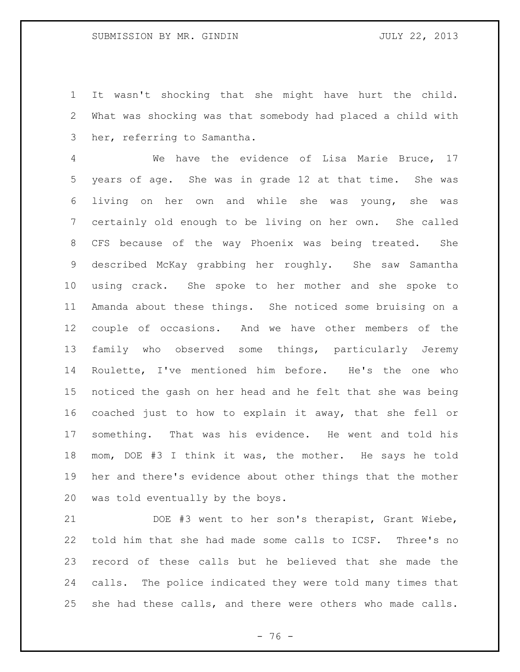It wasn't shocking that she might have hurt the child. What was shocking was that somebody had placed a child with her, referring to Samantha.

 We have the evidence of Lisa Marie Bruce, 17 years of age. She was in grade 12 at that time. She was living on her own and while she was young, she was certainly old enough to be living on her own. She called CFS because of the way Phoenix was being treated. She described McKay grabbing her roughly. She saw Samantha using crack. She spoke to her mother and she spoke to Amanda about these things. She noticed some bruising on a couple of occasions. And we have other members of the family who observed some things, particularly Jeremy Roulette, I've mentioned him before. He's the one who noticed the gash on her head and he felt that she was being coached just to how to explain it away, that she fell or something. That was his evidence. He went and told his mom, DOE #3 I think it was, the mother. He says he told her and there's evidence about other things that the mother was told eventually by the boys.

 DOE #3 went to her son's therapist, Grant Wiebe, told him that she had made some calls to ICSF. Three's no record of these calls but he believed that she made the calls. The police indicated they were told many times that she had these calls, and there were others who made calls.

 $- 76 -$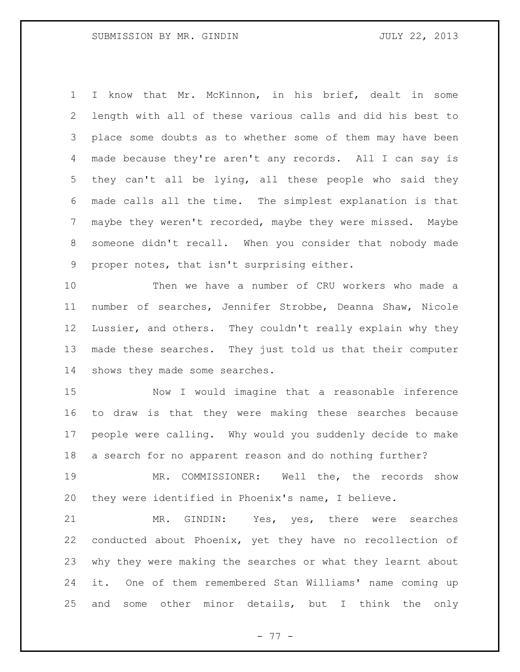I know that Mr. McKinnon, in his brief, dealt in some length with all of these various calls and did his best to place some doubts as to whether some of them may have been made because they're aren't any records. All I can say is they can't all be lying, all these people who said they made calls all the time. The simplest explanation is that maybe they weren't recorded, maybe they were missed. Maybe someone didn't recall. When you consider that nobody made proper notes, that isn't surprising either.

 Then we have a number of CRU workers who made a number of searches, Jennifer Strobbe, Deanna Shaw, Nicole Lussier, and others. They couldn't really explain why they made these searches. They just told us that their computer shows they made some searches.

 Now I would imagine that a reasonable inference to draw is that they were making these searches because people were calling. Why would you suddenly decide to make a search for no apparent reason and do nothing further?

 MR. COMMISSIONER: Well the, the records show they were identified in Phoenix's name, I believe.

 MR. GINDIN: Yes, yes, there were searches conducted about Phoenix, yet they have no recollection of why they were making the searches or what they learnt about it. One of them remembered Stan Williams' name coming up and some other minor details, but I think the only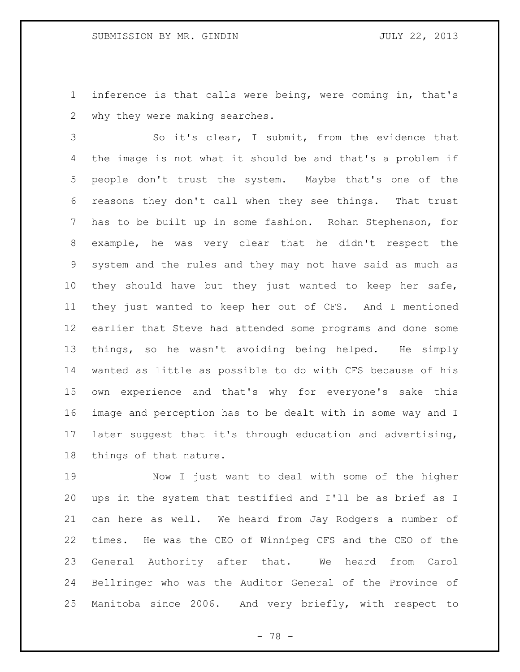inference is that calls were being, were coming in, that's why they were making searches.

 So it's clear, I submit, from the evidence that the image is not what it should be and that's a problem if people don't trust the system. Maybe that's one of the reasons they don't call when they see things. That trust has to be built up in some fashion. Rohan Stephenson, for example, he was very clear that he didn't respect the system and the rules and they may not have said as much as they should have but they just wanted to keep her safe, they just wanted to keep her out of CFS. And I mentioned earlier that Steve had attended some programs and done some things, so he wasn't avoiding being helped. He simply wanted as little as possible to do with CFS because of his own experience and that's why for everyone's sake this image and perception has to be dealt with in some way and I later suggest that it's through education and advertising, things of that nature.

 Now I just want to deal with some of the higher ups in the system that testified and I'll be as brief as I can here as well. We heard from Jay Rodgers a number of times. He was the CEO of Winnipeg CFS and the CEO of the General Authority after that. We heard from Carol Bellringer who was the Auditor General of the Province of Manitoba since 2006. And very briefly, with respect to

- 78 -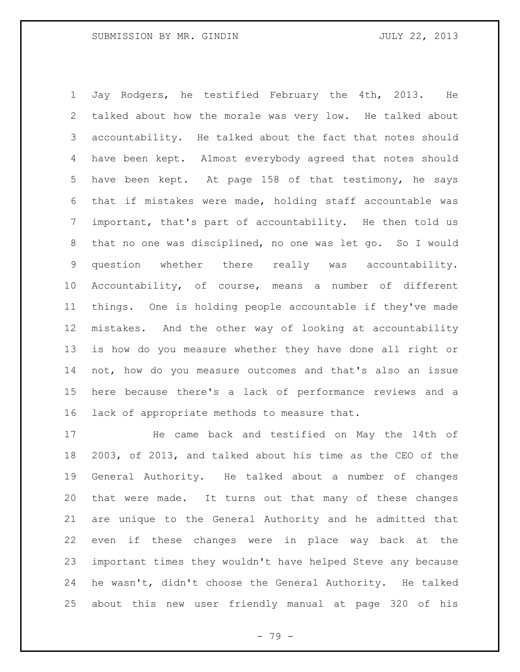Jay Rodgers, he testified February the 4th, 2013. He talked about how the morale was very low. He talked about accountability. He talked about the fact that notes should have been kept. Almost everybody agreed that notes should have been kept. At page 158 of that testimony, he says that if mistakes were made, holding staff accountable was important, that's part of accountability. He then told us that no one was disciplined, no one was let go. So I would question whether there really was accountability. Accountability, of course, means a number of different things. One is holding people accountable if they've made mistakes. And the other way of looking at accountability is how do you measure whether they have done all right or not, how do you measure outcomes and that's also an issue here because there's a lack of performance reviews and a lack of appropriate methods to measure that.

 He came back and testified on May the 14th of 2003, of 2013, and talked about his time as the CEO of the General Authority. He talked about a number of changes that were made. It turns out that many of these changes are unique to the General Authority and he admitted that even if these changes were in place way back at the important times they wouldn't have helped Steve any because he wasn't, didn't choose the General Authority. He talked about this new user friendly manual at page 320 of his

- 79 -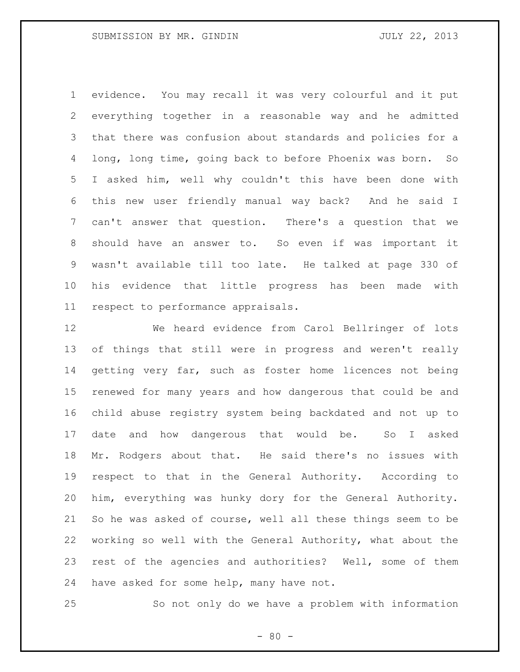evidence. You may recall it was very colourful and it put everything together in a reasonable way and he admitted that there was confusion about standards and policies for a long, long time, going back to before Phoenix was born. So I asked him, well why couldn't this have been done with this new user friendly manual way back? And he said I can't answer that question. There's a question that we should have an answer to. So even if was important it wasn't available till too late. He talked at page 330 of his evidence that little progress has been made with respect to performance appraisals.

 We heard evidence from Carol Bellringer of lots of things that still were in progress and weren't really getting very far, such as foster home licences not being renewed for many years and how dangerous that could be and child abuse registry system being backdated and not up to date and how dangerous that would be. So I asked Mr. Rodgers about that. He said there's no issues with respect to that in the General Authority. According to him, everything was hunky dory for the General Authority. So he was asked of course, well all these things seem to be working so well with the General Authority, what about the rest of the agencies and authorities? Well, some of them have asked for some help, many have not.

So not only do we have a problem with information

 $- 80 -$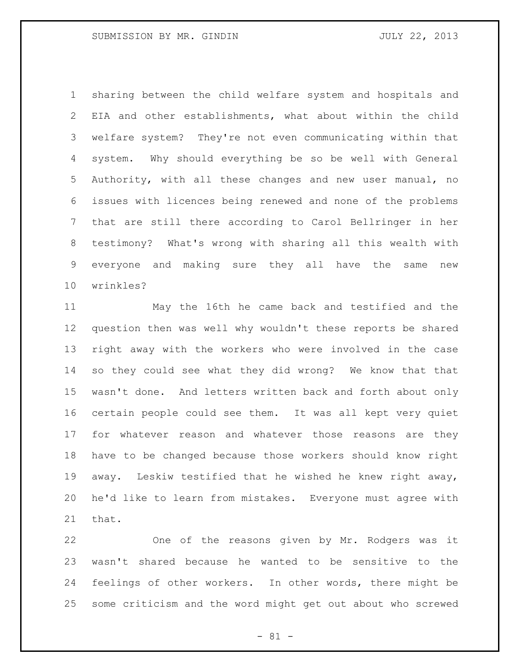sharing between the child welfare system and hospitals and EIA and other establishments, what about within the child welfare system? They're not even communicating within that system. Why should everything be so be well with General Authority, with all these changes and new user manual, no issues with licences being renewed and none of the problems that are still there according to Carol Bellringer in her testimony? What's wrong with sharing all this wealth with everyone and making sure they all have the same new wrinkles?

 May the 16th he came back and testified and the question then was well why wouldn't these reports be shared right away with the workers who were involved in the case so they could see what they did wrong? We know that that wasn't done. And letters written back and forth about only certain people could see them. It was all kept very quiet for whatever reason and whatever those reasons are they have to be changed because those workers should know right away. Leskiw testified that he wished he knew right away, he'd like to learn from mistakes. Everyone must agree with that.

 One of the reasons given by Mr. Rodgers was it wasn't shared because he wanted to be sensitive to the feelings of other workers. In other words, there might be some criticism and the word might get out about who screwed

- 81 -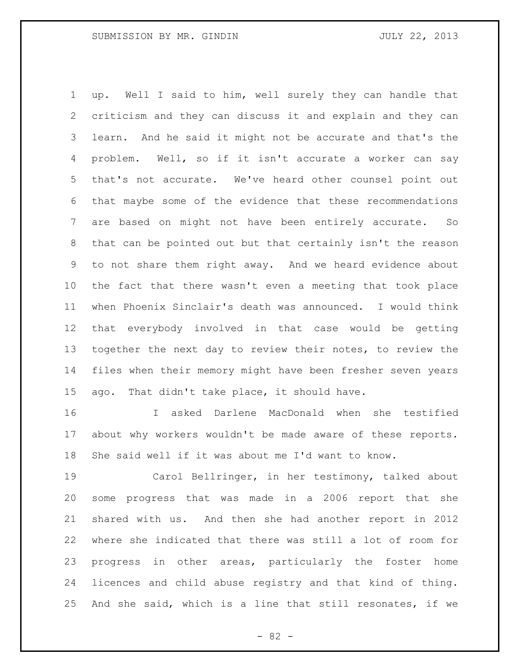up. Well I said to him, well surely they can handle that criticism and they can discuss it and explain and they can learn. And he said it might not be accurate and that's the problem. Well, so if it isn't accurate a worker can say that's not accurate. We've heard other counsel point out that maybe some of the evidence that these recommendations are based on might not have been entirely accurate. So that can be pointed out but that certainly isn't the reason to not share them right away. And we heard evidence about the fact that there wasn't even a meeting that took place when Phoenix Sinclair's death was announced. I would think that everybody involved in that case would be getting together the next day to review their notes, to review the files when their memory might have been fresher seven years ago. That didn't take place, it should have.

 I asked Darlene MacDonald when she testified about why workers wouldn't be made aware of these reports. She said well if it was about me I'd want to know.

 Carol Bellringer, in her testimony, talked about some progress that was made in a 2006 report that she shared with us. And then she had another report in 2012 where she indicated that there was still a lot of room for progress in other areas, particularly the foster home licences and child abuse registry and that kind of thing. And she said, which is a line that still resonates, if we

- 82 -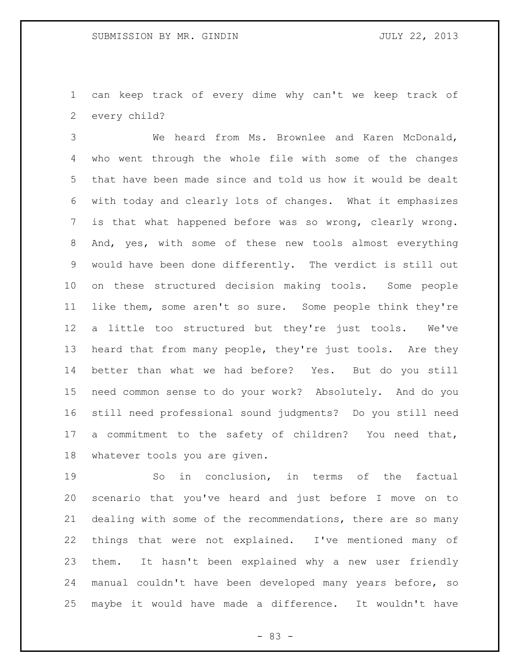can keep track of every dime why can't we keep track of every child?

 We heard from Ms. Brownlee and Karen McDonald, who went through the whole file with some of the changes that have been made since and told us how it would be dealt with today and clearly lots of changes. What it emphasizes is that what happened before was so wrong, clearly wrong. And, yes, with some of these new tools almost everything would have been done differently. The verdict is still out on these structured decision making tools. Some people like them, some aren't so sure. Some people think they're a little too structured but they're just tools. We've heard that from many people, they're just tools. Are they better than what we had before? Yes. But do you still need common sense to do your work? Absolutely. And do you still need professional sound judgments? Do you still need a commitment to the safety of children? You need that, whatever tools you are given.

 So in conclusion, in terms of the factual scenario that you've heard and just before I move on to dealing with some of the recommendations, there are so many things that were not explained. I've mentioned many of them. It hasn't been explained why a new user friendly manual couldn't have been developed many years before, so maybe it would have made a difference. It wouldn't have

- 83 -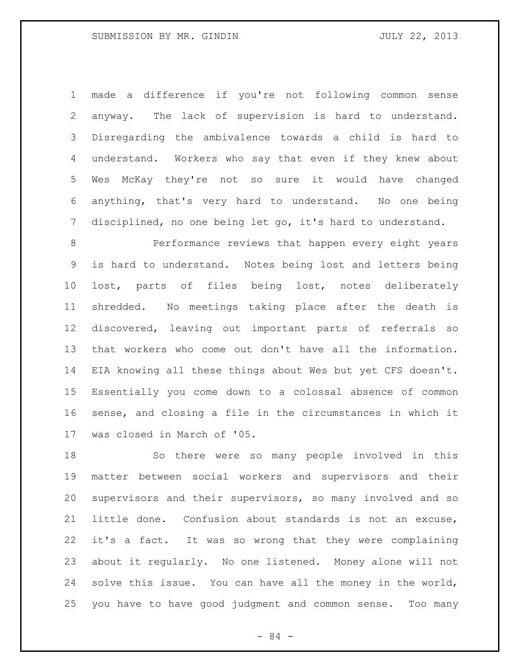made a difference if you're not following common sense anyway. The lack of supervision is hard to understand. Disregarding the ambivalence towards a child is hard to understand. Workers who say that even if they knew about Wes McKay they're not so sure it would have changed anything, that's very hard to understand. No one being disciplined, no one being let go, it's hard to understand.

 Performance reviews that happen every eight years is hard to understand. Notes being lost and letters being lost, parts of files being lost, notes deliberately shredded. No meetings taking place after the death is discovered, leaving out important parts of referrals so that workers who come out don't have all the information. EIA knowing all these things about Wes but yet CFS doesn't. Essentially you come down to a colossal absence of common sense, and closing a file in the circumstances in which it was closed in March of '05.

 So there were so many people involved in this matter between social workers and supervisors and their supervisors and their supervisors, so many involved and so little done. Confusion about standards is not an excuse, it's a fact. It was so wrong that they were complaining about it regularly. No one listened. Money alone will not solve this issue. You can have all the money in the world, you have to have good judgment and common sense. Too many

- 84 -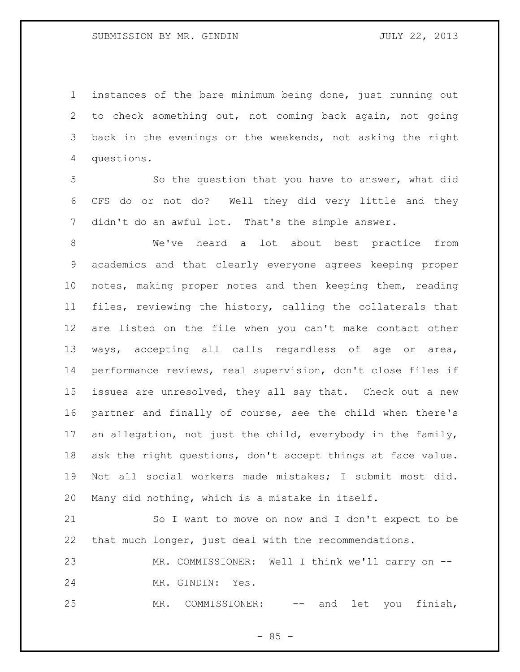instances of the bare minimum being done, just running out to check something out, not coming back again, not going back in the evenings or the weekends, not asking the right questions.

 So the question that you have to answer, what did CFS do or not do? Well they did very little and they didn't do an awful lot. That's the simple answer.

 We've heard a lot about best practice from academics and that clearly everyone agrees keeping proper notes, making proper notes and then keeping them, reading files, reviewing the history, calling the collaterals that are listed on the file when you can't make contact other ways, accepting all calls regardless of age or area, performance reviews, real supervision, don't close files if issues are unresolved, they all say that. Check out a new partner and finally of course, see the child when there's an allegation, not just the child, everybody in the family, ask the right questions, don't accept things at face value. Not all social workers made mistakes; I submit most did. Many did nothing, which is a mistake in itself.

 So I want to move on now and I don't expect to be that much longer, just deal with the recommendations.

23 MR. COMMISSIONER: Well I think we'll carry on --MR. GINDIN: Yes.

MR. COMMISSIONER: -- and let you finish,

 $- 85 -$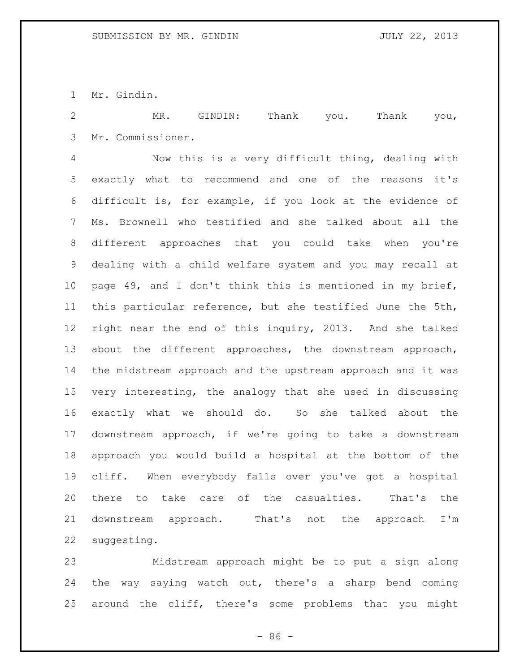Mr. Gindin.

 MR. GINDIN: Thank you. Thank you, Mr. Commissioner.

 Now this is a very difficult thing, dealing with exactly what to recommend and one of the reasons it's difficult is, for example, if you look at the evidence of Ms. Brownell who testified and she talked about all the different approaches that you could take when you're dealing with a child welfare system and you may recall at page 49, and I don't think this is mentioned in my brief, this particular reference, but she testified June the 5th, right near the end of this inquiry, 2013. And she talked about the different approaches, the downstream approach, the midstream approach and the upstream approach and it was very interesting, the analogy that she used in discussing exactly what we should do. So she talked about the downstream approach, if we're going to take a downstream approach you would build a hospital at the bottom of the cliff. When everybody falls over you've got a hospital there to take care of the casualties. That's the 21 downstream approach. That's not the approach I'm suggesting.

 Midstream approach might be to put a sign along the way saying watch out, there's a sharp bend coming around the cliff, there's some problems that you might

- 86 -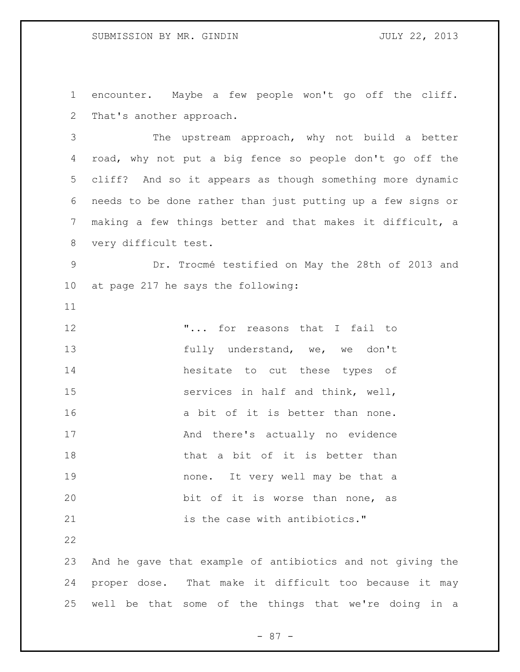encounter. Maybe a few people won't go off the cliff. That's another approach.

 The upstream approach, why not build a better road, why not put a big fence so people don't go off the cliff? And so it appears as though something more dynamic needs to be done rather than just putting up a few signs or making a few things better and that makes it difficult, a very difficult test.

 Dr. Trocmé testified on May the 28th of 2013 and at page 217 he says the following:

**"...** for reasons that I fail to 13 fully understand, we, we don't hesitate to cut these types of services in half and think, well, 16 a bit of it is better than none. And there's actually no evidence 18 that a bit of it is better than none. It very well may be that a bit of it is worse than none, as is the case with antibiotics."

 And he gave that example of antibiotics and not giving the proper dose. That make it difficult too because it may well be that some of the things that we're doing in a

- 87 -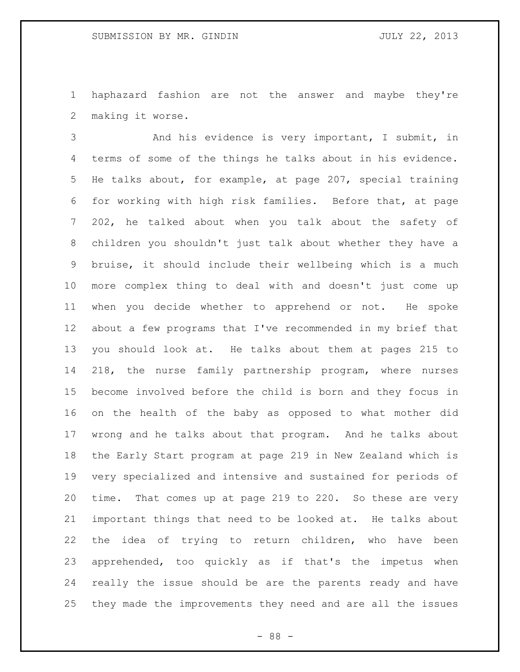haphazard fashion are not the answer and maybe they're making it worse.

 And his evidence is very important, I submit, in terms of some of the things he talks about in his evidence. He talks about, for example, at page 207, special training for working with high risk families. Before that, at page 202, he talked about when you talk about the safety of children you shouldn't just talk about whether they have a bruise, it should include their wellbeing which is a much more complex thing to deal with and doesn't just come up when you decide whether to apprehend or not. He spoke about a few programs that I've recommended in my brief that you should look at. He talks about them at pages 215 to 218, the nurse family partnership program, where nurses become involved before the child is born and they focus in on the health of the baby as opposed to what mother did wrong and he talks about that program. And he talks about the Early Start program at page 219 in New Zealand which is very specialized and intensive and sustained for periods of time. That comes up at page 219 to 220. So these are very important things that need to be looked at. He talks about the idea of trying to return children, who have been apprehended, too quickly as if that's the impetus when really the issue should be are the parents ready and have they made the improvements they need and are all the issues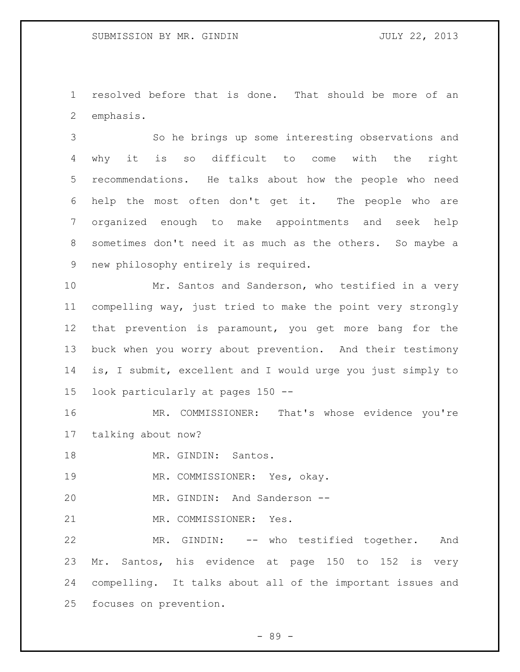resolved before that is done. That should be more of an emphasis.

 So he brings up some interesting observations and why it is so difficult to come with the right recommendations. He talks about how the people who need help the most often don't get it. The people who are organized enough to make appointments and seek help sometimes don't need it as much as the others. So maybe a new philosophy entirely is required.

 Mr. Santos and Sanderson, who testified in a very compelling way, just tried to make the point very strongly that prevention is paramount, you get more bang for the buck when you worry about prevention. And their testimony is, I submit, excellent and I would urge you just simply to look particularly at pages 150 --

 MR. COMMISSIONER: That's whose evidence you're talking about now?

18 MR. GINDIN: Santos.

MR. COMMISSIONER: Yes, okay.

MR. GINDIN: And Sanderson --

MR. COMMISSIONER: Yes.

 MR. GINDIN: -- who testified together. And Mr. Santos, his evidence at page 150 to 152 is very compelling. It talks about all of the important issues and focuses on prevention.

- 89 -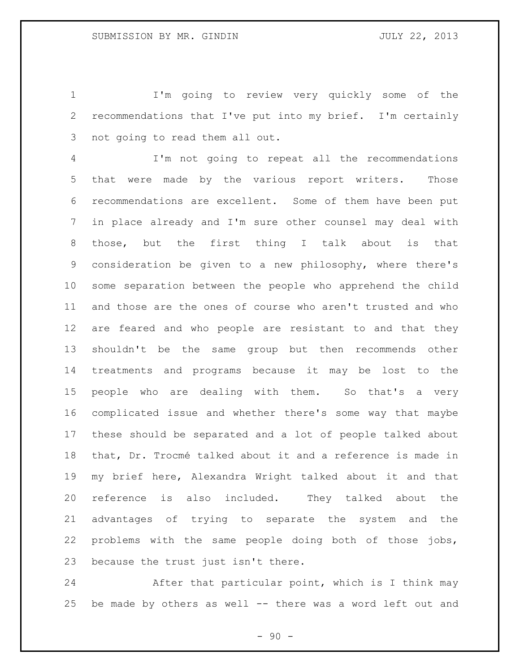I'm going to review very quickly some of the recommendations that I've put into my brief. I'm certainly not going to read them all out.

 I'm not going to repeat all the recommendations that were made by the various report writers. Those recommendations are excellent. Some of them have been put in place already and I'm sure other counsel may deal with those, but the first thing I talk about is that consideration be given to a new philosophy, where there's some separation between the people who apprehend the child and those are the ones of course who aren't trusted and who are feared and who people are resistant to and that they shouldn't be the same group but then recommends other treatments and programs because it may be lost to the people who are dealing with them. So that's a very complicated issue and whether there's some way that maybe these should be separated and a lot of people talked about that, Dr. Trocmé talked about it and a reference is made in my brief here, Alexandra Wright talked about it and that reference is also included. They talked about the advantages of trying to separate the system and the problems with the same people doing both of those jobs, because the trust just isn't there.

 After that particular point, which is I think may be made by others as well -- there was a word left out and

 $-90 -$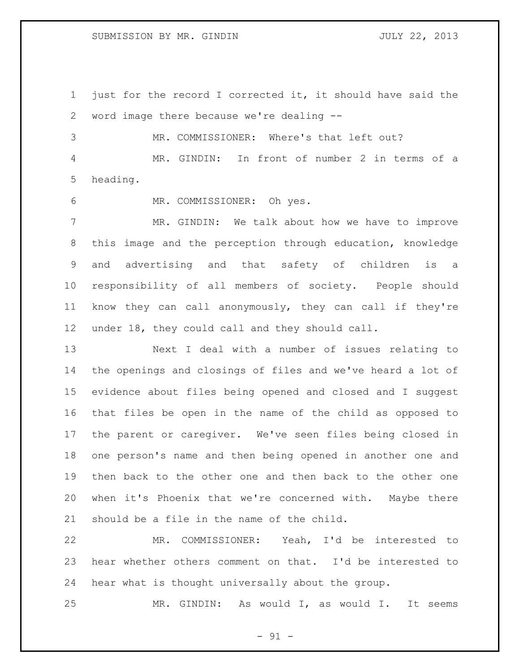just for the record I corrected it, it should have said the word image there because we're dealing --

 MR. COMMISSIONER: Where's that left out? MR. GINDIN: In front of number 2 in terms of a heading.

MR. COMMISSIONER: Oh yes.

 MR. GINDIN: We talk about how we have to improve this image and the perception through education, knowledge and advertising and that safety of children is a responsibility of all members of society. People should know they can call anonymously, they can call if they're under 18, they could call and they should call.

 Next I deal with a number of issues relating to the openings and closings of files and we've heard a lot of evidence about files being opened and closed and I suggest that files be open in the name of the child as opposed to the parent or caregiver. We've seen files being closed in one person's name and then being opened in another one and then back to the other one and then back to the other one when it's Phoenix that we're concerned with. Maybe there should be a file in the name of the child.

 MR. COMMISSIONER: Yeah, I'd be interested to hear whether others comment on that. I'd be interested to hear what is thought universally about the group.

MR. GINDIN: As would I, as would I. It seems

 $-91 -$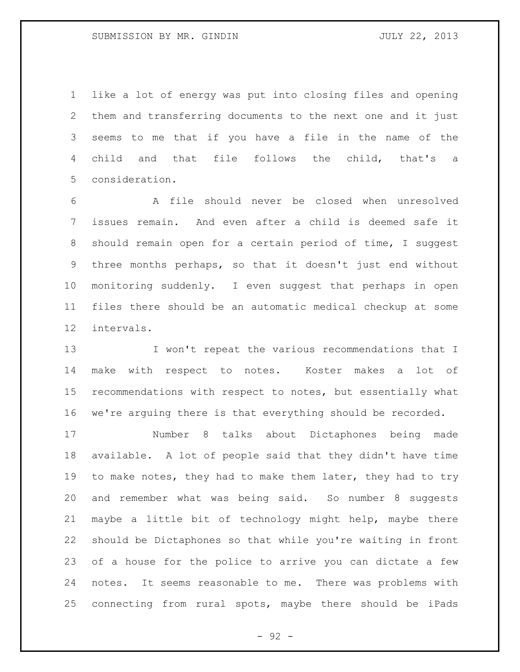like a lot of energy was put into closing files and opening them and transferring documents to the next one and it just seems to me that if you have a file in the name of the child and that file follows the child, that's a consideration.

 A file should never be closed when unresolved issues remain. And even after a child is deemed safe it should remain open for a certain period of time, I suggest three months perhaps, so that it doesn't just end without monitoring suddenly. I even suggest that perhaps in open files there should be an automatic medical checkup at some intervals.

13 I won't repeat the various recommendations that I make with respect to notes. Koster makes a lot of recommendations with respect to notes, but essentially what we're arguing there is that everything should be recorded.

 Number 8 talks about Dictaphones being made available. A lot of people said that they didn't have time 19 to make notes, they had to make them later, they had to try and remember what was being said. So number 8 suggests maybe a little bit of technology might help, maybe there should be Dictaphones so that while you're waiting in front of a house for the police to arrive you can dictate a few notes. It seems reasonable to me. There was problems with connecting from rural spots, maybe there should be iPads

 $-92 -$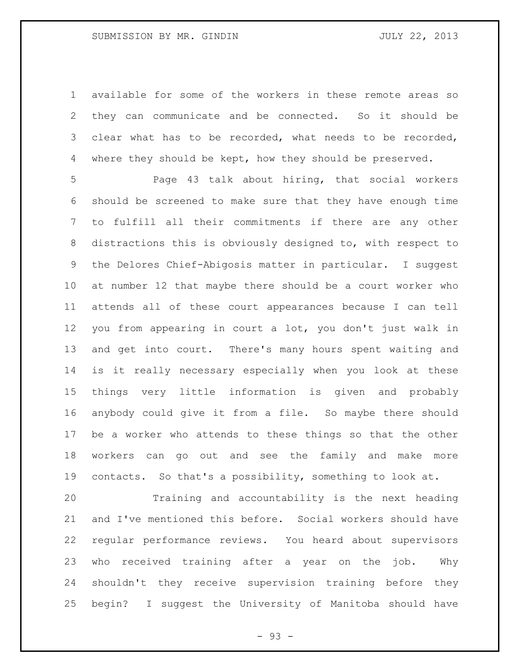available for some of the workers in these remote areas so they can communicate and be connected. So it should be clear what has to be recorded, what needs to be recorded, 4 where they should be kept, how they should be preserved.

 Page 43 talk about hiring, that social workers should be screened to make sure that they have enough time to fulfill all their commitments if there are any other distractions this is obviously designed to, with respect to the Delores Chief-Abigosis matter in particular. I suggest at number 12 that maybe there should be a court worker who attends all of these court appearances because I can tell you from appearing in court a lot, you don't just walk in and get into court. There's many hours spent waiting and is it really necessary especially when you look at these things very little information is given and probably anybody could give it from a file. So maybe there should be a worker who attends to these things so that the other workers can go out and see the family and make more contacts. So that's a possibility, something to look at.

 Training and accountability is the next heading and I've mentioned this before. Social workers should have regular performance reviews. You heard about supervisors who received training after a year on the job. Why shouldn't they receive supervision training before they begin? I suggest the University of Manitoba should have

- 93 -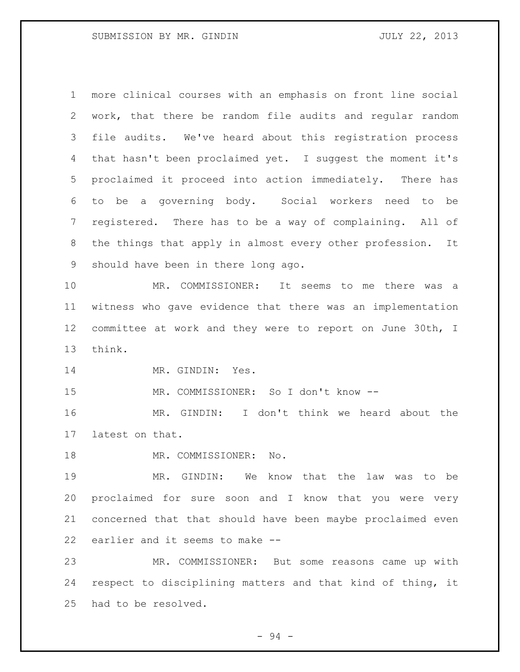more clinical courses with an emphasis on front line social work, that there be random file audits and regular random file audits. We've heard about this registration process that hasn't been proclaimed yet. I suggest the moment it's proclaimed it proceed into action immediately. There has to be a governing body. Social workers need to be registered. There has to be a way of complaining. All of the things that apply in almost every other profession. It should have been in there long ago. MR. COMMISSIONER: It seems to me there was a witness who gave evidence that there was an implementation committee at work and they were to report on June 30th, I think. 14 MR. GINDIN: Yes. MR. COMMISSIONER: So I don't know -- MR. GINDIN: I don't think we heard about the latest on that. 18 MR. COMMISSIONER: No. MR. GINDIN: We know that the law was to be proclaimed for sure soon and I know that you were very concerned that that should have been maybe proclaimed even earlier and it seems to make -- MR. COMMISSIONER: But some reasons came up with respect to disciplining matters and that kind of thing, it had to be resolved.

- 94 -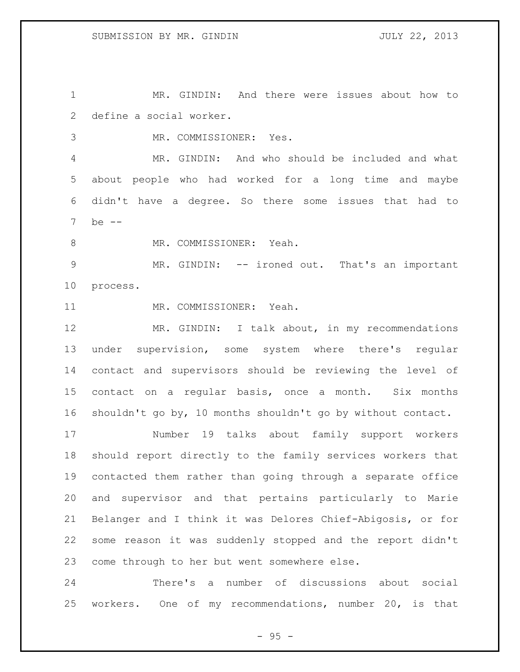MR. GINDIN: And there were issues about how to define a social worker.

MR. COMMISSIONER: Yes.

 MR. GINDIN: And who should be included and what about people who had worked for a long time and maybe didn't have a degree. So there some issues that had to be --

8 MR. COMMISSIONER: Yeah.

 MR. GINDIN: -- ironed out. That's an important process.

MR. COMMISSIONER: Yeah.

 MR. GINDIN: I talk about, in my recommendations under supervision, some system where there's regular contact and supervisors should be reviewing the level of contact on a regular basis, once a month. Six months shouldn't go by, 10 months shouldn't go by without contact.

 Number 19 talks about family support workers should report directly to the family services workers that contacted them rather than going through a separate office and supervisor and that pertains particularly to Marie Belanger and I think it was Delores Chief-Abigosis, or for some reason it was suddenly stopped and the report didn't come through to her but went somewhere else.

 There's a number of discussions about social workers. One of my recommendations, number 20, is that

 $- 95 -$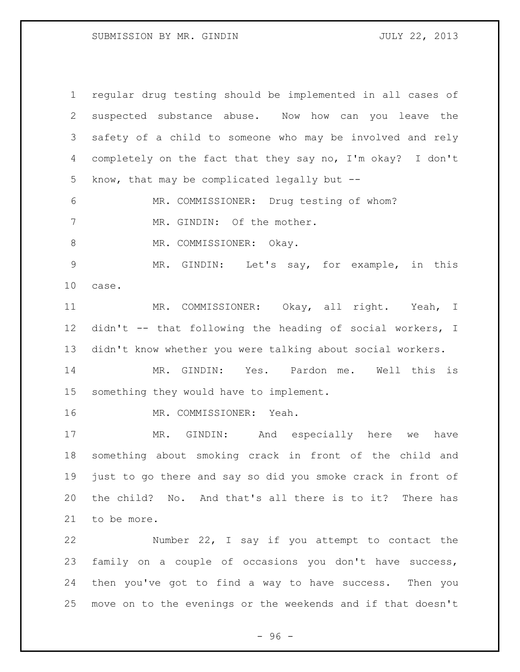regular drug testing should be implemented in all cases of suspected substance abuse. Now how can you leave the safety of a child to someone who may be involved and rely completely on the fact that they say no, I'm okay? I don't know, that may be complicated legally but -- MR. COMMISSIONER: Drug testing of whom? 7 MR. GINDIN: Of the mother. 8 MR. COMMISSIONER: Okay. MR. GINDIN: Let's say, for example, in this case. MR. COMMISSIONER: Okay, all right. Yeah, I didn't -- that following the heading of social workers, I didn't know whether you were talking about social workers. MR. GINDIN: Yes. Pardon me. Well this is something they would have to implement. MR. COMMISSIONER: Yeah. MR. GINDIN: And especially here we have something about smoking crack in front of the child and just to go there and say so did you smoke crack in front of the child? No. And that's all there is to it? There has to be more. Number 22, I say if you attempt to contact the family on a couple of occasions you don't have success, then you've got to find a way to have success. Then you

- 96 -

move on to the evenings or the weekends and if that doesn't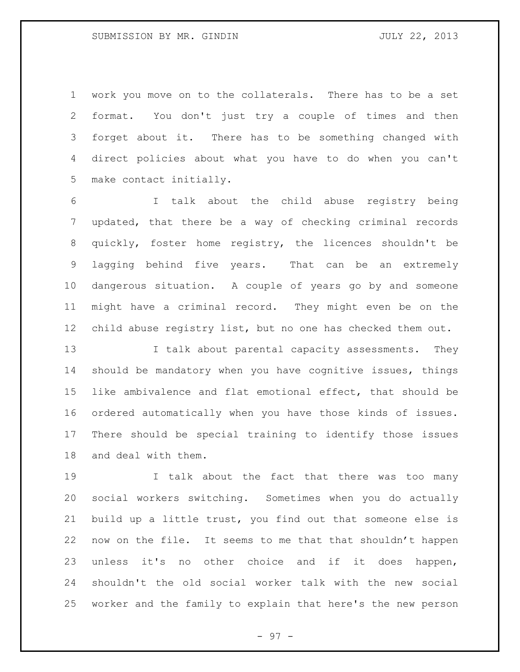work you move on to the collaterals. There has to be a set format. You don't just try a couple of times and then forget about it. There has to be something changed with direct policies about what you have to do when you can't make contact initially.

 I talk about the child abuse registry being updated, that there be a way of checking criminal records quickly, foster home registry, the licences shouldn't be lagging behind five years. That can be an extremely dangerous situation. A couple of years go by and someone might have a criminal record. They might even be on the child abuse registry list, but no one has checked them out.

13 I talk about parental capacity assessments. They should be mandatory when you have cognitive issues, things like ambivalence and flat emotional effect, that should be ordered automatically when you have those kinds of issues. There should be special training to identify those issues and deal with them.

 I talk about the fact that there was too many social workers switching. Sometimes when you do actually build up a little trust, you find out that someone else is now on the file. It seems to me that that shouldn't happen unless it's no other choice and if it does happen, shouldn't the old social worker talk with the new social worker and the family to explain that here's the new person

- 97 -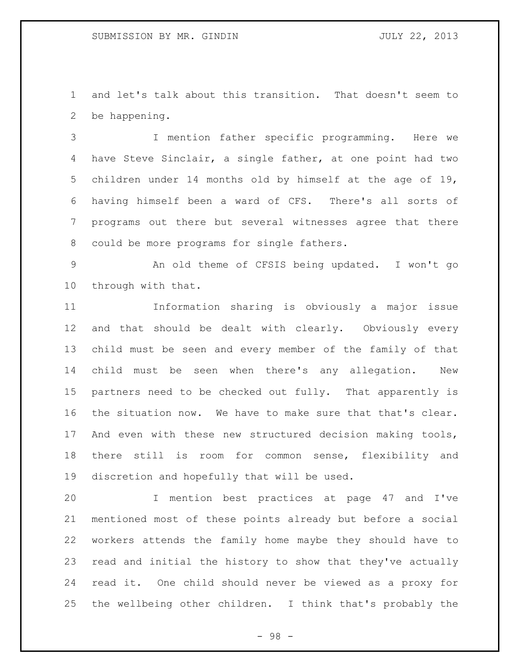and let's talk about this transition. That doesn't seem to be happening.

 I mention father specific programming. Here we have Steve Sinclair, a single father, at one point had two children under 14 months old by himself at the age of 19, having himself been a ward of CFS. There's all sorts of programs out there but several witnesses agree that there could be more programs for single fathers.

 An old theme of CFSIS being updated. I won't go through with that.

 Information sharing is obviously a major issue and that should be dealt with clearly. Obviously every child must be seen and every member of the family of that child must be seen when there's any allegation. New partners need to be checked out fully. That apparently is the situation now. We have to make sure that that's clear. And even with these new structured decision making tools, there still is room for common sense, flexibility and discretion and hopefully that will be used.

 I mention best practices at page 47 and I've mentioned most of these points already but before a social workers attends the family home maybe they should have to read and initial the history to show that they've actually read it. One child should never be viewed as a proxy for the wellbeing other children. I think that's probably the

- 98 -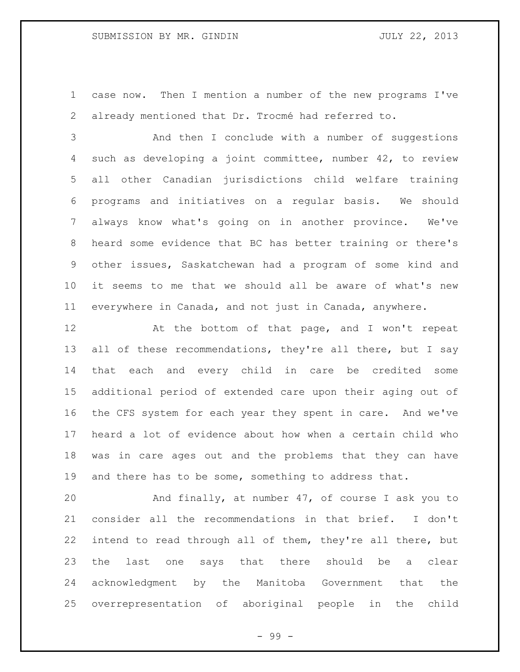case now. Then I mention a number of the new programs I've already mentioned that Dr. Trocmé had referred to.

 And then I conclude with a number of suggestions such as developing a joint committee, number 42, to review all other Canadian jurisdictions child welfare training programs and initiatives on a regular basis. We should always know what's going on in another province. We've heard some evidence that BC has better training or there's other issues, Saskatchewan had a program of some kind and it seems to me that we should all be aware of what's new everywhere in Canada, and not just in Canada, anywhere.

12 At the bottom of that page, and I won't repeat 13 all of these recommendations, they're all there, but I say that each and every child in care be credited some additional period of extended care upon their aging out of the CFS system for each year they spent in care. And we've heard a lot of evidence about how when a certain child who was in care ages out and the problems that they can have and there has to be some, something to address that.

 And finally, at number 47, of course I ask you to consider all the recommendations in that brief. I don't intend to read through all of them, they're all there, but the last one says that there should be a clear acknowledgment by the Manitoba Government that the overrepresentation of aboriginal people in the child

- 99 -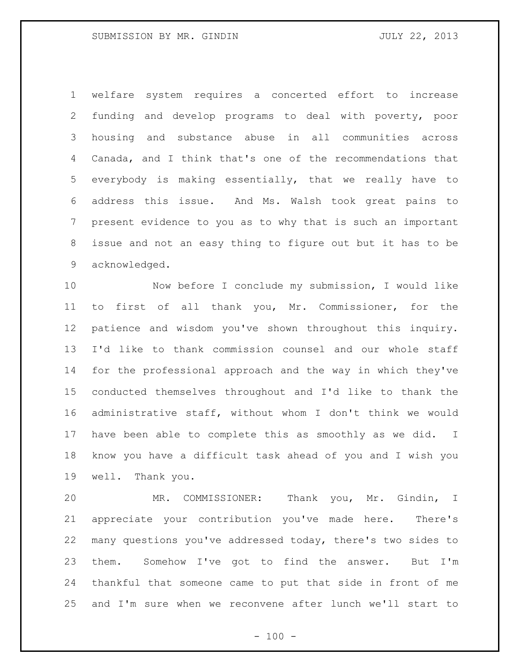welfare system requires a concerted effort to increase funding and develop programs to deal with poverty, poor housing and substance abuse in all communities across Canada, and I think that's one of the recommendations that everybody is making essentially, that we really have to address this issue. And Ms. Walsh took great pains to present evidence to you as to why that is such an important issue and not an easy thing to figure out but it has to be acknowledged.

 Now before I conclude my submission, I would like to first of all thank you, Mr. Commissioner, for the patience and wisdom you've shown throughout this inquiry. I'd like to thank commission counsel and our whole staff for the professional approach and the way in which they've conducted themselves throughout and I'd like to thank the administrative staff, without whom I don't think we would have been able to complete this as smoothly as we did. I know you have a difficult task ahead of you and I wish you well. Thank you.

 MR. COMMISSIONER: Thank you, Mr. Gindin, I appreciate your contribution you've made here. There's many questions you've addressed today, there's two sides to them. Somehow I've got to find the answer. But I'm thankful that someone came to put that side in front of me and I'm sure when we reconvene after lunch we'll start to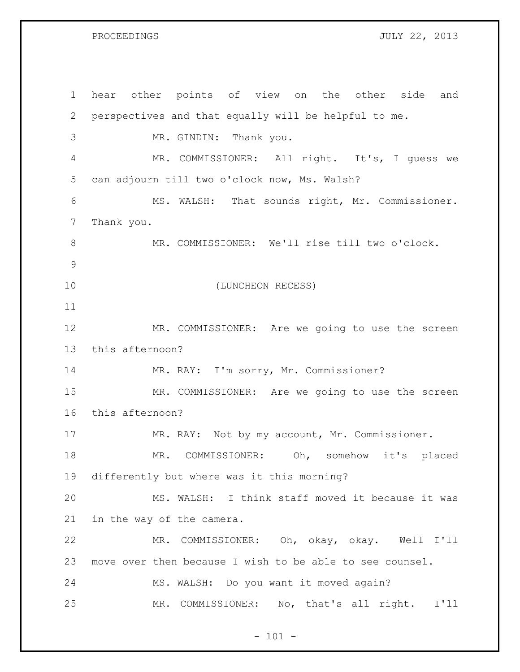PROCEEDINGS JULY 22, 2013

| 1             | hear other points of view on the other side<br>and       |
|---------------|----------------------------------------------------------|
| $\mathbf{2}$  | perspectives and that equally will be helpful to me.     |
| 3             | MR. GINDIN: Thank you.                                   |
| 4             | MR. COMMISSIONER: All right. It's, I guess we            |
| 5             | can adjourn till two o'clock now, Ms. Walsh?             |
| 6             | MS. WALSH: That sounds right, Mr. Commissioner.          |
| 7             | Thank you.                                               |
| $\,8\,$       | MR. COMMISSIONER: We'll rise till two o'clock.           |
| $\mathcal{G}$ |                                                          |
| 10            | (LUNCHEON RECESS)                                        |
| 11            |                                                          |
| 12            | MR. COMMISSIONER: Are we going to use the screen         |
| 13            | this afternoon?                                          |
| 14            | MR. RAY: I'm sorry, Mr. Commissioner?                    |
| 15            | MR. COMMISSIONER: Are we going to use the screen         |
| 16            | this afternoon?                                          |
| 17            | MR. RAY: Not by my account, Mr. Commissioner.            |
| 18            | COMMISSIONER: Oh, somehow<br>MR.<br>it's placed          |
| 19            | differently but where was it this morning?               |
| 20            | MS. WALSH: I think staff moved it because it was         |
| 21            | in the way of the camera.                                |
| 22            | MR. COMMISSIONER: Oh, okay, okay. Well I'll              |
| 23            | move over then because I wish to be able to see counsel. |
| 24            | MS. WALSH: Do you want it moved again?                   |
| 25            | No, that's all right. I'll<br>MR.<br>COMMISSIONER:       |

- 101 -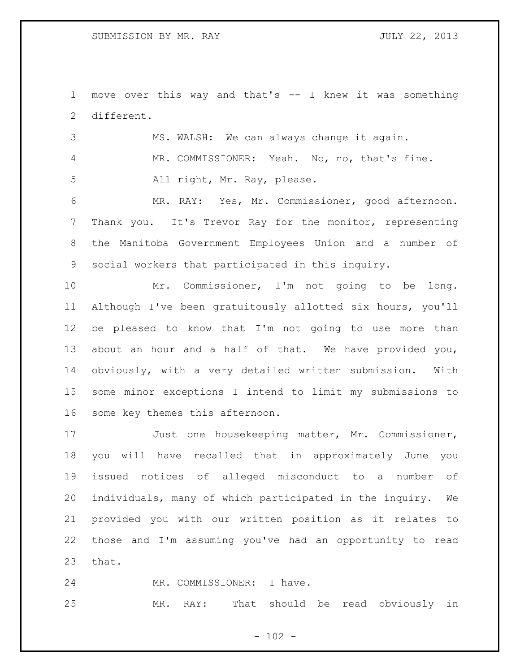move over this way and that's -- I knew it was something different.

 MS. WALSH: We can always change it again. MR. COMMISSIONER: Yeah. No, no, that's fine. All right, Mr. Ray, please. MR. RAY: Yes, Mr. Commissioner, good afternoon. Thank you. It's Trevor Ray for the monitor, representing the Manitoba Government Employees Union and a number of

social workers that participated in this inquiry.

 Mr. Commissioner, I'm not going to be long. Although I've been gratuitously allotted six hours, you'll be pleased to know that I'm not going to use more than about an hour and a half of that. We have provided you, obviously, with a very detailed written submission. With some minor exceptions I intend to limit my submissions to some key themes this afternoon.

 Just one housekeeping matter, Mr. Commissioner, you will have recalled that in approximately June you issued notices of alleged misconduct to a number of individuals, many of which participated in the inquiry. We provided you with our written position as it relates to those and I'm assuming you've had an opportunity to read that.

24 MR. COMMISSIONER: I have.

MR. RAY: That should be read obviously in

 $- 102 -$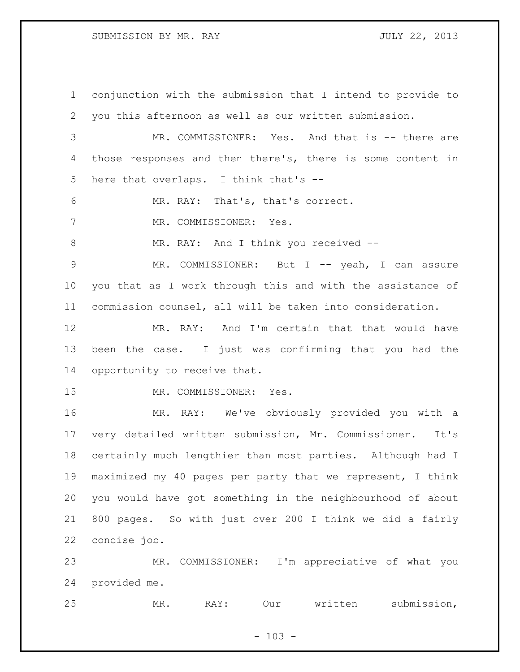SUBMISSION BY MR. RAY JULY 22, 2013

 conjunction with the submission that I intend to provide to you this afternoon as well as our written submission. MR. COMMISSIONER: Yes. And that is -- there are those responses and then there's, there is some content in here that overlaps. I think that's -- MR. RAY: That's, that's correct. MR. COMMISSIONER: Yes. 8 MR. RAY: And I think you received -- MR. COMMISSIONER: But I -- yeah, I can assure you that as I work through this and with the assistance of commission counsel, all will be taken into consideration. MR. RAY: And I'm certain that that would have been the case. I just was confirming that you had the opportunity to receive that. MR. COMMISSIONER: Yes. MR. RAY: We've obviously provided you with a very detailed written submission, Mr. Commissioner. It's certainly much lengthier than most parties. Although had I maximized my 40 pages per party that we represent, I think you would have got something in the neighbourhood of about 800 pages. So with just over 200 I think we did a fairly concise job. MR. COMMISSIONER: I'm appreciative of what you provided me.

MR. RAY: Our written submission,

 $- 103 -$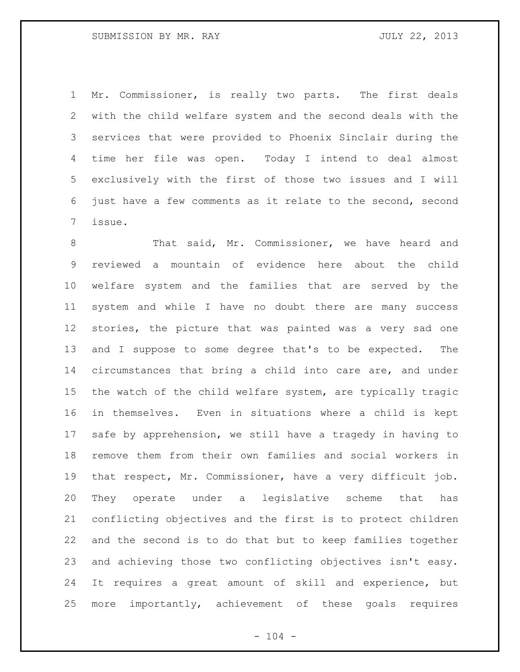Mr. Commissioner, is really two parts. The first deals with the child welfare system and the second deals with the services that were provided to Phoenix Sinclair during the time her file was open. Today I intend to deal almost exclusively with the first of those two issues and I will just have a few comments as it relate to the second, second issue.

 That said, Mr. Commissioner, we have heard and reviewed a mountain of evidence here about the child welfare system and the families that are served by the system and while I have no doubt there are many success stories, the picture that was painted was a very sad one and I suppose to some degree that's to be expected. The circumstances that bring a child into care are, and under the watch of the child welfare system, are typically tragic in themselves. Even in situations where a child is kept safe by apprehension, we still have a tragedy in having to remove them from their own families and social workers in that respect, Mr. Commissioner, have a very difficult job. They operate under a legislative scheme that has conflicting objectives and the first is to protect children and the second is to do that but to keep families together and achieving those two conflicting objectives isn't easy. It requires a great amount of skill and experience, but more importantly, achievement of these goals requires

 $- 104 -$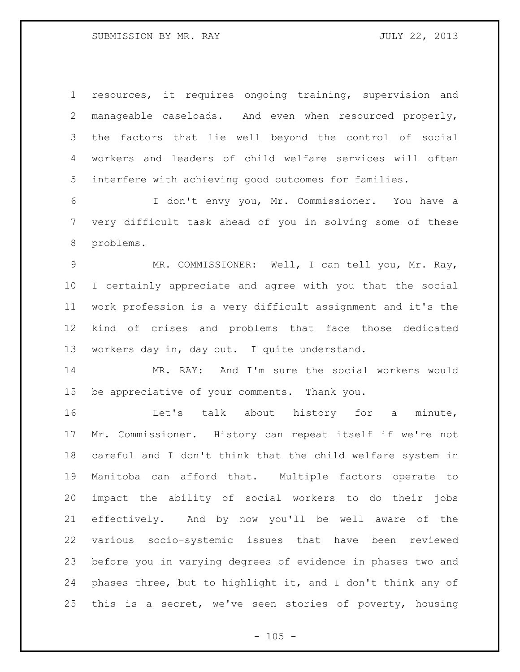# SUBMISSION BY MR. RAY JULY 22, 2013

 resources, it requires ongoing training, supervision and manageable caseloads. And even when resourced properly, the factors that lie well beyond the control of social workers and leaders of child welfare services will often interfere with achieving good outcomes for families.

 I don't envy you, Mr. Commissioner. You have a very difficult task ahead of you in solving some of these problems.

 MR. COMMISSIONER: Well, I can tell you, Mr. Ray, I certainly appreciate and agree with you that the social work profession is a very difficult assignment and it's the kind of crises and problems that face those dedicated workers day in, day out. I quite understand.

 MR. RAY: And I'm sure the social workers would be appreciative of your comments. Thank you.

 Let's talk about history for a minute, Mr. Commissioner. History can repeat itself if we're not careful and I don't think that the child welfare system in Manitoba can afford that. Multiple factors operate to impact the ability of social workers to do their jobs effectively. And by now you'll be well aware of the various socio-systemic issues that have been reviewed before you in varying degrees of evidence in phases two and phases three, but to highlight it, and I don't think any of this is a secret, we've seen stories of poverty, housing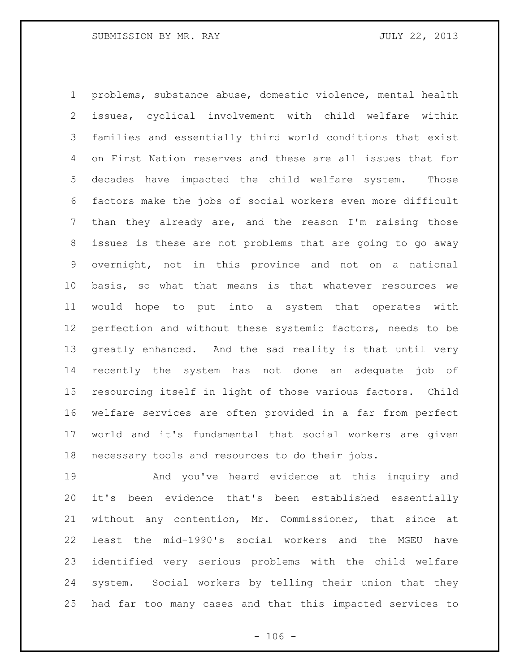problems, substance abuse, domestic violence, mental health issues, cyclical involvement with child welfare within families and essentially third world conditions that exist on First Nation reserves and these are all issues that for decades have impacted the child welfare system. Those factors make the jobs of social workers even more difficult than they already are, and the reason I'm raising those issues is these are not problems that are going to go away overnight, not in this province and not on a national basis, so what that means is that whatever resources we would hope to put into a system that operates with perfection and without these systemic factors, needs to be greatly enhanced. And the sad reality is that until very recently the system has not done an adequate job of resourcing itself in light of those various factors. Child welfare services are often provided in a far from perfect world and it's fundamental that social workers are given necessary tools and resources to do their jobs.

 And you've heard evidence at this inquiry and it's been evidence that's been established essentially without any contention, Mr. Commissioner, that since at least the mid-1990's social workers and the MGEU have identified very serious problems with the child welfare system. Social workers by telling their union that they had far too many cases and that this impacted services to

 $- 106 -$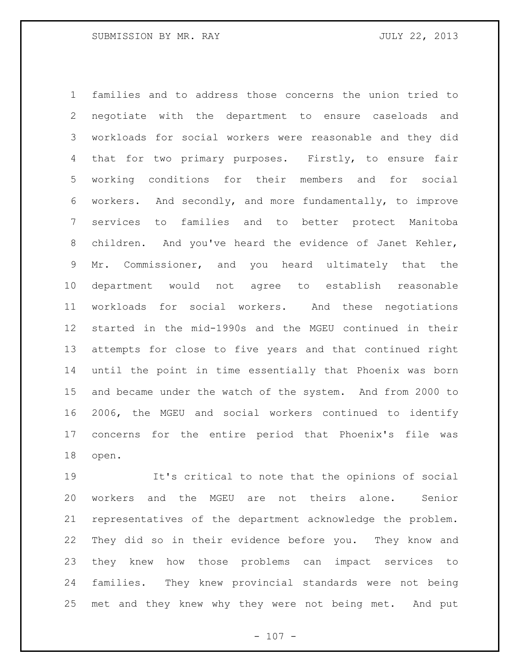families and to address those concerns the union tried to negotiate with the department to ensure caseloads and workloads for social workers were reasonable and they did 4 that for two primary purposes. Firstly, to ensure fair working conditions for their members and for social workers. And secondly, and more fundamentally, to improve services to families and to better protect Manitoba children. And you've heard the evidence of Janet Kehler, Mr. Commissioner, and you heard ultimately that the department would not agree to establish reasonable workloads for social workers. And these negotiations started in the mid-1990s and the MGEU continued in their attempts for close to five years and that continued right until the point in time essentially that Phoenix was born and became under the watch of the system. And from 2000 to 2006, the MGEU and social workers continued to identify concerns for the entire period that Phoenix's file was open.

 It's critical to note that the opinions of social workers and the MGEU are not theirs alone. Senior representatives of the department acknowledge the problem. They did so in their evidence before you. They know and they knew how those problems can impact services to families. They knew provincial standards were not being met and they knew why they were not being met. And put

 $- 107 -$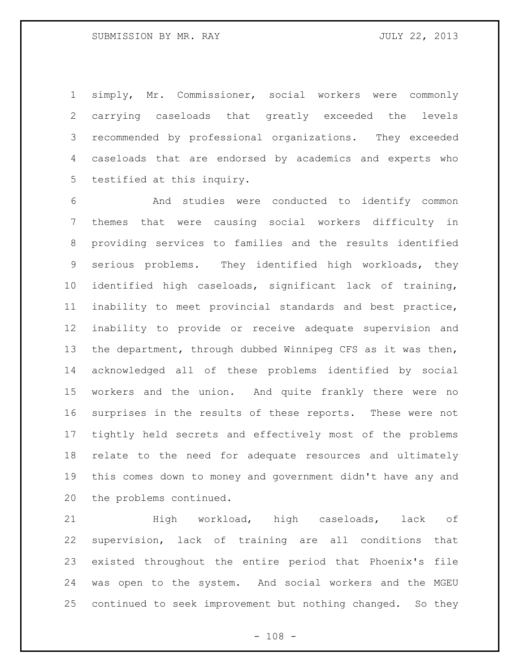# SUBMISSION BY MR. RAY JULY 22, 2013

 simply, Mr. Commissioner, social workers were commonly carrying caseloads that greatly exceeded the levels recommended by professional organizations. They exceeded caseloads that are endorsed by academics and experts who testified at this inquiry.

 And studies were conducted to identify common themes that were causing social workers difficulty in providing services to families and the results identified serious problems. They identified high workloads, they identified high caseloads, significant lack of training, inability to meet provincial standards and best practice, inability to provide or receive adequate supervision and the department, through dubbed Winnipeg CFS as it was then, acknowledged all of these problems identified by social workers and the union. And quite frankly there were no surprises in the results of these reports. These were not tightly held secrets and effectively most of the problems relate to the need for adequate resources and ultimately this comes down to money and government didn't have any and the problems continued.

 High workload, high caseloads, lack of supervision, lack of training are all conditions that existed throughout the entire period that Phoenix's file was open to the system. And social workers and the MGEU continued to seek improvement but nothing changed. So they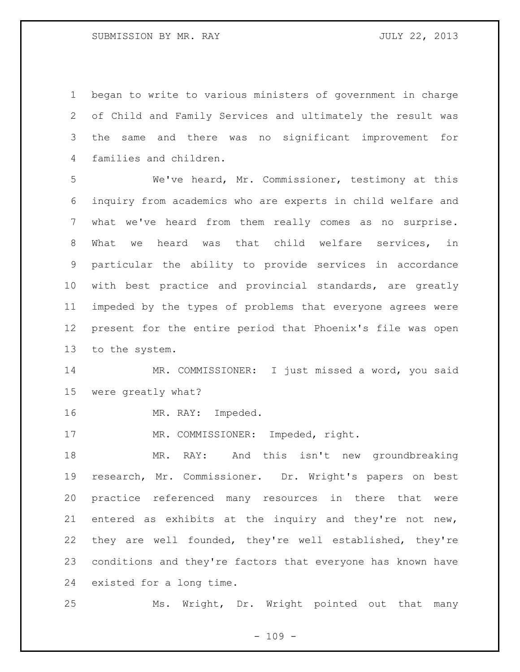began to write to various ministers of government in charge of Child and Family Services and ultimately the result was the same and there was no significant improvement for families and children.

 We've heard, Mr. Commissioner, testimony at this inquiry from academics who are experts in child welfare and what we've heard from them really comes as no surprise. What we heard was that child welfare services, in particular the ability to provide services in accordance with best practice and provincial standards, are greatly impeded by the types of problems that everyone agrees were present for the entire period that Phoenix's file was open to the system.

 MR. COMMISSIONER: I just missed a word, you said were greatly what?

16 MR. RAY: Impeded.

17 MR. COMMISSIONER: Impeded, right.

 MR. RAY: And this isn't new groundbreaking research, Mr. Commissioner. Dr. Wright's papers on best practice referenced many resources in there that were entered as exhibits at the inquiry and they're not new, they are well founded, they're well established, they're conditions and they're factors that everyone has known have existed for a long time.

Ms. Wright, Dr. Wright pointed out that many

 $- 109 -$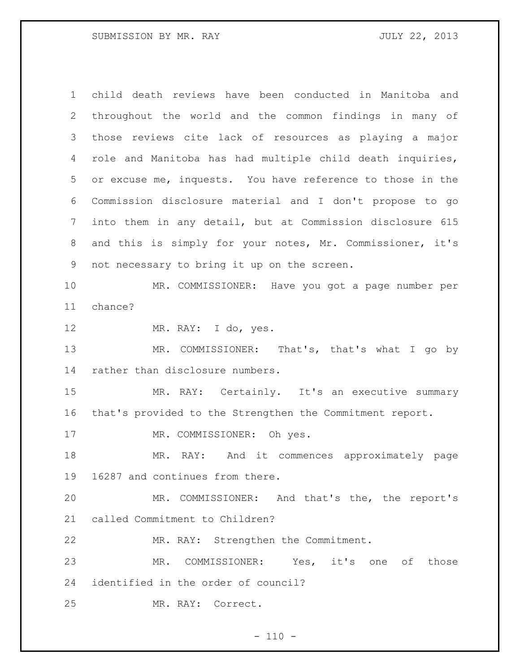child death reviews have been conducted in Manitoba and throughout the world and the common findings in many of those reviews cite lack of resources as playing a major role and Manitoba has had multiple child death inquiries, or excuse me, inquests. You have reference to those in the Commission disclosure material and I don't propose to go into them in any detail, but at Commission disclosure 615 and this is simply for your notes, Mr. Commissioner, it's not necessary to bring it up on the screen. MR. COMMISSIONER: Have you got a page number per chance? MR. RAY: I do, yes. MR. COMMISSIONER: That's, that's what I go by rather than disclosure numbers. 15 MR. RAY: Certainly. It's an executive summary that's provided to the Strengthen the Commitment report. MR. COMMISSIONER: Oh yes. MR. RAY: And it commences approximately page 16287 and continues from there. MR. COMMISSIONER: And that's the, the report's called Commitment to Children? MR. RAY: Strengthen the Commitment. MR. COMMISSIONER: Yes, it's one of those identified in the order of council? MR. RAY: Correct.

 $- 110 -$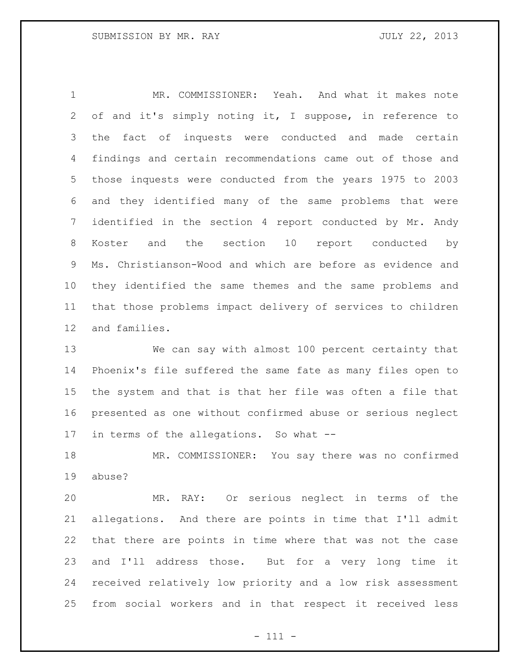MR. COMMISSIONER: Yeah. And what it makes note of and it's simply noting it, I suppose, in reference to the fact of inquests were conducted and made certain findings and certain recommendations came out of those and those inquests were conducted from the years 1975 to 2003 and they identified many of the same problems that were identified in the section 4 report conducted by Mr. Andy Koster and the section 10 report conducted by Ms. Christianson-Wood and which are before as evidence and they identified the same themes and the same problems and that those problems impact delivery of services to children and families.

 We can say with almost 100 percent certainty that Phoenix's file suffered the same fate as many files open to the system and that is that her file was often a file that presented as one without confirmed abuse or serious neglect in terms of the allegations. So what --

 MR. COMMISSIONER: You say there was no confirmed abuse?

 MR. RAY: Or serious neglect in terms of the allegations. And there are points in time that I'll admit that there are points in time where that was not the case and I'll address those. But for a very long time it received relatively low priority and a low risk assessment from social workers and in that respect it received less

- 111 -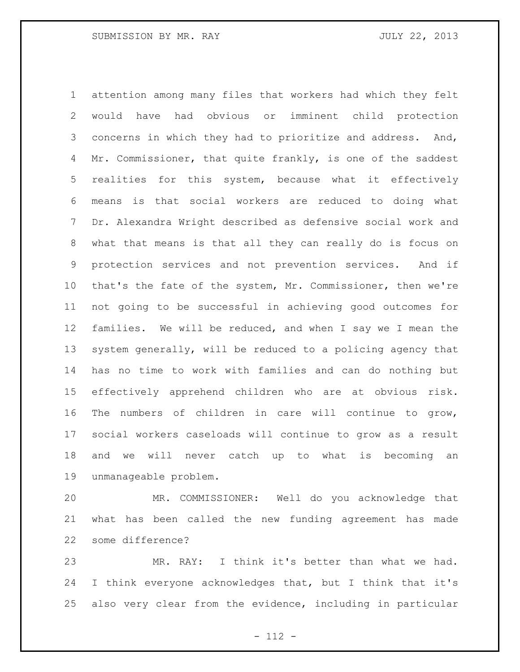attention among many files that workers had which they felt would have had obvious or imminent child protection concerns in which they had to prioritize and address. And, 4 Mr. Commissioner, that quite frankly, is one of the saddest realities for this system, because what it effectively means is that social workers are reduced to doing what Dr. Alexandra Wright described as defensive social work and what that means is that all they can really do is focus on protection services and not prevention services. And if that's the fate of the system, Mr. Commissioner, then we're not going to be successful in achieving good outcomes for families. We will be reduced, and when I say we I mean the system generally, will be reduced to a policing agency that has no time to work with families and can do nothing but effectively apprehend children who are at obvious risk. The numbers of children in care will continue to grow, social workers caseloads will continue to grow as a result and we will never catch up to what is becoming an unmanageable problem.

 MR. COMMISSIONER: Well do you acknowledge that what has been called the new funding agreement has made some difference?

 MR. RAY: I think it's better than what we had. I think everyone acknowledges that, but I think that it's also very clear from the evidence, including in particular

- 112 -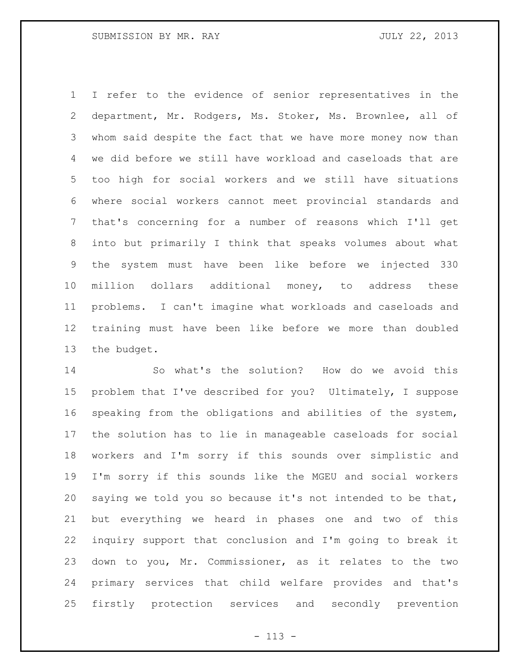I refer to the evidence of senior representatives in the department, Mr. Rodgers, Ms. Stoker, Ms. Brownlee, all of whom said despite the fact that we have more money now than we did before we still have workload and caseloads that are too high for social workers and we still have situations where social workers cannot meet provincial standards and that's concerning for a number of reasons which I'll get into but primarily I think that speaks volumes about what the system must have been like before we injected 330 million dollars additional money, to address these problems. I can't imagine what workloads and caseloads and training must have been like before we more than doubled the budget.

 So what's the solution? How do we avoid this problem that I've described for you? Ultimately, I suppose speaking from the obligations and abilities of the system, the solution has to lie in manageable caseloads for social workers and I'm sorry if this sounds over simplistic and I'm sorry if this sounds like the MGEU and social workers saying we told you so because it's not intended to be that, but everything we heard in phases one and two of this inquiry support that conclusion and I'm going to break it down to you, Mr. Commissioner, as it relates to the two primary services that child welfare provides and that's firstly protection services and secondly prevention

- 113 -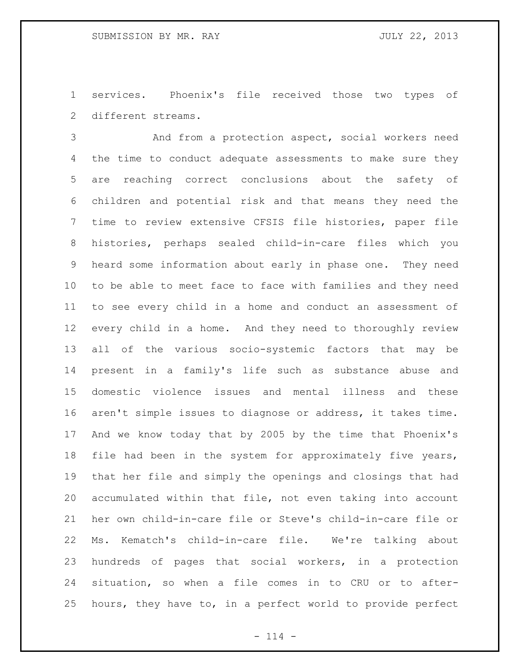services. Phoenix's file received those two types of different streams.

 And from a protection aspect, social workers need the time to conduct adequate assessments to make sure they are reaching correct conclusions about the safety of children and potential risk and that means they need the time to review extensive CFSIS file histories, paper file histories, perhaps sealed child-in-care files which you heard some information about early in phase one. They need to be able to meet face to face with families and they need to see every child in a home and conduct an assessment of every child in a home. And they need to thoroughly review all of the various socio-systemic factors that may be present in a family's life such as substance abuse and domestic violence issues and mental illness and these aren't simple issues to diagnose or address, it takes time. And we know today that by 2005 by the time that Phoenix's file had been in the system for approximately five years, that her file and simply the openings and closings that had accumulated within that file, not even taking into account her own child-in-care file or Steve's child-in-care file or Ms. Kematch's child-in-care file. We're talking about hundreds of pages that social workers, in a protection situation, so when a file comes in to CRU or to after-hours, they have to, in a perfect world to provide perfect

 $- 114 -$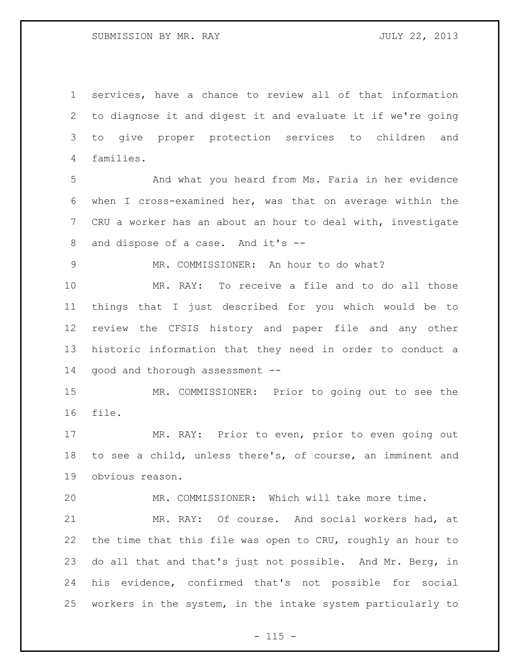services, have a chance to review all of that information to diagnose it and digest it and evaluate it if we're going to give proper protection services to children and families.

 And what you heard from Ms. Faria in her evidence when I cross-examined her, was that on average within the CRU a worker has an about an hour to deal with, investigate and dispose of a case. And it's --

MR. COMMISSIONER: An hour to do what?

 MR. RAY: To receive a file and to do all those things that I just described for you which would be to review the CFSIS history and paper file and any other historic information that they need in order to conduct a good and thorough assessment --

 MR. COMMISSIONER: Prior to going out to see the file.

 MR. RAY: Prior to even, prior to even going out to see a child, unless there's, of course, an imminent and obvious reason.

MR. COMMISSIONER: Which will take more time.

 MR. RAY: Of course. And social workers had, at the time that this file was open to CRU, roughly an hour to do all that and that's just not possible. And Mr. Berg, in his evidence, confirmed that's not possible for social workers in the system, in the intake system particularly to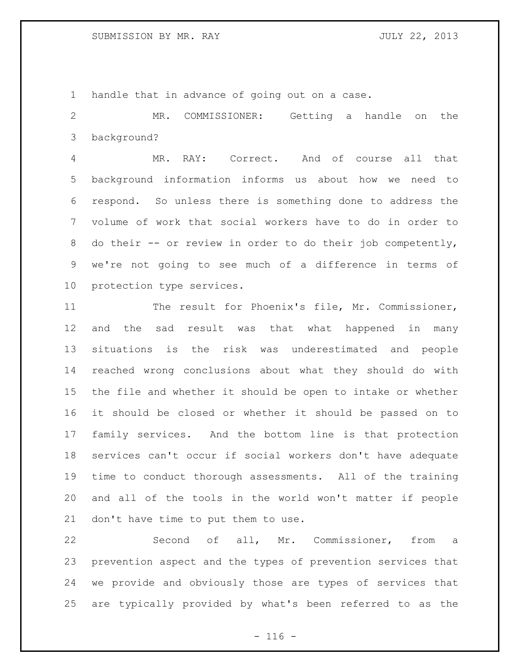handle that in advance of going out on a case.

 MR. COMMISSIONER: Getting a handle on the background?

 MR. RAY: Correct. And of course all that background information informs us about how we need to respond. So unless there is something done to address the volume of work that social workers have to do in order to 8 do their -- or review in order to do their job competently, we're not going to see much of a difference in terms of protection type services.

 The result for Phoenix's file, Mr. Commissioner, and the sad result was that what happened in many situations is the risk was underestimated and people reached wrong conclusions about what they should do with the file and whether it should be open to intake or whether it should be closed or whether it should be passed on to family services. And the bottom line is that protection services can't occur if social workers don't have adequate time to conduct thorough assessments. All of the training and all of the tools in the world won't matter if people don't have time to put them to use.

 Second of all, Mr. Commissioner, from a prevention aspect and the types of prevention services that we provide and obviously those are types of services that are typically provided by what's been referred to as the

 $- 116 -$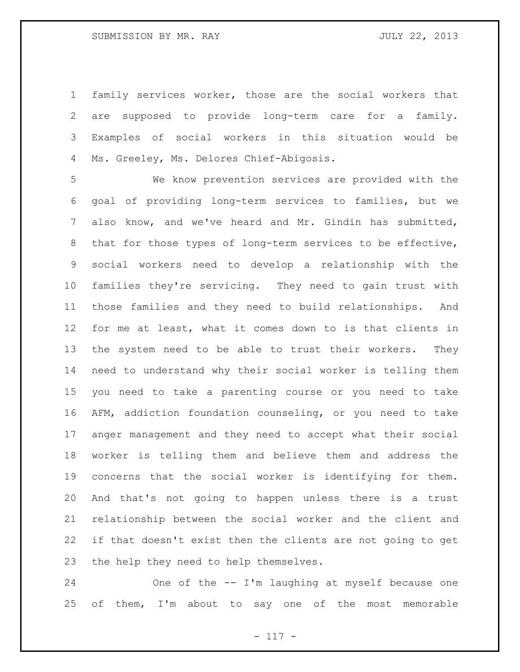family services worker, those are the social workers that are supposed to provide long-term care for a family. Examples of social workers in this situation would be Ms. Greeley, Ms. Delores Chief-Abigosis.

 We know prevention services are provided with the goal of providing long-term services to families, but we also know, and we've heard and Mr. Gindin has submitted, that for those types of long-term services to be effective, social workers need to develop a relationship with the families they're servicing. They need to gain trust with those families and they need to build relationships. And for me at least, what it comes down to is that clients in the system need to be able to trust their workers. They need to understand why their social worker is telling them you need to take a parenting course or you need to take AFM, addiction foundation counseling, or you need to take anger management and they need to accept what their social worker is telling them and believe them and address the concerns that the social worker is identifying for them. And that's not going to happen unless there is a trust relationship between the social worker and the client and if that doesn't exist then the clients are not going to get the help they need to help themselves.

 One of the -- I'm laughing at myself because one 25 of them, I'm about to say one of the most memorable

- 117 -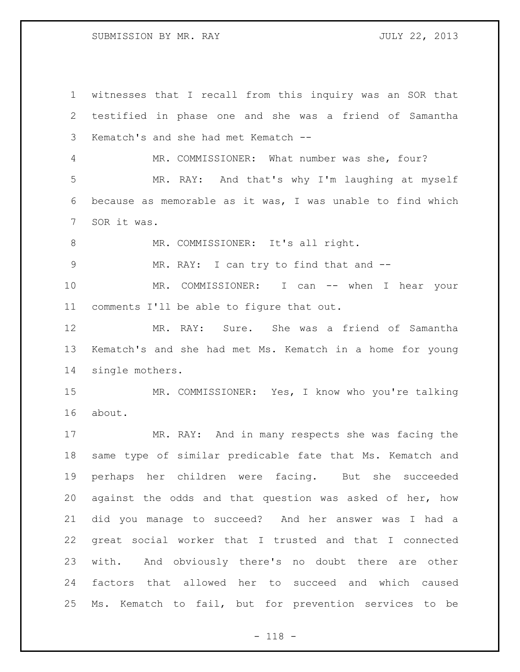witnesses that I recall from this inquiry was an SOR that testified in phase one and she was a friend of Samantha Kematch's and she had met Kematch -- MR. COMMISSIONER: What number was she, four? MR. RAY: And that's why I'm laughing at myself because as memorable as it was, I was unable to find which SOR it was. 8 MR. COMMISSIONER: It's all right. MR. RAY: I can try to find that and -- 10 MR. COMMISSIONER: I can -- when I hear your comments I'll be able to figure that out. MR. RAY: Sure. She was a friend of Samantha Kematch's and she had met Ms. Kematch in a home for young single mothers. MR. COMMISSIONER: Yes, I know who you're talking about. MR. RAY: And in many respects she was facing the same type of similar predicable fate that Ms. Kematch and perhaps her children were facing. But she succeeded against the odds and that question was asked of her, how did you manage to succeed? And her answer was I had a great social worker that I trusted and that I connected with. And obviously there's no doubt there are other factors that allowed her to succeed and which caused Ms. Kematch to fail, but for prevention services to be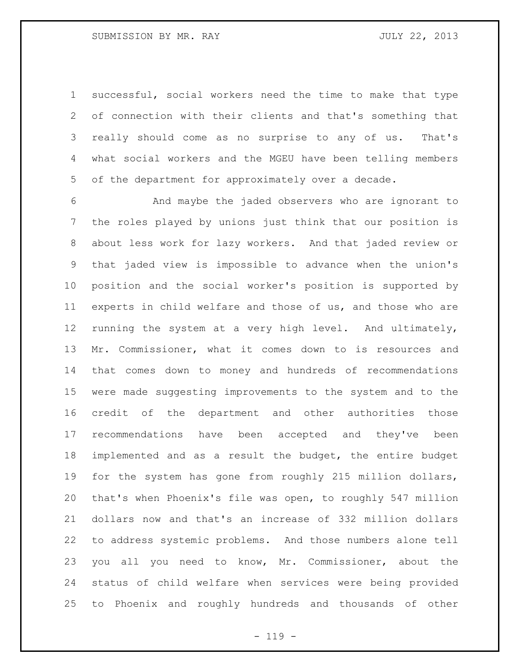successful, social workers need the time to make that type of connection with their clients and that's something that really should come as no surprise to any of us. That's what social workers and the MGEU have been telling members of the department for approximately over a decade.

 And maybe the jaded observers who are ignorant to the roles played by unions just think that our position is about less work for lazy workers. And that jaded review or that jaded view is impossible to advance when the union's position and the social worker's position is supported by experts in child welfare and those of us, and those who are running the system at a very high level. And ultimately, Mr. Commissioner, what it comes down to is resources and that comes down to money and hundreds of recommendations were made suggesting improvements to the system and to the credit of the department and other authorities those recommendations have been accepted and they've been implemented and as a result the budget, the entire budget for the system has gone from roughly 215 million dollars, that's when Phoenix's file was open, to roughly 547 million dollars now and that's an increase of 332 million dollars to address systemic problems. And those numbers alone tell you all you need to know, Mr. Commissioner, about the status of child welfare when services were being provided to Phoenix and roughly hundreds and thousands of other

 $- 119 -$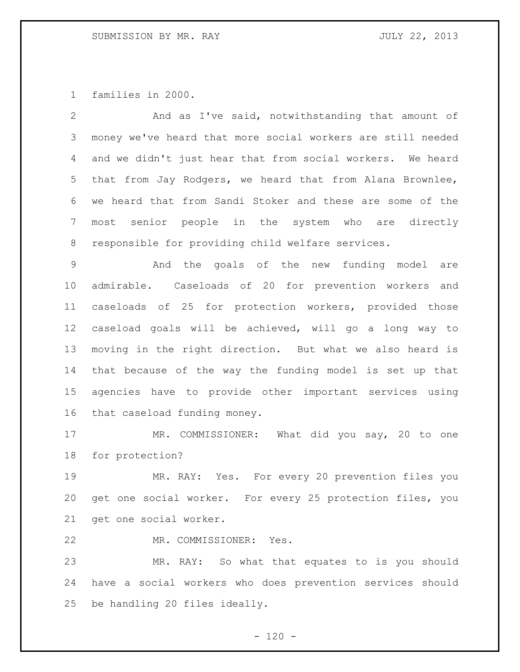families in 2000.

| $\overline{2}$  | And as I've said, notwithstanding that amount of            |
|-----------------|-------------------------------------------------------------|
| 3               | money we've heard that more social workers are still needed |
| 4               | and we didn't just hear that from social workers. We heard  |
| 5               | that from Jay Rodgers, we heard that from Alana Brownlee,   |
| 6               | we heard that from Sandi Stoker and these are some of the   |
| $7\phantom{.0}$ | most senior people in the system who are directly           |
| 8               | responsible for providing child welfare services.           |
| $\mathsf 9$     | And the goals of the new funding model<br>are               |
| 10              | admirable. Caseloads of 20 for prevention workers and       |
| 11              | caseloads of 25 for protection workers, provided those      |
| 12              | caseload goals will be achieved, will go a long way to      |
| 13              | moving in the right direction. But what we also heard is    |
| 14              | that because of the way the funding model is set up that    |
| 15              | agencies have to provide other important services using     |
| 16              | that caseload funding money.                                |
| 17              | MR. COMMISSIONER: What did you say, 20 to one               |
| 18              | for protection?                                             |
| 19              | MR. RAY: Yes. For every 20 prevention files you             |
| 20              | get one social worker. For every 25 protection files, you   |
| 21              | get one social worker.                                      |
| 22              | MR. COMMISSIONER: Yes.                                      |
| 23              | MR. RAY: So what that equates to is you should              |
| 24              | have a social workers who does prevention services should   |
| 25              | be handling 20 files ideally.                               |

- 120 -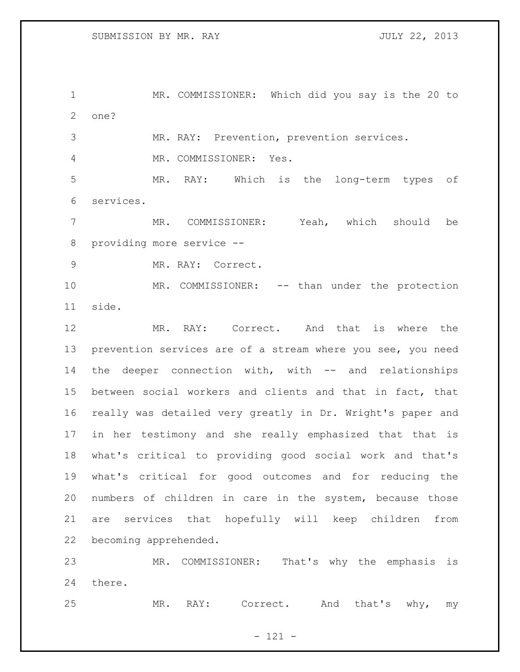MR. COMMISSIONER: Which did you say is the 20 to one?

MR. RAY: Prevention, prevention services.

MR. COMMISSIONER: Yes.

 MR. RAY: Which is the long-term types of services.

 MR. COMMISSIONER: Yeah, which should be providing more service --

MR. RAY: Correct.

10 MR. COMMISSIONER: -- than under the protection side.

 MR. RAY: Correct. And that is where the prevention services are of a stream where you see, you need the deeper connection with, with -- and relationships between social workers and clients and that in fact, that really was detailed very greatly in Dr. Wright's paper and in her testimony and she really emphasized that that is what's critical to providing good social work and that's what's critical for good outcomes and for reducing the numbers of children in care in the system, because those are services that hopefully will keep children from becoming apprehended.

 MR. COMMISSIONER: That's why the emphasis is there.

MR. RAY: Correct. And that's why, my

 $- 121 -$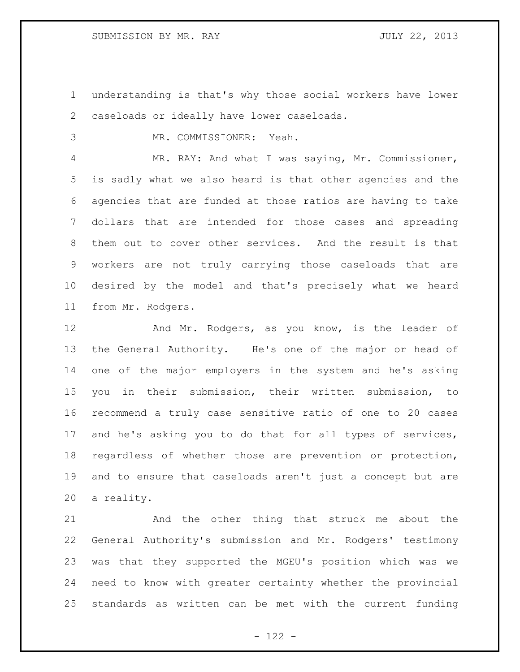understanding is that's why those social workers have lower caseloads or ideally have lower caseloads.

MR. COMMISSIONER: Yeah.

 MR. RAY: And what I was saying, Mr. Commissioner, is sadly what we also heard is that other agencies and the agencies that are funded at those ratios are having to take dollars that are intended for those cases and spreading them out to cover other services. And the result is that workers are not truly carrying those caseloads that are desired by the model and that's precisely what we heard from Mr. Rodgers.

12 And Mr. Rodgers, as you know, is the leader of the General Authority. He's one of the major or head of one of the major employers in the system and he's asking you in their submission, their written submission, to recommend a truly case sensitive ratio of one to 20 cases and he's asking you to do that for all types of services, regardless of whether those are prevention or protection, and to ensure that caseloads aren't just a concept but are a reality.

 And the other thing that struck me about the General Authority's submission and Mr. Rodgers' testimony was that they supported the MGEU's position which was we need to know with greater certainty whether the provincial standards as written can be met with the current funding

- 122 -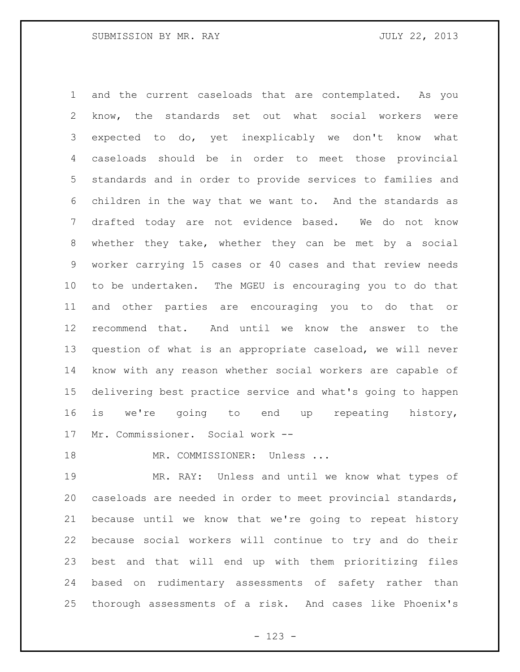and the current caseloads that are contemplated. As you know, the standards set out what social workers were expected to do, yet inexplicably we don't know what caseloads should be in order to meet those provincial standards and in order to provide services to families and children in the way that we want to. And the standards as drafted today are not evidence based. We do not know whether they take, whether they can be met by a social worker carrying 15 cases or 40 cases and that review needs to be undertaken. The MGEU is encouraging you to do that and other parties are encouraging you to do that or recommend that. And until we know the answer to the question of what is an appropriate caseload, we will never know with any reason whether social workers are capable of delivering best practice service and what's going to happen is we're going to end up repeating history, Mr. Commissioner. Social work --

18 MR. COMMISSIONER: Unless ...

 MR. RAY: Unless and until we know what types of caseloads are needed in order to meet provincial standards, because until we know that we're going to repeat history because social workers will continue to try and do their best and that will end up with them prioritizing files based on rudimentary assessments of safety rather than thorough assessments of a risk. And cases like Phoenix's

- 123 -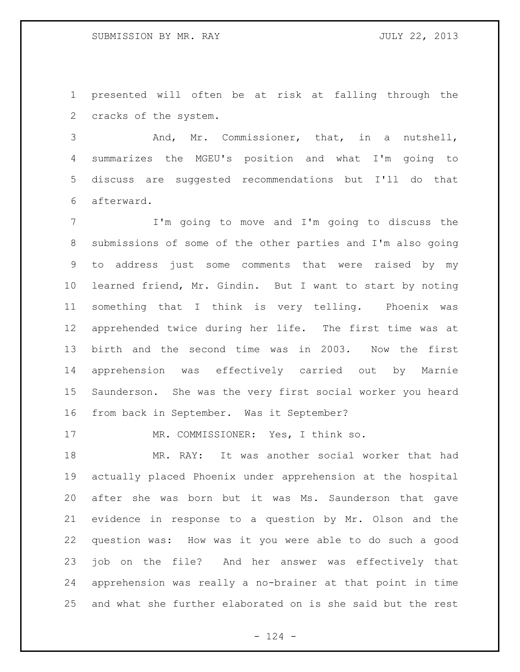presented will often be at risk at falling through the cracks of the system.

 And, Mr. Commissioner, that, in a nutshell, summarizes the MGEU's position and what I'm going to discuss are suggested recommendations but I'll do that afterward.

 I'm going to move and I'm going to discuss the submissions of some of the other parties and I'm also going to address just some comments that were raised by my learned friend, Mr. Gindin. But I want to start by noting something that I think is very telling. Phoenix was apprehended twice during her life. The first time was at birth and the second time was in 2003. Now the first apprehension was effectively carried out by Marnie Saunderson. She was the very first social worker you heard from back in September. Was it September?

17 MR. COMMISSIONER: Yes, I think so.

 MR. RAY: It was another social worker that had actually placed Phoenix under apprehension at the hospital after she was born but it was Ms. Saunderson that gave evidence in response to a question by Mr. Olson and the question was: How was it you were able to do such a good job on the file? And her answer was effectively that apprehension was really a no-brainer at that point in time and what she further elaborated on is she said but the rest

 $- 124 -$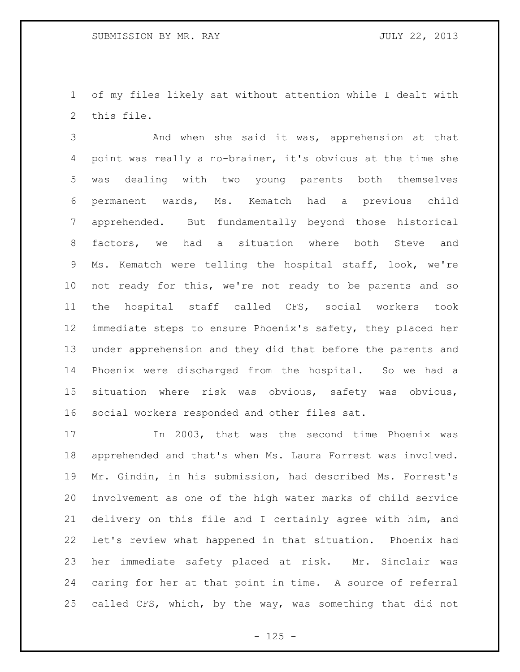of my files likely sat without attention while I dealt with this file.

 And when she said it was, apprehension at that point was really a no-brainer, it's obvious at the time she was dealing with two young parents both themselves permanent wards, Ms. Kematch had a previous child apprehended. But fundamentally beyond those historical factors, we had a situation where both Steve and Ms. Kematch were telling the hospital staff, look, we're not ready for this, we're not ready to be parents and so the hospital staff called CFS, social workers took immediate steps to ensure Phoenix's safety, they placed her under apprehension and they did that before the parents and Phoenix were discharged from the hospital. So we had a situation where risk was obvious, safety was obvious, social workers responded and other files sat.

 In 2003, that was the second time Phoenix was apprehended and that's when Ms. Laura Forrest was involved. Mr. Gindin, in his submission, had described Ms. Forrest's involvement as one of the high water marks of child service delivery on this file and I certainly agree with him, and let's review what happened in that situation. Phoenix had her immediate safety placed at risk. Mr. Sinclair was caring for her at that point in time. A source of referral called CFS, which, by the way, was something that did not

 $- 125 -$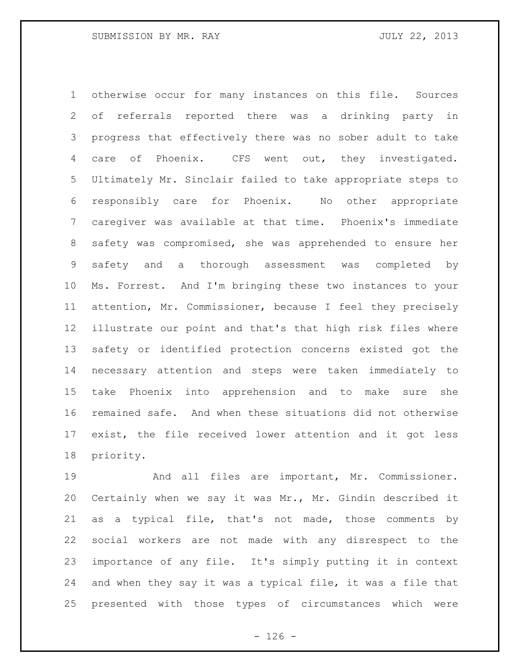otherwise occur for many instances on this file. Sources of referrals reported there was a drinking party in progress that effectively there was no sober adult to take care of Phoenix. CFS went out, they investigated. Ultimately Mr. Sinclair failed to take appropriate steps to responsibly care for Phoenix. No other appropriate caregiver was available at that time. Phoenix's immediate safety was compromised, she was apprehended to ensure her safety and a thorough assessment was completed by Ms. Forrest. And I'm bringing these two instances to your attention, Mr. Commissioner, because I feel they precisely illustrate our point and that's that high risk files where safety or identified protection concerns existed got the necessary attention and steps were taken immediately to take Phoenix into apprehension and to make sure she remained safe. And when these situations did not otherwise exist, the file received lower attention and it got less priority.

 And all files are important, Mr. Commissioner. Certainly when we say it was Mr., Mr. Gindin described it as a typical file, that's not made, those comments by social workers are not made with any disrespect to the importance of any file. It's simply putting it in context and when they say it was a typical file, it was a file that presented with those types of circumstances which were

 $- 126 -$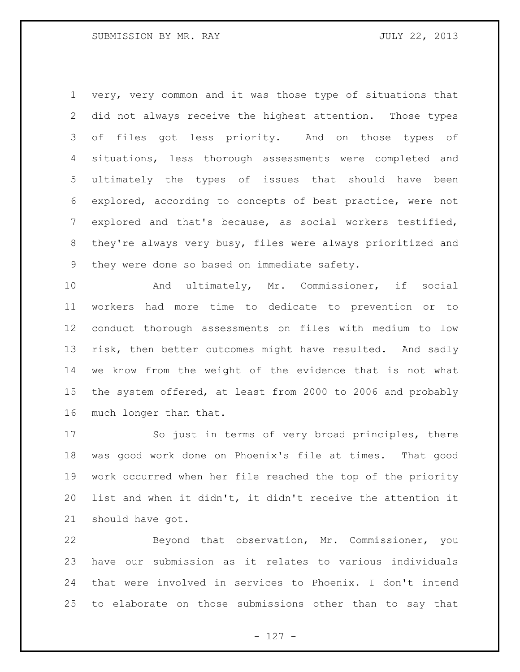very, very common and it was those type of situations that did not always receive the highest attention. Those types of files got less priority. And on those types of situations, less thorough assessments were completed and ultimately the types of issues that should have been explored, according to concepts of best practice, were not explored and that's because, as social workers testified, they're always very busy, files were always prioritized and they were done so based on immediate safety.

 And ultimately, Mr. Commissioner, if social workers had more time to dedicate to prevention or to conduct thorough assessments on files with medium to low 13 risk, then better outcomes might have resulted. And sadly we know from the weight of the evidence that is not what the system offered, at least from 2000 to 2006 and probably much longer than that.

 So just in terms of very broad principles, there was good work done on Phoenix's file at times. That good work occurred when her file reached the top of the priority list and when it didn't, it didn't receive the attention it should have got.

 Beyond that observation, Mr. Commissioner, you have our submission as it relates to various individuals that were involved in services to Phoenix. I don't intend to elaborate on those submissions other than to say that

- 127 -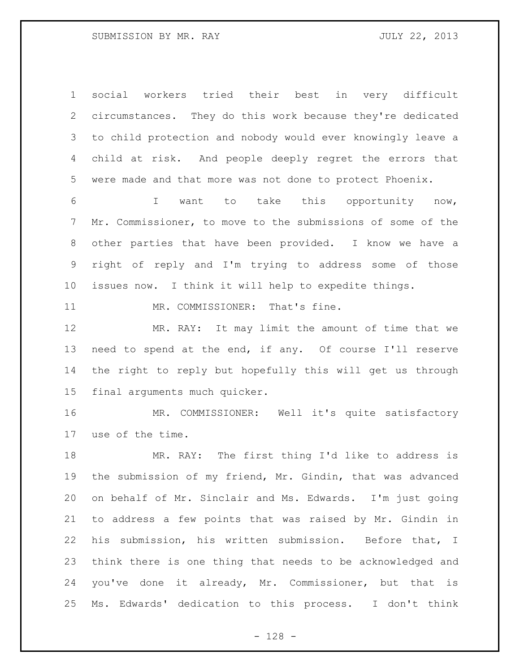social workers tried their best in very difficult circumstances. They do this work because they're dedicated to child protection and nobody would ever knowingly leave a child at risk. And people deeply regret the errors that were made and that more was not done to protect Phoenix.

 I want to take this opportunity now, Mr. Commissioner, to move to the submissions of some of the other parties that have been provided. I know we have a right of reply and I'm trying to address some of those issues now. I think it will help to expedite things.

MR. COMMISSIONER: That's fine.

 MR. RAY: It may limit the amount of time that we need to spend at the end, if any. Of course I'll reserve the right to reply but hopefully this will get us through final arguments much quicker.

 MR. COMMISSIONER: Well it's quite satisfactory use of the time.

 MR. RAY: The first thing I'd like to address is the submission of my friend, Mr. Gindin, that was advanced on behalf of Mr. Sinclair and Ms. Edwards. I'm just going to address a few points that was raised by Mr. Gindin in his submission, his written submission. Before that, I think there is one thing that needs to be acknowledged and you've done it already, Mr. Commissioner, but that is Ms. Edwards' dedication to this process. I don't think

- 128 -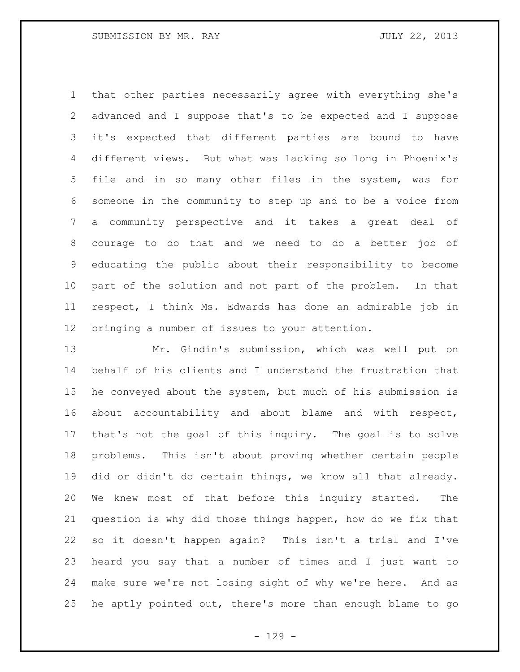that other parties necessarily agree with everything she's advanced and I suppose that's to be expected and I suppose it's expected that different parties are bound to have different views. But what was lacking so long in Phoenix's file and in so many other files in the system, was for someone in the community to step up and to be a voice from a community perspective and it takes a great deal of courage to do that and we need to do a better job of educating the public about their responsibility to become part of the solution and not part of the problem. In that respect, I think Ms. Edwards has done an admirable job in bringing a number of issues to your attention.

 Mr. Gindin's submission, which was well put on behalf of his clients and I understand the frustration that he conveyed about the system, but much of his submission is about accountability and about blame and with respect, that's not the goal of this inquiry. The goal is to solve problems. This isn't about proving whether certain people did or didn't do certain things, we know all that already. We knew most of that before this inquiry started. The question is why did those things happen, how do we fix that so it doesn't happen again? This isn't a trial and I've heard you say that a number of times and I just want to make sure we're not losing sight of why we're here. And as he aptly pointed out, there's more than enough blame to go

- 129 -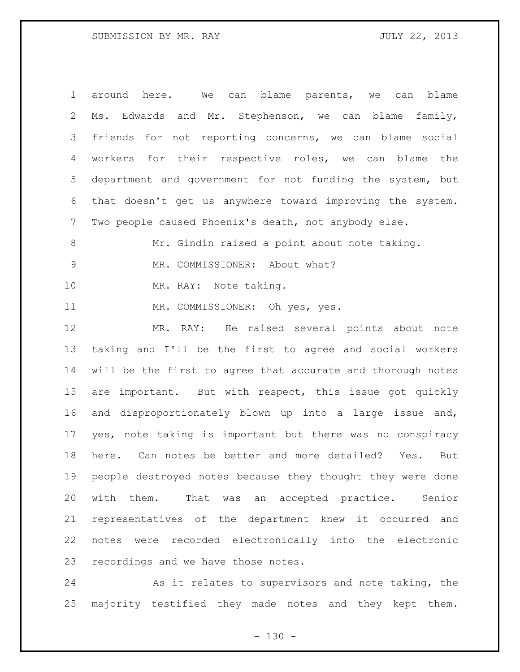around here. We can blame parents, we can blame Ms. Edwards and Mr. Stephenson, we can blame family, friends for not reporting concerns, we can blame social workers for their respective roles, we can blame the department and government for not funding the system, but that doesn't get us anywhere toward improving the system. Two people caused Phoenix's death, not anybody else. 8 Mr. Gindin raised a point about note taking. 9 MR. COMMISSIONER: About what? MR. RAY: Note taking. 11 MR. COMMISSIONER: Oh yes, yes. MR. RAY: He raised several points about note taking and I'll be the first to agree and social workers will be the first to agree that accurate and thorough notes are important. But with respect, this issue got quickly and disproportionately blown up into a large issue and, yes, note taking is important but there was no conspiracy here. Can notes be better and more detailed? Yes. But people destroyed notes because they thought they were done with them. That was an accepted practice. Senior representatives of the department knew it occurred and notes were recorded electronically into the electronic recordings and we have those notes.

 As it relates to supervisors and note taking, the majority testified they made notes and they kept them.

 $- 130 -$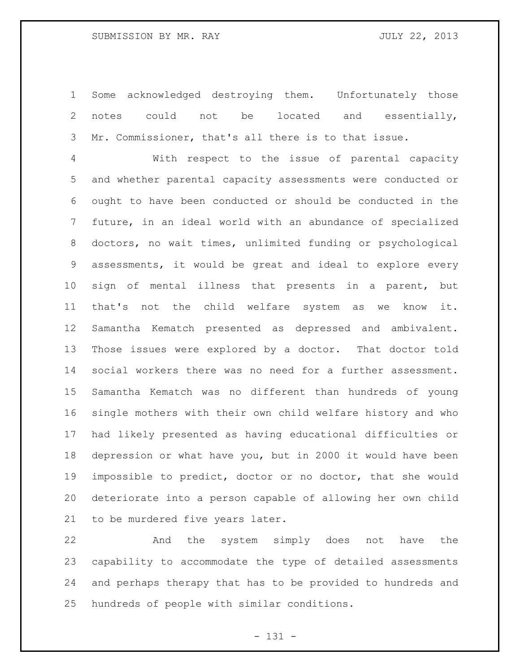# SUBMISSION BY MR. RAY JULY 22, 2013

 Some acknowledged destroying them. Unfortunately those 2 notes could not be located and essentially, Mr. Commissioner, that's all there is to that issue.

 With respect to the issue of parental capacity and whether parental capacity assessments were conducted or ought to have been conducted or should be conducted in the future, in an ideal world with an abundance of specialized doctors, no wait times, unlimited funding or psychological assessments, it would be great and ideal to explore every sign of mental illness that presents in a parent, but that's not the child welfare system as we know it. Samantha Kematch presented as depressed and ambivalent. Those issues were explored by a doctor. That doctor told social workers there was no need for a further assessment. Samantha Kematch was no different than hundreds of young single mothers with their own child welfare history and who had likely presented as having educational difficulties or depression or what have you, but in 2000 it would have been impossible to predict, doctor or no doctor, that she would deteriorate into a person capable of allowing her own child to be murdered five years later.

 And the system simply does not have the capability to accommodate the type of detailed assessments and perhaps therapy that has to be provided to hundreds and hundreds of people with similar conditions.

- 131 -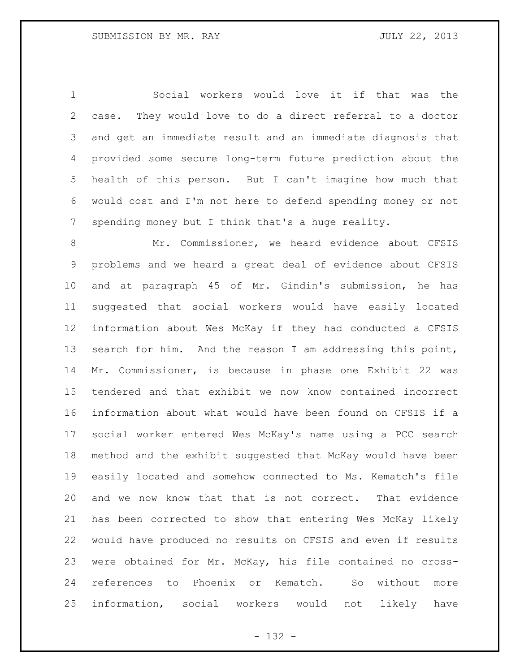Social workers would love it if that was the case. They would love to do a direct referral to a doctor and get an immediate result and an immediate diagnosis that provided some secure long-term future prediction about the health of this person. But I can't imagine how much that would cost and I'm not here to defend spending money or not spending money but I think that's a huge reality.

 Mr. Commissioner, we heard evidence about CFSIS problems and we heard a great deal of evidence about CFSIS and at paragraph 45 of Mr. Gindin's submission, he has suggested that social workers would have easily located information about Wes McKay if they had conducted a CFSIS search for him. And the reason I am addressing this point, Mr. Commissioner, is because in phase one Exhibit 22 was tendered and that exhibit we now know contained incorrect information about what would have been found on CFSIS if a social worker entered Wes McKay's name using a PCC search method and the exhibit suggested that McKay would have been easily located and somehow connected to Ms. Kematch's file and we now know that that is not correct. That evidence has been corrected to show that entering Wes McKay likely would have produced no results on CFSIS and even if results were obtained for Mr. McKay, his file contained no cross- references to Phoenix or Kematch. So without more information, social workers would not likely have

- 132 -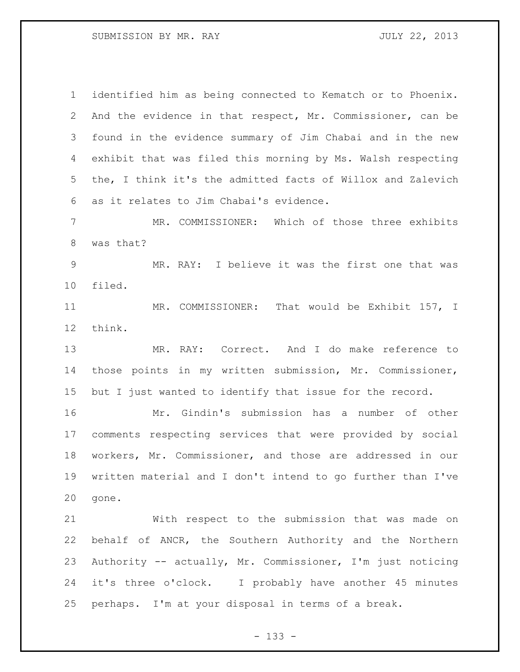SUBMISSION BY MR. RAY JULY 22, 2013

 identified him as being connected to Kematch or to Phoenix. And the evidence in that respect, Mr. Commissioner, can be found in the evidence summary of Jim Chabai and in the new exhibit that was filed this morning by Ms. Walsh respecting the, I think it's the admitted facts of Willox and Zalevich as it relates to Jim Chabai's evidence. MR. COMMISSIONER: Which of those three exhibits was that? MR. RAY: I believe it was the first one that was filed. MR. COMMISSIONER: That would be Exhibit 157, I think. MR. RAY: Correct. And I do make reference to those points in my written submission, Mr. Commissioner, but I just wanted to identify that issue for the record. Mr. Gindin's submission has a number of other comments respecting services that were provided by social workers, Mr. Commissioner, and those are addressed in our written material and I don't intend to go further than I've gone. With respect to the submission that was made on behalf of ANCR, the Southern Authority and the Northern Authority -- actually, Mr. Commissioner, I'm just noticing it's three o'clock. I probably have another 45 minutes perhaps. I'm at your disposal in terms of a break.

- 133 -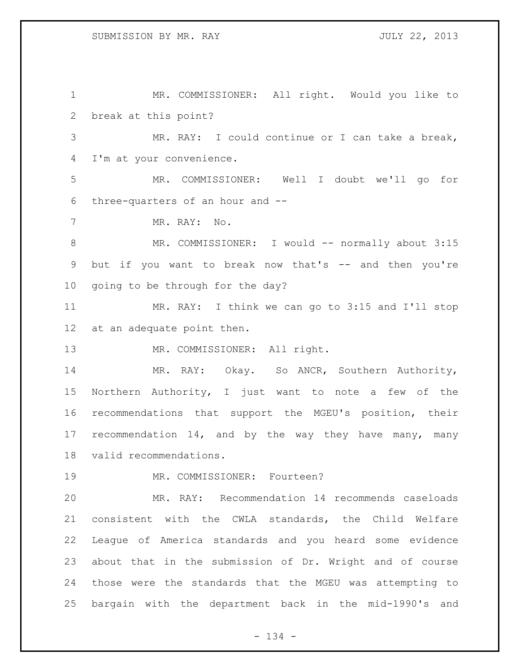MR. COMMISSIONER: All right. Would you like to break at this point? MR. RAY: I could continue or I can take a break, I'm at your convenience. MR. COMMISSIONER: Well I doubt we'll go for three-quarters of an hour and -- MR. RAY: No. 8 MR. COMMISSIONER: I would -- normally about 3:15 but if you want to break now that's -- and then you're going to be through for the day? MR. RAY: I think we can go to 3:15 and I'll stop at an adequate point then. 13 MR. COMMISSIONER: All right. MR. RAY: Okay. So ANCR, Southern Authority, Northern Authority, I just want to note a few of the recommendations that support the MGEU's position, their 17 recommendation 14, and by the way they have many, many valid recommendations. MR. COMMISSIONER: Fourteen? MR. RAY: Recommendation 14 recommends caseloads consistent with the CWLA standards, the Child Welfare

 about that in the submission of Dr. Wright and of course those were the standards that the MGEU was attempting to bargain with the department back in the mid-1990's and

League of America standards and you heard some evidence

- 134 -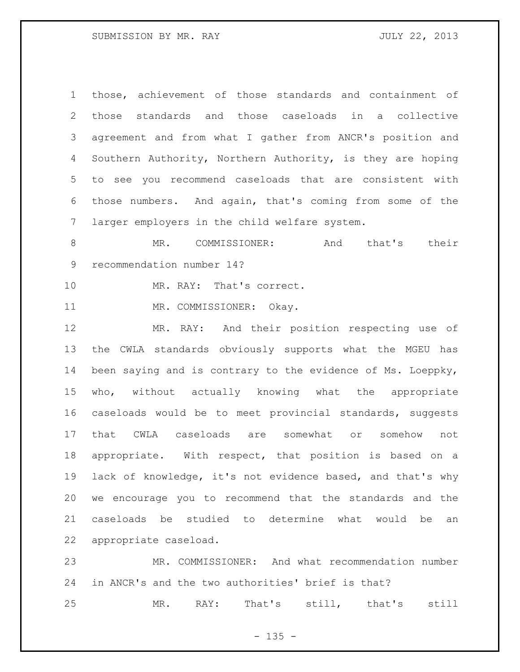# SUBMISSION BY MR. RAY JULY 22, 2013

 those, achievement of those standards and containment of those standards and those caseloads in a collective agreement and from what I gather from ANCR's position and Southern Authority, Northern Authority, is they are hoping to see you recommend caseloads that are consistent with those numbers. And again, that's coming from some of the larger employers in the child welfare system.

8 MR. COMMISSIONER: And that's their recommendation number 14?

MR. RAY: That's correct.

11 MR. COMMISSIONER: Okay.

 MR. RAY: And their position respecting use of the CWLA standards obviously supports what the MGEU has been saying and is contrary to the evidence of Ms. Loeppky, who, without actually knowing what the appropriate caseloads would be to meet provincial standards, suggests that CWLA caseloads are somewhat or somehow not appropriate. With respect, that position is based on a lack of knowledge, it's not evidence based, and that's why we encourage you to recommend that the standards and the caseloads be studied to determine what would be an appropriate caseload.

 MR. COMMISSIONER: And what recommendation number in ANCR's and the two authorities' brief is that?

MR. RAY: That's still, that's still

 $- 135 -$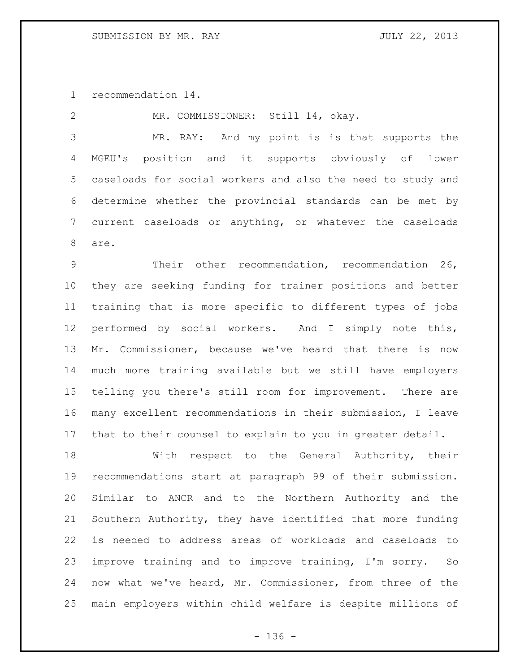recommendation 14.

 MR. COMMISSIONER: Still 14, okay. MR. RAY: And my point is is that supports the MGEU's position and it supports obviously of lower caseloads for social workers and also the need to study and determine whether the provincial standards can be met by current caseloads or anything, or whatever the caseloads are. Their other recommendation, recommendation 26, they are seeking funding for trainer positions and better

 training that is more specific to different types of jobs performed by social workers. And I simply note this, Mr. Commissioner, because we've heard that there is now much more training available but we still have employers telling you there's still room for improvement. There are many excellent recommendations in their submission, I leave that to their counsel to explain to you in greater detail.

 With respect to the General Authority, their recommendations start at paragraph 99 of their submission. Similar to ANCR and to the Northern Authority and the Southern Authority, they have identified that more funding is needed to address areas of workloads and caseloads to improve training and to improve training, I'm sorry. So now what we've heard, Mr. Commissioner, from three of the main employers within child welfare is despite millions of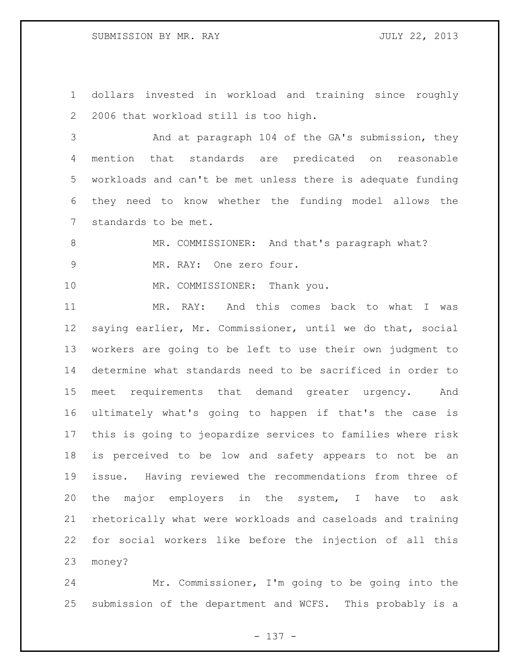dollars invested in workload and training since roughly 2006 that workload still is too high.

 And at paragraph 104 of the GA's submission, they mention that standards are predicated on reasonable workloads and can't be met unless there is adequate funding they need to know whether the funding model allows the standards to be met.

8 MR. COMMISSIONER: And that's paragraph what? MR. RAY: One zero four.

10 MR. COMMISSIONER: Thank you.

 MR. RAY: And this comes back to what I was saying earlier, Mr. Commissioner, until we do that, social workers are going to be left to use their own judgment to determine what standards need to be sacrificed in order to meet requirements that demand greater urgency. And ultimately what's going to happen if that's the case is this is going to jeopardize services to families where risk is perceived to be low and safety appears to not be an issue. Having reviewed the recommendations from three of the major employers in the system, I have to ask rhetorically what were workloads and caseloads and training for social workers like before the injection of all this money?

 Mr. Commissioner, I'm going to be going into the submission of the department and WCFS. This probably is a

- 137 -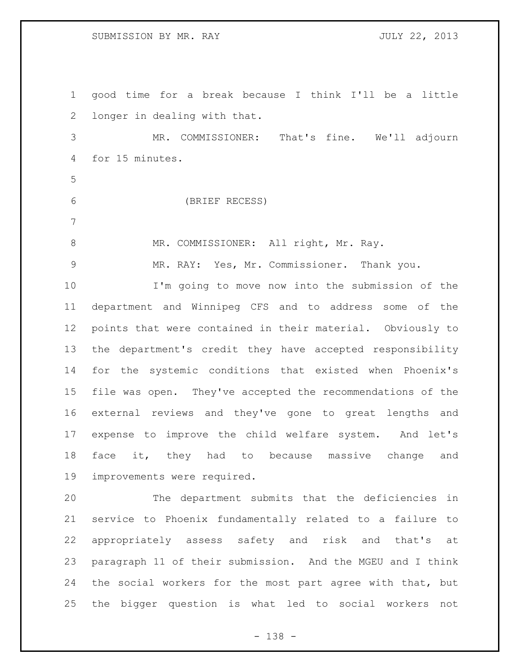# SUBMISSION BY MR. RAY JULY 22, 2013

 good time for a break because I think I'll be a little longer in dealing with that. MR. COMMISSIONER: That's fine. We'll adjourn for 15 minutes. (BRIEF RECESS) 8 MR. COMMISSIONER: All right, Mr. Ray. MR. RAY: Yes, Mr. Commissioner. Thank you. I'm going to move now into the submission of the department and Winnipeg CFS and to address some of the points that were contained in their material. Obviously to the department's credit they have accepted responsibility for the systemic conditions that existed when Phoenix's file was open. They've accepted the recommendations of the external reviews and they've gone to great lengths and expense to improve the child welfare system. And let's 18 face it, they had to because massive change and improvements were required.

 The department submits that the deficiencies in service to Phoenix fundamentally related to a failure to appropriately assess safety and risk and that's at paragraph 11 of their submission. And the MGEU and I think the social workers for the most part agree with that, but the bigger question is what led to social workers not

- 138 -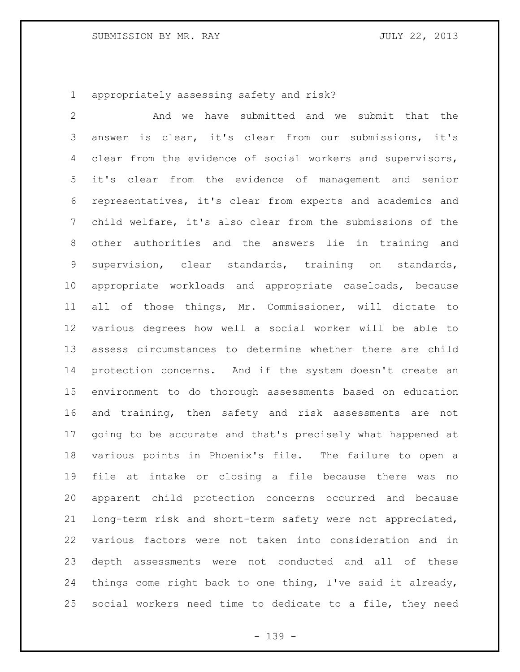# SUBMISSION BY MR. RAY JULY 22, 2013

appropriately assessing safety and risk?

 And we have submitted and we submit that the answer is clear, it's clear from our submissions, it's clear from the evidence of social workers and supervisors, it's clear from the evidence of management and senior representatives, it's clear from experts and academics and child welfare, it's also clear from the submissions of the other authorities and the answers lie in training and supervision, clear standards, training on standards, appropriate workloads and appropriate caseloads, because all of those things, Mr. Commissioner, will dictate to various degrees how well a social worker will be able to assess circumstances to determine whether there are child protection concerns. And if the system doesn't create an environment to do thorough assessments based on education and training, then safety and risk assessments are not going to be accurate and that's precisely what happened at various points in Phoenix's file. The failure to open a file at intake or closing a file because there was no apparent child protection concerns occurred and because long-term risk and short-term safety were not appreciated, various factors were not taken into consideration and in depth assessments were not conducted and all of these things come right back to one thing, I've said it already, social workers need time to dedicate to a file, they need

- 139 -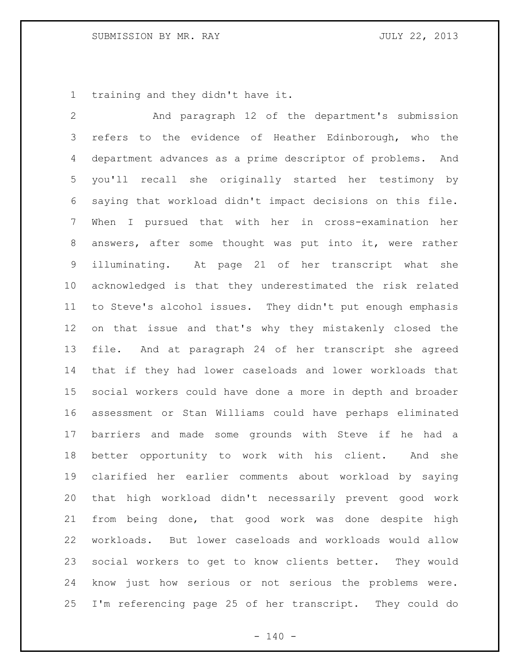training and they didn't have it.

 And paragraph 12 of the department's submission 3 refers to the evidence of Heather Edinborough, who the department advances as a prime descriptor of problems. And you'll recall she originally started her testimony by saying that workload didn't impact decisions on this file. When I pursued that with her in cross-examination her answers, after some thought was put into it, were rather illuminating. At page 21 of her transcript what she acknowledged is that they underestimated the risk related to Steve's alcohol issues. They didn't put enough emphasis on that issue and that's why they mistakenly closed the file. And at paragraph 24 of her transcript she agreed that if they had lower caseloads and lower workloads that social workers could have done a more in depth and broader assessment or Stan Williams could have perhaps eliminated barriers and made some grounds with Steve if he had a better opportunity to work with his client. And she clarified her earlier comments about workload by saying that high workload didn't necessarily prevent good work from being done, that good work was done despite high workloads. But lower caseloads and workloads would allow social workers to get to know clients better. They would know just how serious or not serious the problems were. I'm referencing page 25 of her transcript. They could do

 $- 140 -$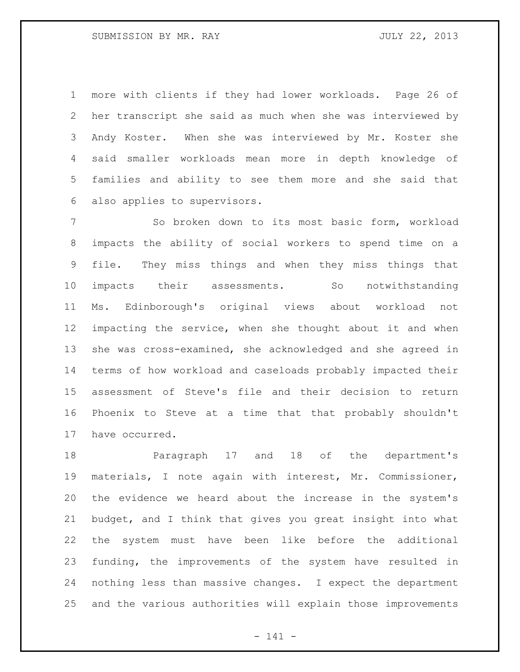more with clients if they had lower workloads. Page 26 of her transcript she said as much when she was interviewed by Andy Koster. When she was interviewed by Mr. Koster she said smaller workloads mean more in depth knowledge of families and ability to see them more and she said that also applies to supervisors.

 So broken down to its most basic form, workload impacts the ability of social workers to spend time on a file. They miss things and when they miss things that impacts their assessments. So notwithstanding Ms. Edinborough's original views about workload not impacting the service, when she thought about it and when she was cross-examined, she acknowledged and she agreed in terms of how workload and caseloads probably impacted their assessment of Steve's file and their decision to return Phoenix to Steve at a time that that probably shouldn't have occurred.

 Paragraph 17 and 18 of the department's materials, I note again with interest, Mr. Commissioner, the evidence we heard about the increase in the system's budget, and I think that gives you great insight into what the system must have been like before the additional funding, the improvements of the system have resulted in nothing less than massive changes. I expect the department and the various authorities will explain those improvements

- 141 -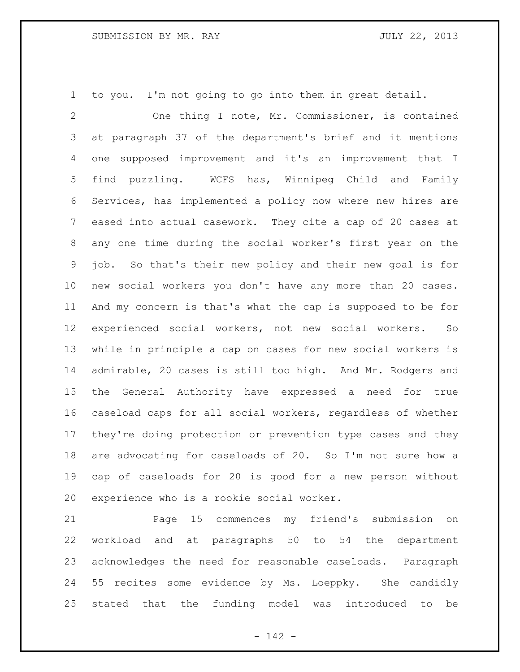to you. I'm not going to go into them in great detail.

 One thing I note, Mr. Commissioner, is contained at paragraph 37 of the department's brief and it mentions one supposed improvement and it's an improvement that I find puzzling. WCFS has, Winnipeg Child and Family Services, has implemented a policy now where new hires are eased into actual casework. They cite a cap of 20 cases at any one time during the social worker's first year on the job. So that's their new policy and their new goal is for new social workers you don't have any more than 20 cases. And my concern is that's what the cap is supposed to be for experienced social workers, not new social workers. So while in principle a cap on cases for new social workers is admirable, 20 cases is still too high. And Mr. Rodgers and the General Authority have expressed a need for true caseload caps for all social workers, regardless of whether they're doing protection or prevention type cases and they are advocating for caseloads of 20. So I'm not sure how a cap of caseloads for 20 is good for a new person without experience who is a rookie social worker.

 Page 15 commences my friend's submission on workload and at paragraphs 50 to 54 the department acknowledges the need for reasonable caseloads. Paragraph 55 recites some evidence by Ms. Loeppky. She candidly stated that the funding model was introduced to be

- 142 -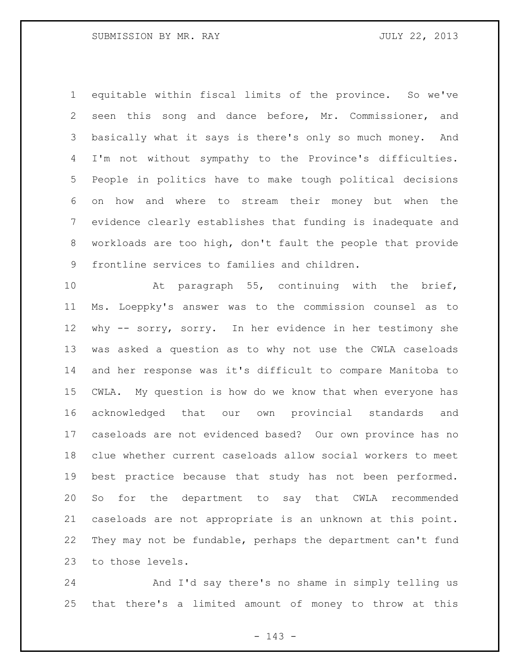equitable within fiscal limits of the province. So we've seen this song and dance before, Mr. Commissioner, and basically what it says is there's only so much money. And I'm not without sympathy to the Province's difficulties. People in politics have to make tough political decisions on how and where to stream their money but when the evidence clearly establishes that funding is inadequate and workloads are too high, don't fault the people that provide frontline services to families and children.

 At paragraph 55, continuing with the brief, Ms. Loeppky's answer was to the commission counsel as to why -- sorry, sorry. In her evidence in her testimony she was asked a question as to why not use the CWLA caseloads and her response was it's difficult to compare Manitoba to CWLA. My question is how do we know that when everyone has acknowledged that our own provincial standards and caseloads are not evidenced based? Our own province has no clue whether current caseloads allow social workers to meet best practice because that study has not been performed. So for the department to say that CWLA recommended caseloads are not appropriate is an unknown at this point. They may not be fundable, perhaps the department can't fund to those levels.

 And I'd say there's no shame in simply telling us that there's a limited amount of money to throw at this

- 143 -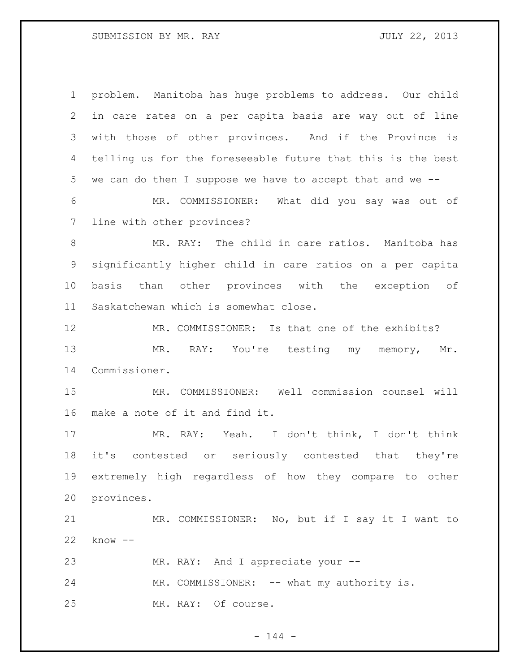| $\mathbf 1$     | problem. Manitoba has huge problems to address. Our child    |
|-----------------|--------------------------------------------------------------|
| $\overline{2}$  | in care rates on a per capita basis are way out of line      |
| 3               | with those of other provinces. And if the Province is        |
| 4               | telling us for the foreseeable future that this is the best  |
| 5               | we can do then I suppose we have to accept that and we $-$ - |
| 6               | MR. COMMISSIONER: What did you say was out of                |
| $7\phantom{.0}$ | line with other provinces?                                   |
| 8               | MR. RAY: The child in care ratios. Manitoba has              |
| $\mathsf 9$     | significantly higher child in care ratios on a per capita    |
| 10              | other provinces with the exception of<br>basis than          |
| 11              | Saskatchewan which is somewhat close.                        |
| 12              | MR. COMMISSIONER: Is that one of the exhibits?               |
| 13              | MR. RAY: You're testing my memory,<br>Mr.                    |
| 14              | Commissioner.                                                |
| 15              | COMMISSIONER: Well commission counsel will<br>MR.            |
| 16              | make a note of it and find it.                               |
| 17              | MR. RAY: Yeah. I don't think, I don't think                  |
| 18              | it's contested or seriously contested that they're           |
| 19              | extremely high regardless of how they compare to other       |
| 20              | provinces.                                                   |
| 21              | MR. COMMISSIONER: No, but if I say it I want to              |
| 22              | $know --$                                                    |
| 23              | MR. RAY: And I appreciate your --                            |
| 24              | MR. COMMISSIONER: -- what my authority is.                   |
| 25              | MR. RAY: Of course.                                          |

- 144 -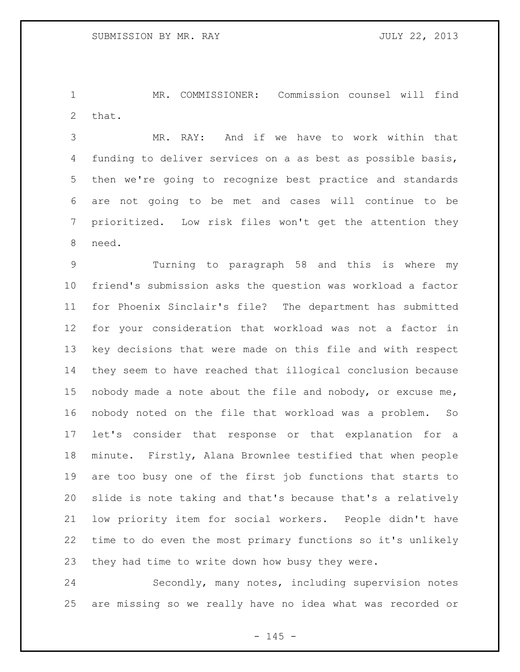MR. COMMISSIONER: Commission counsel will find that.

 MR. RAY: And if we have to work within that funding to deliver services on a as best as possible basis, then we're going to recognize best practice and standards are not going to be met and cases will continue to be prioritized. Low risk files won't get the attention they need.

 Turning to paragraph 58 and this is where my friend's submission asks the question was workload a factor for Phoenix Sinclair's file? The department has submitted for your consideration that workload was not a factor in key decisions that were made on this file and with respect they seem to have reached that illogical conclusion because nobody made a note about the file and nobody, or excuse me, nobody noted on the file that workload was a problem. So let's consider that response or that explanation for a minute. Firstly, Alana Brownlee testified that when people are too busy one of the first job functions that starts to slide is note taking and that's because that's a relatively low priority item for social workers. People didn't have time to do even the most primary functions so it's unlikely they had time to write down how busy they were.

 Secondly, many notes, including supervision notes are missing so we really have no idea what was recorded or

 $- 145 -$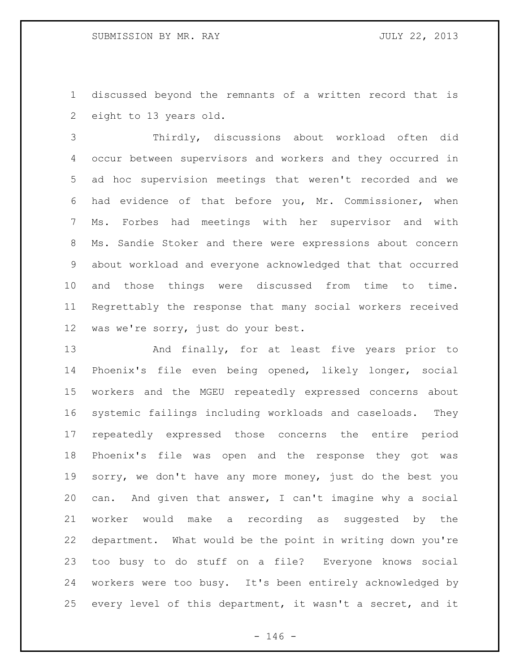discussed beyond the remnants of a written record that is eight to 13 years old.

 Thirdly, discussions about workload often did occur between supervisors and workers and they occurred in ad hoc supervision meetings that weren't recorded and we had evidence of that before you, Mr. Commissioner, when Ms. Forbes had meetings with her supervisor and with Ms. Sandie Stoker and there were expressions about concern about workload and everyone acknowledged that that occurred and those things were discussed from time to time. Regrettably the response that many social workers received was we're sorry, just do your best.

13 And finally, for at least five years prior to Phoenix's file even being opened, likely longer, social workers and the MGEU repeatedly expressed concerns about systemic failings including workloads and caseloads. They repeatedly expressed those concerns the entire period Phoenix's file was open and the response they got was sorry, we don't have any more money, just do the best you can. And given that answer, I can't imagine why a social worker would make a recording as suggested by the department. What would be the point in writing down you're too busy to do stuff on a file? Everyone knows social workers were too busy. It's been entirely acknowledged by every level of this department, it wasn't a secret, and it

 $- 146 -$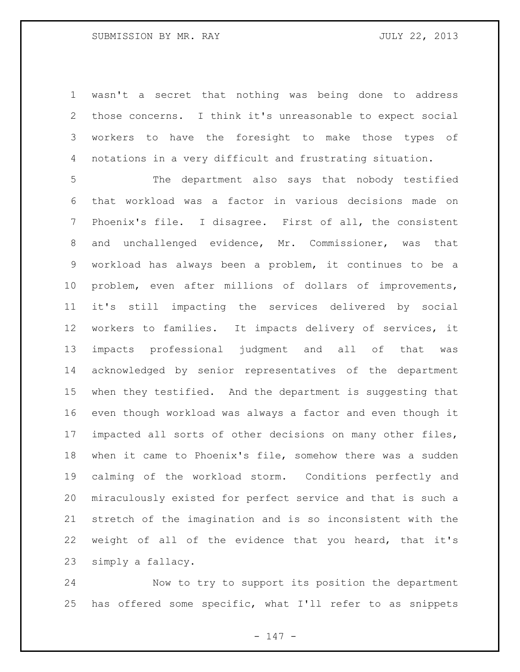wasn't a secret that nothing was being done to address those concerns. I think it's unreasonable to expect social workers to have the foresight to make those types of notations in a very difficult and frustrating situation.

 The department also says that nobody testified that workload was a factor in various decisions made on Phoenix's file. I disagree. First of all, the consistent and unchallenged evidence, Mr. Commissioner, was that workload has always been a problem, it continues to be a problem, even after millions of dollars of improvements, it's still impacting the services delivered by social workers to families. It impacts delivery of services, it impacts professional judgment and all of that was acknowledged by senior representatives of the department when they testified. And the department is suggesting that even though workload was always a factor and even though it impacted all sorts of other decisions on many other files, when it came to Phoenix's file, somehow there was a sudden calming of the workload storm. Conditions perfectly and miraculously existed for perfect service and that is such a stretch of the imagination and is so inconsistent with the weight of all of the evidence that you heard, that it's simply a fallacy.

 Now to try to support its position the department has offered some specific, what I'll refer to as snippets

- 147 -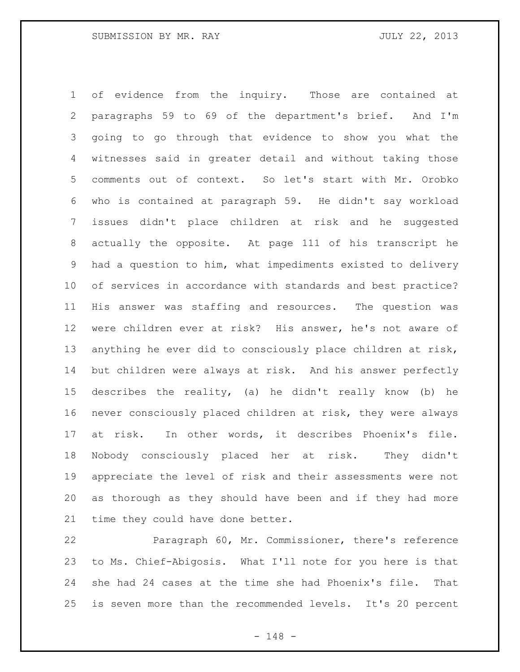of evidence from the inquiry. Those are contained at paragraphs 59 to 69 of the department's brief. And I'm going to go through that evidence to show you what the witnesses said in greater detail and without taking those comments out of context. So let's start with Mr. Orobko who is contained at paragraph 59. He didn't say workload issues didn't place children at risk and he suggested actually the opposite. At page 111 of his transcript he had a question to him, what impediments existed to delivery of services in accordance with standards and best practice? His answer was staffing and resources. The question was were children ever at risk? His answer, he's not aware of anything he ever did to consciously place children at risk, but children were always at risk. And his answer perfectly describes the reality, (a) he didn't really know (b) he never consciously placed children at risk, they were always at risk. In other words, it describes Phoenix's file. Nobody consciously placed her at risk. They didn't appreciate the level of risk and their assessments were not as thorough as they should have been and if they had more time they could have done better.

 Paragraph 60, Mr. Commissioner, there's reference to Ms. Chief-Abigosis. What I'll note for you here is that she had 24 cases at the time she had Phoenix's file. That is seven more than the recommended levels. It's 20 percent

- 148 -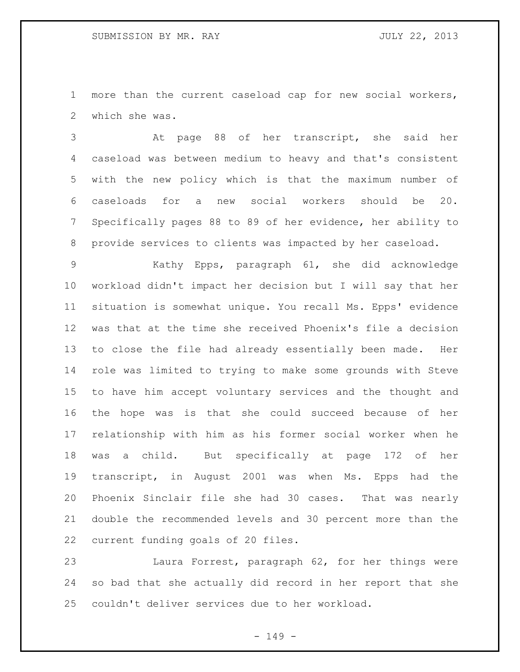more than the current caseload cap for new social workers, which she was.

 At page 88 of her transcript, she said her caseload was between medium to heavy and that's consistent with the new policy which is that the maximum number of caseloads for a new social workers should be 20. Specifically pages 88 to 89 of her evidence, her ability to provide services to clients was impacted by her caseload.

 Kathy Epps, paragraph 61, she did acknowledge workload didn't impact her decision but I will say that her situation is somewhat unique. You recall Ms. Epps' evidence was that at the time she received Phoenix's file a decision to close the file had already essentially been made. Her role was limited to trying to make some grounds with Steve to have him accept voluntary services and the thought and the hope was is that she could succeed because of her relationship with him as his former social worker when he was a child. But specifically at page 172 of her transcript, in August 2001 was when Ms. Epps had the Phoenix Sinclair file she had 30 cases. That was nearly double the recommended levels and 30 percent more than the current funding goals of 20 files.

 Laura Forrest, paragraph 62, for her things were so bad that she actually did record in her report that she couldn't deliver services due to her workload.

- 149 -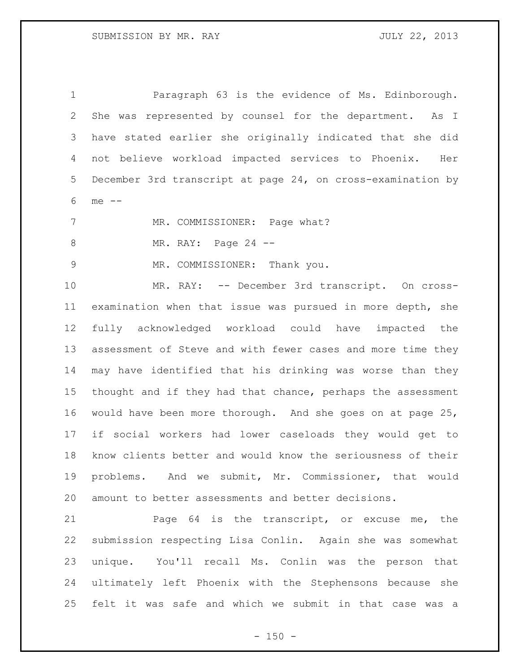Paragraph 63 is the evidence of Ms. Edinborough. She was represented by counsel for the department. As I have stated earlier she originally indicated that she did not believe workload impacted services to Phoenix. Her December 3rd transcript at page 24, on cross-examination by me --

7 MR. COMMISSIONER: Page what?

8 MR. RAY: Page 24 --

MR. COMMISSIONER: Thank you.

 MR. RAY: -- December 3rd transcript. On cross- examination when that issue was pursued in more depth, she fully acknowledged workload could have impacted the assessment of Steve and with fewer cases and more time they may have identified that his drinking was worse than they thought and if they had that chance, perhaps the assessment would have been more thorough. And she goes on at page 25, if social workers had lower caseloads they would get to know clients better and would know the seriousness of their problems. And we submit, Mr. Commissioner, that would amount to better assessments and better decisions.

 Page 64 is the transcript, or excuse me, the submission respecting Lisa Conlin. Again she was somewhat unique. You'll recall Ms. Conlin was the person that ultimately left Phoenix with the Stephensons because she felt it was safe and which we submit in that case was a

 $- 150 -$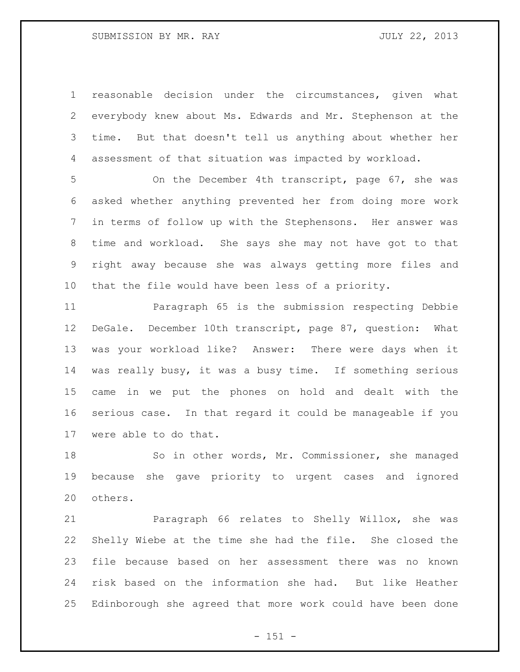reasonable decision under the circumstances, given what everybody knew about Ms. Edwards and Mr. Stephenson at the time. But that doesn't tell us anything about whether her assessment of that situation was impacted by workload.

 On the December 4th transcript, page 67, she was asked whether anything prevented her from doing more work in terms of follow up with the Stephensons. Her answer was time and workload. She says she may not have got to that right away because she was always getting more files and that the file would have been less of a priority.

 Paragraph 65 is the submission respecting Debbie DeGale. December 10th transcript, page 87, question: What was your workload like? Answer: There were days when it was really busy, it was a busy time. If something serious came in we put the phones on hold and dealt with the serious case. In that regard it could be manageable if you were able to do that.

 So in other words, Mr. Commissioner, she managed because she gave priority to urgent cases and ignored others.

 Paragraph 66 relates to Shelly Willox, she was Shelly Wiebe at the time she had the file. She closed the file because based on her assessment there was no known risk based on the information she had. But like Heather Edinborough she agreed that more work could have been done

 $- 151 -$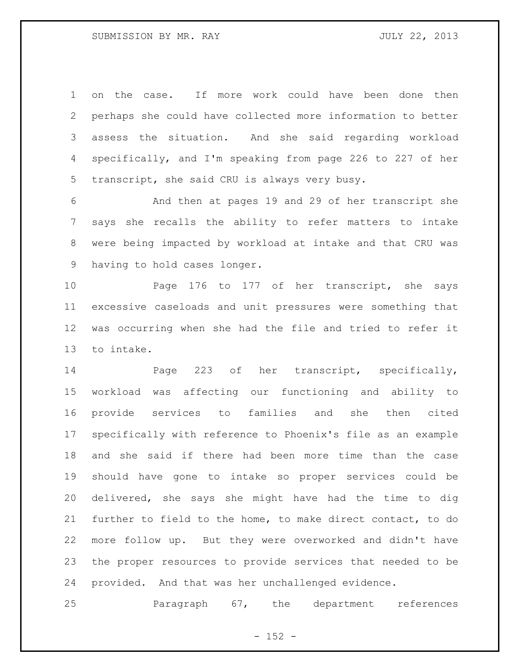on the case. If more work could have been done then perhaps she could have collected more information to better assess the situation. And she said regarding workload specifically, and I'm speaking from page 226 to 227 of her transcript, she said CRU is always very busy.

 And then at pages 19 and 29 of her transcript she says she recalls the ability to refer matters to intake were being impacted by workload at intake and that CRU was having to hold cases longer.

 Page 176 to 177 of her transcript, she says excessive caseloads and unit pressures were something that was occurring when she had the file and tried to refer it to intake.

14 Page 223 of her transcript, specifically, workload was affecting our functioning and ability to provide services to families and she then cited specifically with reference to Phoenix's file as an example and she said if there had been more time than the case should have gone to intake so proper services could be delivered, she says she might have had the time to dig further to field to the home, to make direct contact, to do more follow up. But they were overworked and didn't have the proper resources to provide services that needed to be provided. And that was her unchallenged evidence.

Paragraph 67, the department references

 $- 152 -$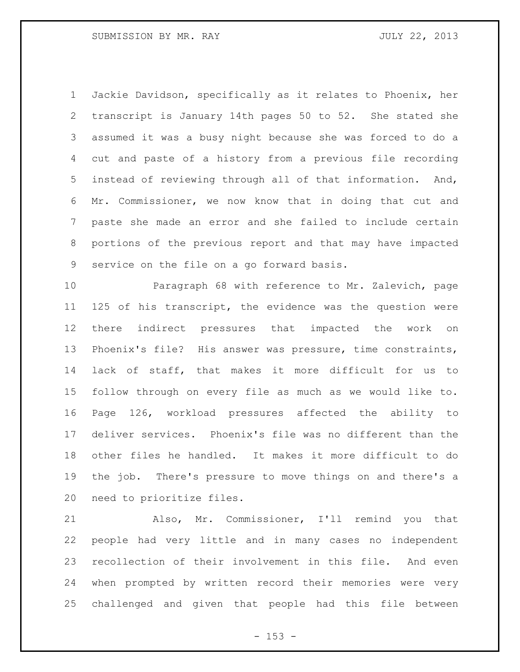Jackie Davidson, specifically as it relates to Phoenix, her transcript is January 14th pages 50 to 52. She stated she assumed it was a busy night because she was forced to do a cut and paste of a history from a previous file recording instead of reviewing through all of that information. And, Mr. Commissioner, we now know that in doing that cut and paste she made an error and she failed to include certain portions of the previous report and that may have impacted service on the file on a go forward basis.

 Paragraph 68 with reference to Mr. Zalevich, page 125 of his transcript, the evidence was the question were there indirect pressures that impacted the work on Phoenix's file? His answer was pressure, time constraints, lack of staff, that makes it more difficult for us to follow through on every file as much as we would like to. Page 126, workload pressures affected the ability to deliver services. Phoenix's file was no different than the other files he handled. It makes it more difficult to do the job. There's pressure to move things on and there's a need to prioritize files.

 Also, Mr. Commissioner, I'll remind you that people had very little and in many cases no independent recollection of their involvement in this file. And even when prompted by written record their memories were very challenged and given that people had this file between

- 153 -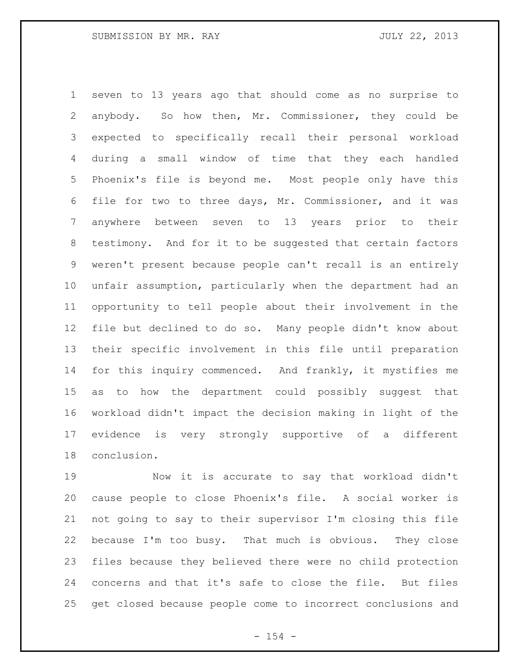seven to 13 years ago that should come as no surprise to anybody. So how then, Mr. Commissioner, they could be expected to specifically recall their personal workload during a small window of time that they each handled Phoenix's file is beyond me. Most people only have this file for two to three days, Mr. Commissioner, and it was anywhere between seven to 13 years prior to their testimony. And for it to be suggested that certain factors weren't present because people can't recall is an entirely unfair assumption, particularly when the department had an opportunity to tell people about their involvement in the file but declined to do so. Many people didn't know about their specific involvement in this file until preparation for this inquiry commenced. And frankly, it mystifies me as to how the department could possibly suggest that workload didn't impact the decision making in light of the evidence is very strongly supportive of a different conclusion.

 Now it is accurate to say that workload didn't cause people to close Phoenix's file. A social worker is not going to say to their supervisor I'm closing this file because I'm too busy. That much is obvious. They close files because they believed there were no child protection concerns and that it's safe to close the file. But files get closed because people come to incorrect conclusions and

 $- 154 -$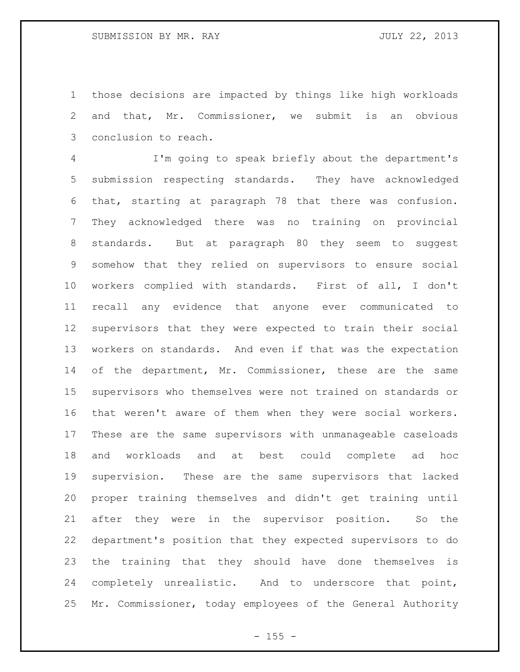those decisions are impacted by things like high workloads and that, Mr. Commissioner, we submit is an obvious conclusion to reach.

 I'm going to speak briefly about the department's submission respecting standards. They have acknowledged that, starting at paragraph 78 that there was confusion. They acknowledged there was no training on provincial standards. But at paragraph 80 they seem to suggest somehow that they relied on supervisors to ensure social workers complied with standards. First of all, I don't recall any evidence that anyone ever communicated to supervisors that they were expected to train their social workers on standards. And even if that was the expectation 14 of the department, Mr. Commissioner, these are the same supervisors who themselves were not trained on standards or that weren't aware of them when they were social workers. These are the same supervisors with unmanageable caseloads and workloads and at best could complete ad hoc supervision. These are the same supervisors that lacked proper training themselves and didn't get training until after they were in the supervisor position. So the department's position that they expected supervisors to do the training that they should have done themselves is completely unrealistic. And to underscore that point, Mr. Commissioner, today employees of the General Authority

 $- 155 -$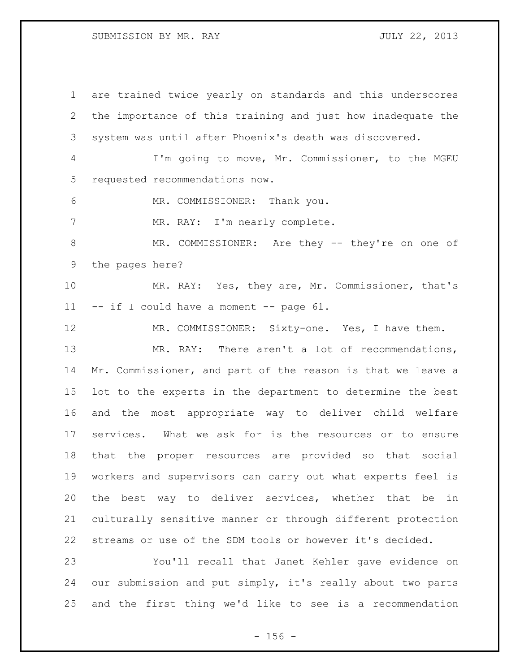are trained twice yearly on standards and this underscores the importance of this training and just how inadequate the system was until after Phoenix's death was discovered. I'm going to move, Mr. Commissioner, to the MGEU requested recommendations now. MR. COMMISSIONER: Thank you. 7 MR. RAY: I'm nearly complete. 8 MR. COMMISSIONER: Are they -- they're on one of the pages here? MR. RAY: Yes, they are, Mr. Commissioner, that's -- if I could have a moment -- page 61. MR. COMMISSIONER: Sixty-one. Yes, I have them. MR. RAY: There aren't a lot of recommendations, Mr. Commissioner, and part of the reason is that we leave a lot to the experts in the department to determine the best and the most appropriate way to deliver child welfare services. What we ask for is the resources or to ensure that the proper resources are provided so that social workers and supervisors can carry out what experts feel is the best way to deliver services, whether that be in culturally sensitive manner or through different protection streams or use of the SDM tools or however it's decided. You'll recall that Janet Kehler gave evidence on our submission and put simply, it's really about two parts and the first thing we'd like to see is a recommendation

 $- 156 -$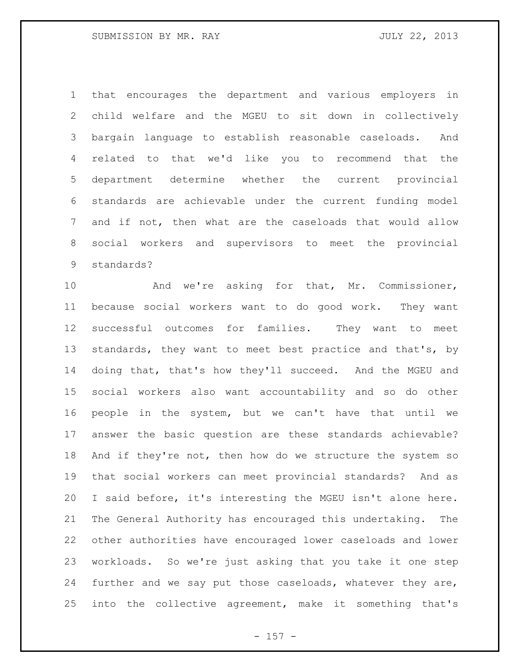that encourages the department and various employers in child welfare and the MGEU to sit down in collectively bargain language to establish reasonable caseloads. And related to that we'd like you to recommend that the department determine whether the current provincial standards are achievable under the current funding model and if not, then what are the caseloads that would allow social workers and supervisors to meet the provincial standards?

 And we're asking for that, Mr. Commissioner, because social workers want to do good work. They want successful outcomes for families. They want to meet 13 standards, they want to meet best practice and that's, by doing that, that's how they'll succeed. And the MGEU and social workers also want accountability and so do other people in the system, but we can't have that until we answer the basic question are these standards achievable? 18 And if they're not, then how do we structure the system so that social workers can meet provincial standards? And as I said before, it's interesting the MGEU isn't alone here. The General Authority has encouraged this undertaking. The other authorities have encouraged lower caseloads and lower workloads. So we're just asking that you take it one step further and we say put those caseloads, whatever they are, into the collective agreement, make it something that's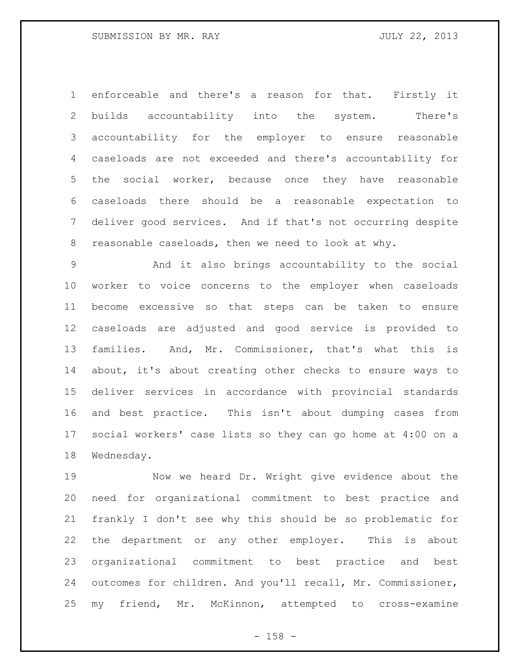enforceable and there's a reason for that. Firstly it builds accountability into the system. There's accountability for the employer to ensure reasonable caseloads are not exceeded and there's accountability for the social worker, because once they have reasonable caseloads there should be a reasonable expectation to deliver good services. And if that's not occurring despite reasonable caseloads, then we need to look at why.

 And it also brings accountability to the social worker to voice concerns to the employer when caseloads become excessive so that steps can be taken to ensure caseloads are adjusted and good service is provided to families. And, Mr. Commissioner, that's what this is about, it's about creating other checks to ensure ways to deliver services in accordance with provincial standards and best practice. This isn't about dumping cases from social workers' case lists so they can go home at 4:00 on a Wednesday.

 Now we heard Dr. Wright give evidence about the need for organizational commitment to best practice and frankly I don't see why this should be so problematic for the department or any other employer. This is about organizational commitment to best practice and best outcomes for children. And you'll recall, Mr. Commissioner, my friend, Mr. McKinnon, attempted to cross-examine

- 158 -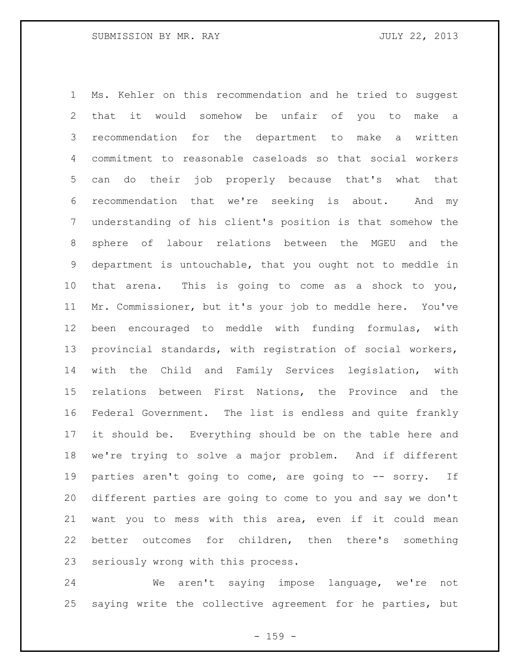Ms. Kehler on this recommendation and he tried to suggest that it would somehow be unfair of you to make a recommendation for the department to make a written commitment to reasonable caseloads so that social workers can do their job properly because that's what that recommendation that we're seeking is about. And my understanding of his client's position is that somehow the sphere of labour relations between the MGEU and the department is untouchable, that you ought not to meddle in that arena. This is going to come as a shock to you, Mr. Commissioner, but it's your job to meddle here. You've been encouraged to meddle with funding formulas, with provincial standards, with registration of social workers, with the Child and Family Services legislation, with relations between First Nations, the Province and the Federal Government. The list is endless and quite frankly it should be. Everything should be on the table here and we're trying to solve a major problem. And if different parties aren't going to come, are going to -- sorry. If different parties are going to come to you and say we don't want you to mess with this area, even if it could mean better outcomes for children, then there's something seriously wrong with this process.

 We aren't saying impose language, we're not saying write the collective agreement for he parties, but

 $- 159 -$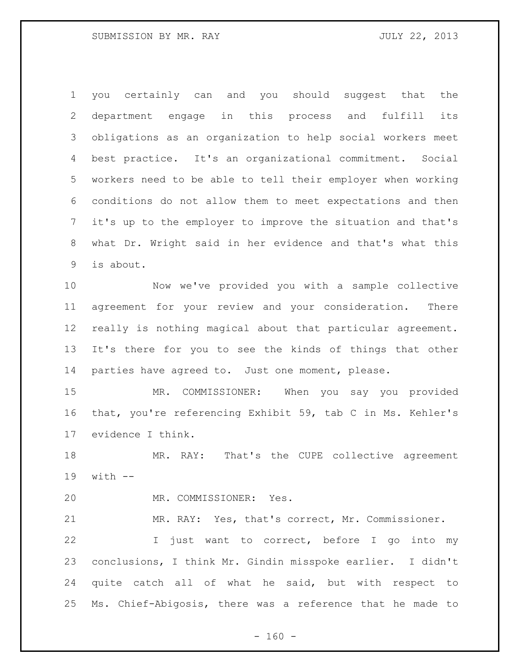you certainly can and you should suggest that the department engage in this process and fulfill its obligations as an organization to help social workers meet best practice. It's an organizational commitment. Social workers need to be able to tell their employer when working conditions do not allow them to meet expectations and then it's up to the employer to improve the situation and that's what Dr. Wright said in her evidence and that's what this is about.

 Now we've provided you with a sample collective agreement for your review and your consideration. There really is nothing magical about that particular agreement. It's there for you to see the kinds of things that other parties have agreed to. Just one moment, please.

 MR. COMMISSIONER: When you say you provided that, you're referencing Exhibit 59, tab C in Ms. Kehler's evidence I think.

 MR. RAY: That's the CUPE collective agreement with --

MR. COMMISSIONER: Yes.

MR. RAY: Yes, that's correct, Mr. Commissioner.

 I just want to correct, before I go into my conclusions, I think Mr. Gindin misspoke earlier. I didn't quite catch all of what he said, but with respect to Ms. Chief-Abigosis, there was a reference that he made to

 $- 160 -$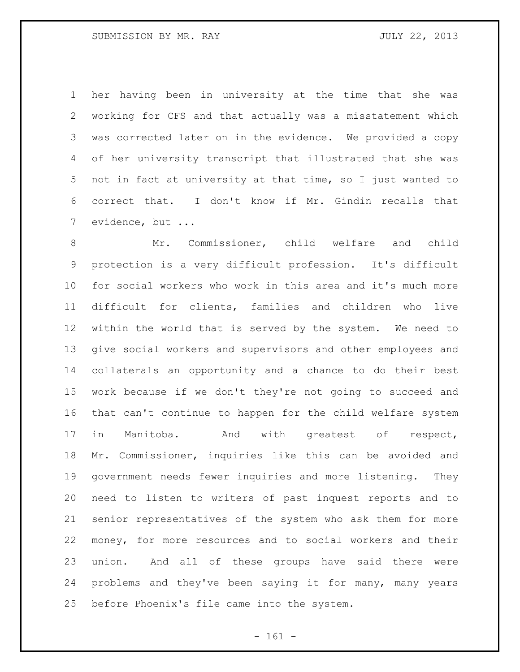her having been in university at the time that she was working for CFS and that actually was a misstatement which was corrected later on in the evidence. We provided a copy of her university transcript that illustrated that she was not in fact at university at that time, so I just wanted to correct that. I don't know if Mr. Gindin recalls that evidence, but ...

 Mr. Commissioner, child welfare and child protection is a very difficult profession. It's difficult for social workers who work in this area and it's much more difficult for clients, families and children who live within the world that is served by the system. We need to give social workers and supervisors and other employees and collaterals an opportunity and a chance to do their best work because if we don't they're not going to succeed and that can't continue to happen for the child welfare system in Manitoba. And with greatest of respect, Mr. Commissioner, inquiries like this can be avoided and government needs fewer inquiries and more listening. They need to listen to writers of past inquest reports and to senior representatives of the system who ask them for more money, for more resources and to social workers and their union. And all of these groups have said there were problems and they've been saying it for many, many years before Phoenix's file came into the system.

- 161 -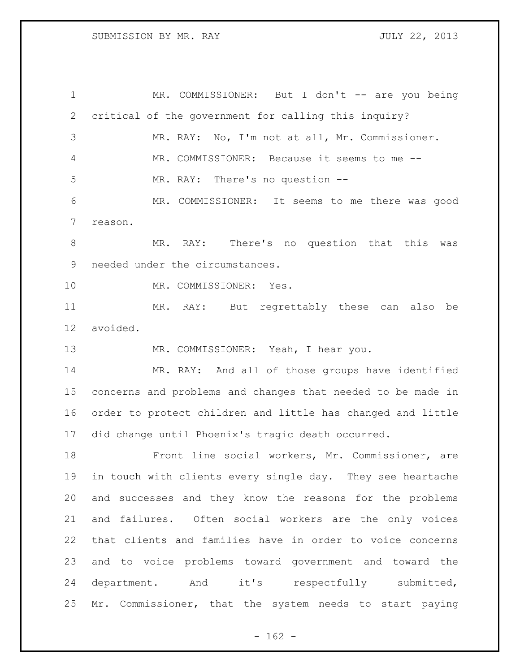1 MR. COMMISSIONER: But I don't -- are you being critical of the government for calling this inquiry? MR. RAY: No, I'm not at all, Mr. Commissioner. MR. COMMISSIONER: Because it seems to me -- MR. RAY: There's no question -- MR. COMMISSIONER: It seems to me there was good reason. MR. RAY: There's no question that this was needed under the circumstances. MR. COMMISSIONER: Yes. MR. RAY: But regrettably these can also be avoided. MR. COMMISSIONER: Yeah, I hear you. MR. RAY: And all of those groups have identified concerns and problems and changes that needed to be made in order to protect children and little has changed and little did change until Phoenix's tragic death occurred. Front line social workers, Mr. Commissioner, are in touch with clients every single day. They see heartache and successes and they know the reasons for the problems and failures. Often social workers are the only voices that clients and families have in order to voice concerns and to voice problems toward government and toward the department. And it's respectfully submitted, Mr. Commissioner, that the system needs to start paying

 $- 162 -$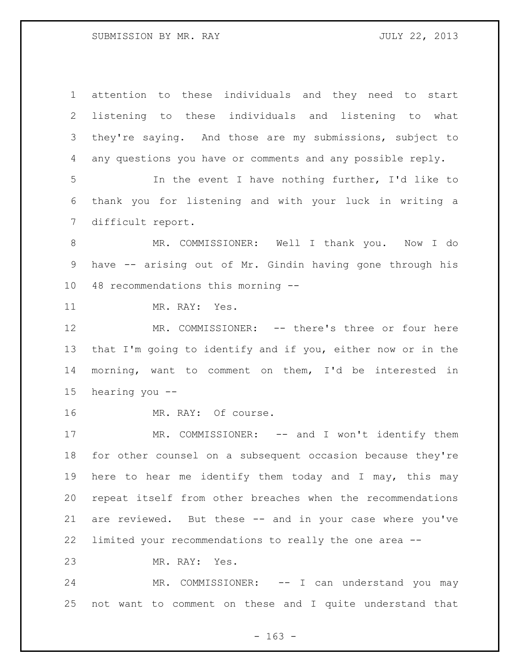attention to these individuals and they need to start listening to these individuals and listening to what they're saying. And those are my submissions, subject to any questions you have or comments and any possible reply. In the event I have nothing further, I'd like to thank you for listening and with your luck in writing a difficult report. MR. COMMISSIONER: Well I thank you. Now I do have -- arising out of Mr. Gindin having gone through his 48 recommendations this morning -- MR. RAY: Yes. MR. COMMISSIONER: -- there's three or four here that I'm going to identify and if you, either now or in the morning, want to comment on them, I'd be interested in hearing you -- MR. RAY: Of course. 17 MR. COMMISSIONER: -- and I won't identify them for other counsel on a subsequent occasion because they're here to hear me identify them today and I may, this may repeat itself from other breaches when the recommendations are reviewed. But these -- and in your case where you've limited your recommendations to really the one area -- MR. RAY: Yes. MR. COMMISSIONER: -- I can understand you may not want to comment on these and I quite understand that

- 163 -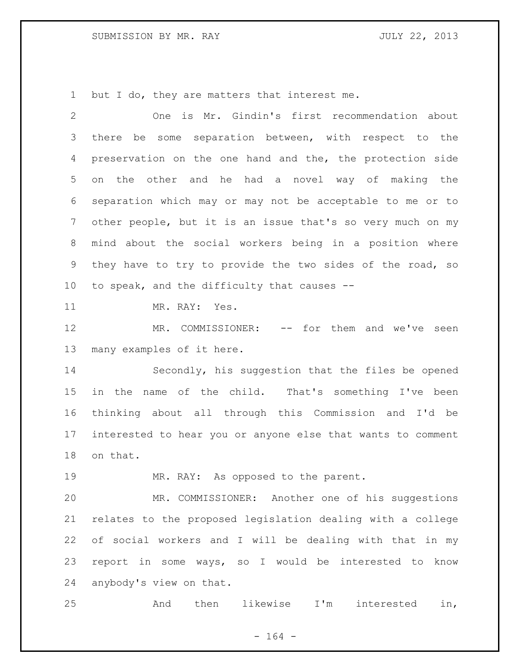but I do, they are matters that interest me.

| 2               | One is Mr. Gindin's first recommendation about              |
|-----------------|-------------------------------------------------------------|
| 3               | there be some separation between, with respect to the       |
| 4               | preservation on the one hand and the, the protection side   |
| 5               | on the other and he had a novel way of making the           |
| 6               | separation which may or may not be acceptable to me or to   |
| $7\phantom{.0}$ | other people, but it is an issue that's so very much on my  |
| 8               | mind about the social workers being in a position where     |
| 9               | they have to try to provide the two sides of the road, so   |
| 10              | to speak, and the difficulty that causes --                 |
| 11              | MR. RAY: Yes.                                               |
| 12              | MR. COMMISSIONER:<br>-- for them and we've seen             |
| 13              | many examples of it here.                                   |
| 14              | Secondly, his suggestion that the files be opened           |
| 15              | in the name of the child. That's something I've been        |
| 16              | thinking about all through this Commission and I'd be       |
| 17              | interested to hear you or anyone else that wants to comment |
| 18              | on that.                                                    |
| 19              | MR. RAY: As opposed to the parent.                          |
| 20              | MR. COMMISSIONER: Another one of his suggestions            |
| 21              | relates to the proposed legislation dealing with a college  |
| 22              | of social workers and I will be dealing with that in my     |
| 23              | report in some ways, so I would be interested to know       |
| 24              | anybody's view on that.                                     |

And then likewise I'm interested in,

- 164 -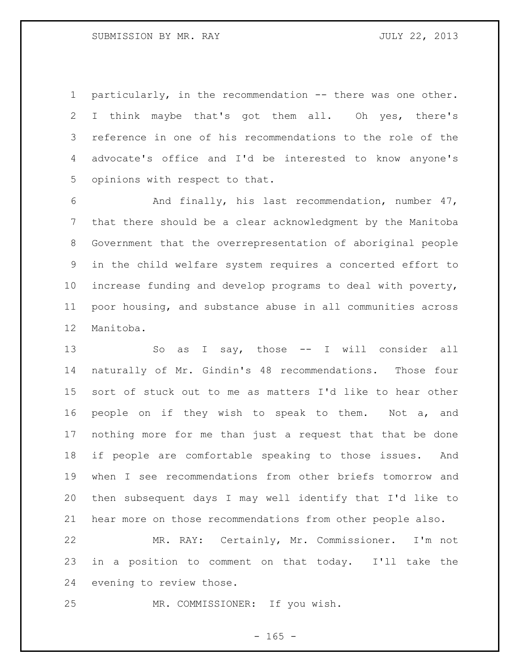1 particularly, in the recommendation -- there was one other. I think maybe that's got them all. Oh yes, there's reference in one of his recommendations to the role of the advocate's office and I'd be interested to know anyone's opinions with respect to that.

 And finally, his last recommendation, number 47, that there should be a clear acknowledgment by the Manitoba Government that the overrepresentation of aboriginal people in the child welfare system requires a concerted effort to increase funding and develop programs to deal with poverty, poor housing, and substance abuse in all communities across Manitoba.

13 So as I say, those -- I will consider all naturally of Mr. Gindin's 48 recommendations. Those four sort of stuck out to me as matters I'd like to hear other people on if they wish to speak to them. Not a, and nothing more for me than just a request that that be done if people are comfortable speaking to those issues. And when I see recommendations from other briefs tomorrow and then subsequent days I may well identify that I'd like to hear more on those recommendations from other people also.

 MR. RAY: Certainly, Mr. Commissioner. I'm not in a position to comment on that today. I'll take the evening to review those.

MR. COMMISSIONER: If you wish.

 $- 165 -$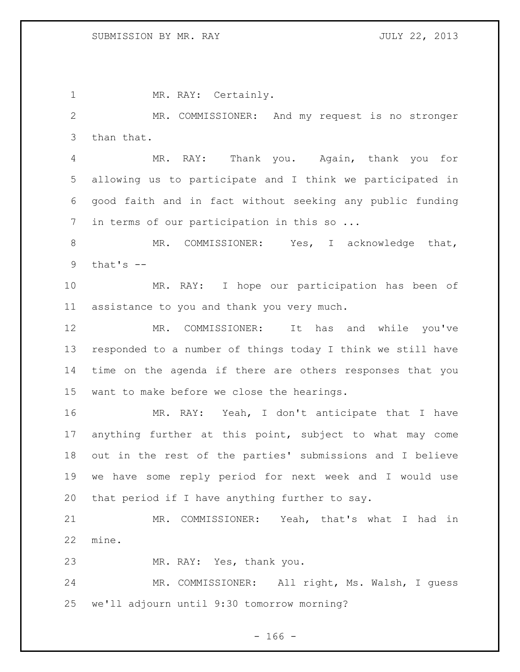1 MR. RAY: Certainly. MR. COMMISSIONER: And my request is no stronger than that. MR. RAY: Thank you. Again, thank you for allowing us to participate and I think we participated in good faith and in fact without seeking any public funding 7 in terms of our participation in this so ... 8 MR. COMMISSIONER: Yes, I acknowledge that, that's  $-$  MR. RAY: I hope our participation has been of assistance to you and thank you very much. MR. COMMISSIONER: It has and while you've responded to a number of things today I think we still have time on the agenda if there are others responses that you want to make before we close the hearings. MR. RAY: Yeah, I don't anticipate that I have anything further at this point, subject to what may come out in the rest of the parties' submissions and I believe we have some reply period for next week and I would use that period if I have anything further to say. MR. COMMISSIONER: Yeah, that's what I had in mine. MR. RAY: Yes, thank you. MR. COMMISSIONER: All right, Ms. Walsh, I guess we'll adjourn until 9:30 tomorrow morning?

 $- 166 -$